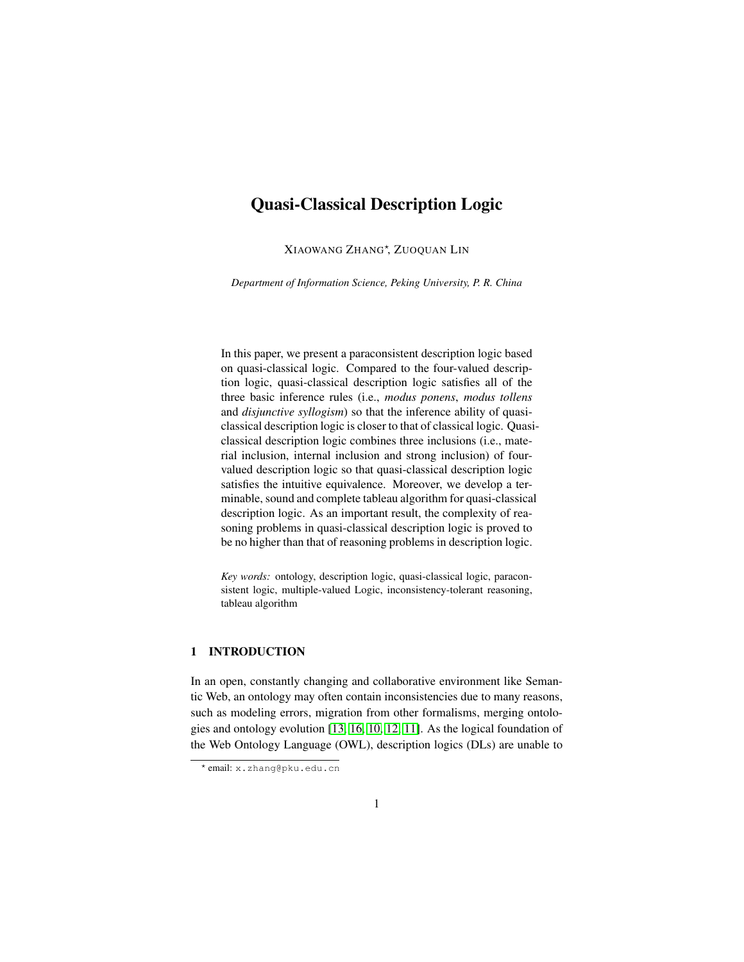# Quasi-Classical Description Logic

XIAOWANG ZHANG? , ZUOQUAN LIN

*Department of Information Science, Peking University, P. R. China*

In this paper, we present a paraconsistent description logic based on quasi-classical logic. Compared to the four-valued description logic, quasi-classical description logic satisfies all of the three basic inference rules (i.e., *modus ponens*, *modus tollens* and *disjunctive syllogism*) so that the inference ability of quasiclassical description logic is closer to that of classical logic. Quasiclassical description logic combines three inclusions (i.e., material inclusion, internal inclusion and strong inclusion) of fourvalued description logic so that quasi-classical description logic satisfies the intuitive equivalence. Moreover, we develop a terminable, sound and complete tableau algorithm for quasi-classical description logic. As an important result, the complexity of reasoning problems in quasi-classical description logic is proved to be no higher than that of reasoning problems in description logic.

*Key words:* ontology, description logic, quasi-classical logic, paraconsistent logic, multiple-valued Logic, inconsistency-tolerant reasoning, tableau algorithm

# 1 INTRODUCTION

In an open, constantly changing and collaborative environment like Semantic Web, an ontology may often contain inconsistencies due to many reasons, such as modeling errors, migration from other formalisms, merging ontologies and ontology evolution [\[13,](#page-25-0) [16,](#page-25-1) [10,](#page-24-0) [12,](#page-25-2) [11\]](#page-24-1). As the logical foundation of the Web Ontology Language (OWL), description logics (DLs) are unable to

<sup>?</sup> email: x.zhang@pku.edu.cn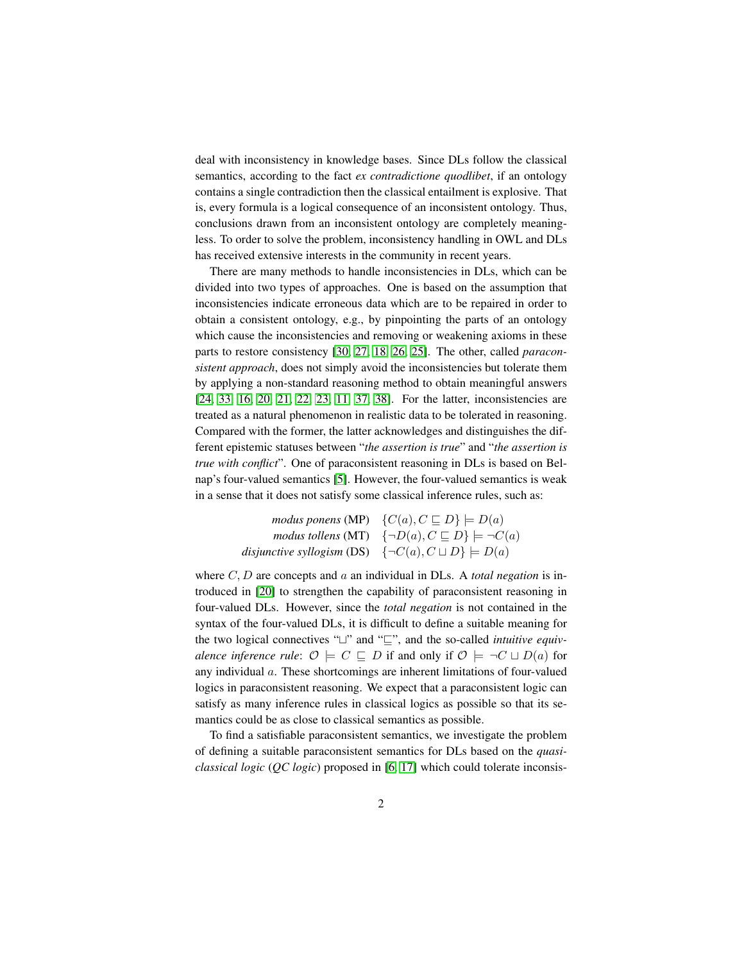deal with inconsistency in knowledge bases. Since DLs follow the classical semantics, according to the fact *ex contradictione quodlibet*, if an ontology contains a single contradiction then the classical entailment is explosive. That is, every formula is a logical consequence of an inconsistent ontology. Thus, conclusions drawn from an inconsistent ontology are completely meaningless. To order to solve the problem, inconsistency handling in OWL and DLs has received extensive interests in the community in recent years.

There are many methods to handle inconsistencies in DLs, which can be divided into two types of approaches. One is based on the assumption that inconsistencies indicate erroneous data which are to be repaired in order to obtain a consistent ontology, e.g., by pinpointing the parts of an ontology which cause the inconsistencies and removing or weakening axioms in these parts to restore consistency [\[30,](#page-26-0) [27,](#page-26-1) [18,](#page-25-3) [26,](#page-26-2) [25\]](#page-25-4). The other, called *paraconsistent approach*, does not simply avoid the inconsistencies but tolerate them by applying a non-standard reasoning method to obtain meaningful answers [\[24,](#page-25-5) [33,](#page-26-3) [16,](#page-25-1) [20,](#page-25-6) [21,](#page-25-7) [22,](#page-25-8) [23,](#page-25-9) [11,](#page-24-1) [37,](#page-26-4) [38\]](#page-26-5). For the latter, inconsistencies are treated as a natural phenomenon in realistic data to be tolerated in reasoning. Compared with the former, the latter acknowledges and distinguishes the different epistemic statuses between "*the assertion is true*" and "*the assertion is true with conflict*". One of paraconsistent reasoning in DLs is based on Belnap's four-valued semantics [\[5\]](#page-24-2). However, the four-valued semantics is weak in a sense that it does not satisfy some classical inference rules, such as:

|                                                                     | modus ponens (MP) $\{C(a), C \sqsubseteq D\} \models D(a)$            |
|---------------------------------------------------------------------|-----------------------------------------------------------------------|
|                                                                     | modus tollens (MT) $\{\neg D(a), C \sqsubseteq D\} \models \neg C(a)$ |
| disjunctive syllogism (DS) $\{\neg C(a), C \sqcup D\} \models D(a)$ |                                                                       |

where C, D are concepts and a an individual in DLs. A *total negation* is introduced in [\[20\]](#page-25-6) to strengthen the capability of paraconsistent reasoning in four-valued DLs. However, since the *total negation* is not contained in the syntax of the four-valued DLs, it is difficult to define a suitable meaning for the two logical connectives " $\sqcup$ " and " $\sqsubseteq$ ", and the so-called *intuitive equivalence inference rule:*  $\mathcal{O} \models C \sqsubseteq D$  if and only if  $\mathcal{O} \models \neg C \sqcup D(a)$  for any individual a. These shortcomings are inherent limitations of four-valued logics in paraconsistent reasoning. We expect that a paraconsistent logic can satisfy as many inference rules in classical logics as possible so that its semantics could be as close to classical semantics as possible.

To find a satisfiable paraconsistent semantics, we investigate the problem of defining a suitable paraconsistent semantics for DLs based on the *quasiclassical logic* (*QC logic*) proposed in [\[6,](#page-24-3) [17\]](#page-25-10) which could tolerate inconsis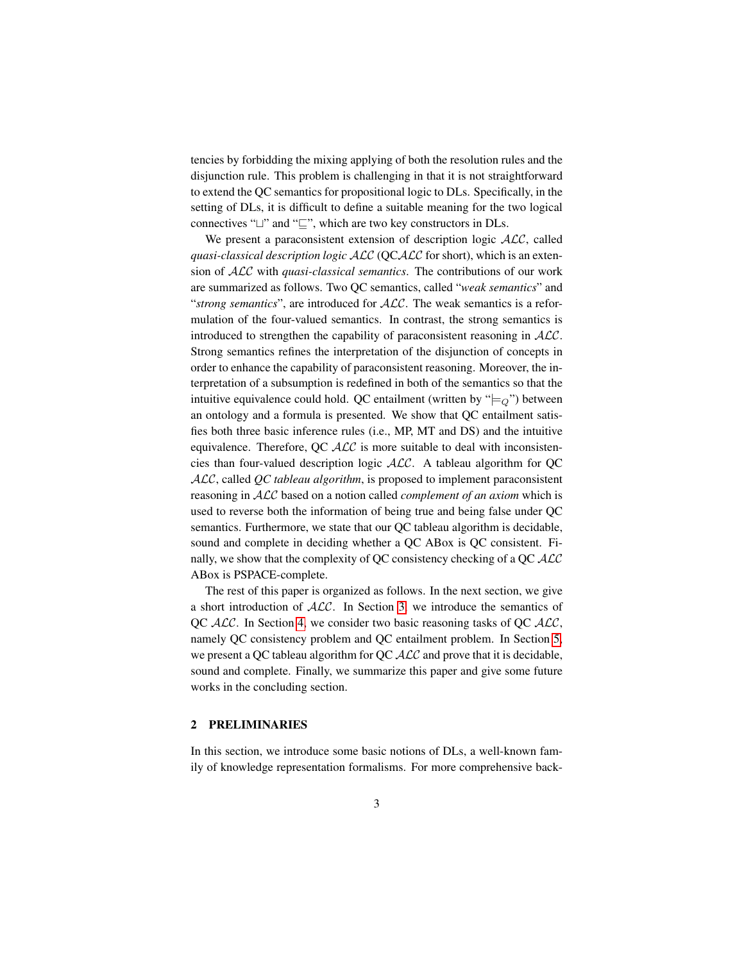tencies by forbidding the mixing applying of both the resolution rules and the disjunction rule. This problem is challenging in that it is not straightforward to extend the QC semantics for propositional logic to DLs. Specifically, in the setting of DLs, it is difficult to define a suitable meaning for the two logical connectives " $\sqcup$ " and " $\sqsubseteq$ ", which are two key constructors in DLs.

We present a paraconsistent extension of description logic  $ALC$ , called *quasi-classical description logic* ALC (QCALC for short), which is an extension of ALC with *quasi-classical semantics*. The contributions of our work are summarized as follows. Two QC semantics, called "*weak semantics*" and "*strong semantics*", are introduced for ALC. The weak semantics is a reformulation of the four-valued semantics. In contrast, the strong semantics is introduced to strengthen the capability of paraconsistent reasoning in  $ALC$ . Strong semantics refines the interpretation of the disjunction of concepts in order to enhance the capability of paraconsistent reasoning. Moreover, the interpretation of a subsumption is redefined in both of the semantics so that the intuitive equivalence could hold. QC entailment (written by " $\models Q$ ") between an ontology and a formula is presented. We show that QC entailment satisfies both three basic inference rules (i.e., MP, MT and DS) and the intuitive equivalence. Therefore, QC  $ALC$  is more suitable to deal with inconsistencies than four-valued description logic ALC. A tableau algorithm for QC ALC, called *QC tableau algorithm*, is proposed to implement paraconsistent reasoning in ALC based on a notion called *complement of an axiom* which is used to reverse both the information of being true and being false under QC semantics. Furthermore, we state that our QC tableau algorithm is decidable, sound and complete in deciding whether a QC ABox is QC consistent. Finally, we show that the complexity of QC consistency checking of a QC ALC ABox is PSPACE-complete.

The rest of this paper is organized as follows. In the next section, we give a short introduction of  $ALC$ . In Section [3,](#page-6-0) we introduce the semantics of QC ALC. In Section [4,](#page-15-0) we consider two basic reasoning tasks of QC ALC, namely QC consistency problem and QC entailment problem. In Section [5,](#page-17-0) we present a QC tableau algorithm for QC  $\mathcal{ALC}$  and prove that it is decidable, sound and complete. Finally, we summarize this paper and give some future works in the concluding section.

## <span id="page-2-0"></span>2 PRELIMINARIES

In this section, we introduce some basic notions of DLs, a well-known family of knowledge representation formalisms. For more comprehensive back-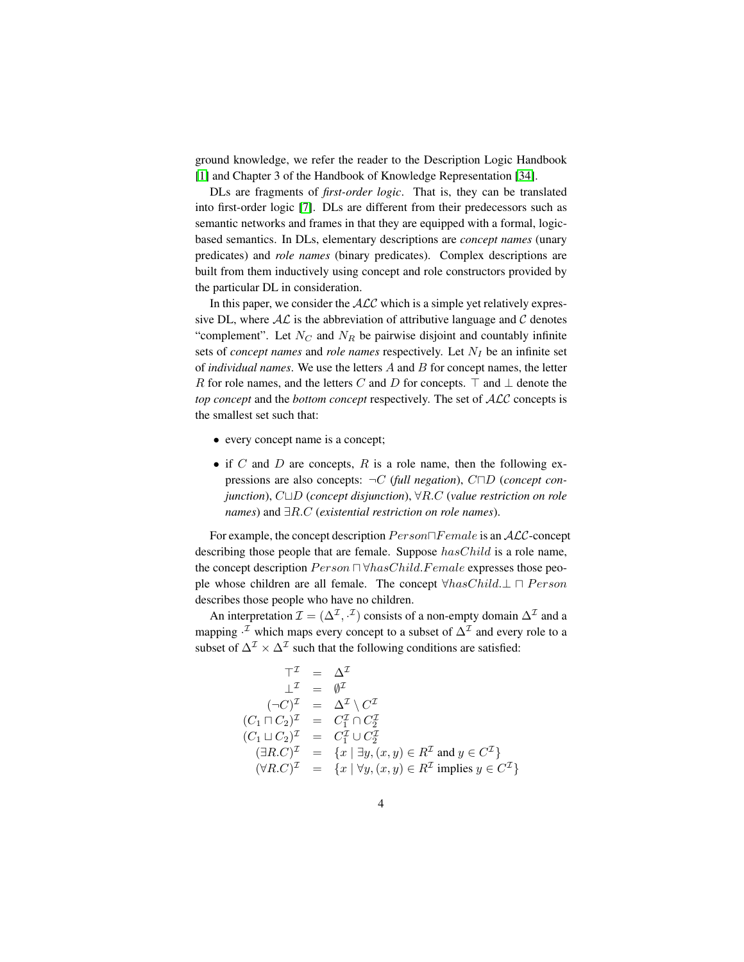ground knowledge, we refer the reader to the Description Logic Handbook [\[1\]](#page-24-4) and Chapter 3 of the Handbook of Knowledge Representation [\[34\]](#page-26-6).

DLs are fragments of *first-order logic*. That is, they can be translated into first-order logic [\[7\]](#page-24-5). DLs are different from their predecessors such as semantic networks and frames in that they are equipped with a formal, logicbased semantics. In DLs, elementary descriptions are *concept names* (unary predicates) and *role names* (binary predicates). Complex descriptions are built from them inductively using concept and role constructors provided by the particular DL in consideration.

In this paper, we consider the  $ALC$  which is a simple yet relatively expressive DL, where  $AL$  is the abbreviation of attributive language and  $C$  denotes "complement". Let  $N_C$  and  $N_R$  be pairwise disjoint and countably infinite sets of *concept names* and *role names* respectively. Let  $N_I$  be an infinite set of *individual names*. We use the letters A and B for concept names, the letter R for role names, and the letters C and D for concepts.  $\top$  and  $\bot$  denote the *top concept* and the *bottom concept* respectively. The set of ALC concepts is the smallest set such that:

- every concept name is a concept;
- if C and D are concepts, R is a role name, then the following expressions are also concepts:  $\neg C$  (full negation),  $C \Box D$  (*concept con*- $\phi$ *junction*),  $C \Box D$  (*concept disjunction*),  $\forall R.C$  (*value restriction on role names*) and ∃R.C (*existential restriction on role names*).

For example, the concept description  $Person\Box Female$  is an  $\mathcal{ALC}$ -concept describing those people that are female. Suppose  $hasChild$  is a role name, the concept description  $Person \sqcap \forall hasChild.Female$  expresses those people whose children are all female. The concept  $\forall hasChild.\bot \sqcap Person$ describes those people who have no children.

An interpretation  $\mathcal{I} = (\Delta^{\mathcal{I}}, \cdot^{\mathcal{I}})$  consists of a non-empty domain  $\Delta^{\mathcal{I}}$  and a mapping  $\cdot^{\mathcal{I}}$  which maps every concept to a subset of  $\Delta^{\mathcal{I}}$  and every role to a subset of  $\Delta^{\mathcal{I}} \times \Delta^{\mathcal{I}}$  such that the following conditions are satisfied:

$$
\begin{aligned}\n\top^{\mathcal{I}} &= \Delta^{\mathcal{I}} \\
\bot^{\mathcal{I}} &= \emptyset^{\mathcal{I}} \\
(\neg C)^{\mathcal{I}} &= \Delta^{\mathcal{I}} \setminus C^{\mathcal{I}} \\
(C_1 \sqcap C_2)^{\mathcal{I}} &= C_1^{\mathcal{I}} \cap C_2^{\mathcal{I}} \\
(C_1 \sqcup C_2)^{\mathcal{I}} &= C_1^{\mathcal{I}} \cup C_2^{\mathcal{I}} \\
(\exists R.C)^{\mathcal{I}} &= \{x \mid \exists y, (x, y) \in R^{\mathcal{I}} \text{ and } y \in C^{\mathcal{I}}\} \\
(\forall R.C)^{\mathcal{I}} &= \{x \mid \forall y, (x, y) \in R^{\mathcal{I}} \text{ implies } y \in C^{\mathcal{I}}\}\n\end{aligned}
$$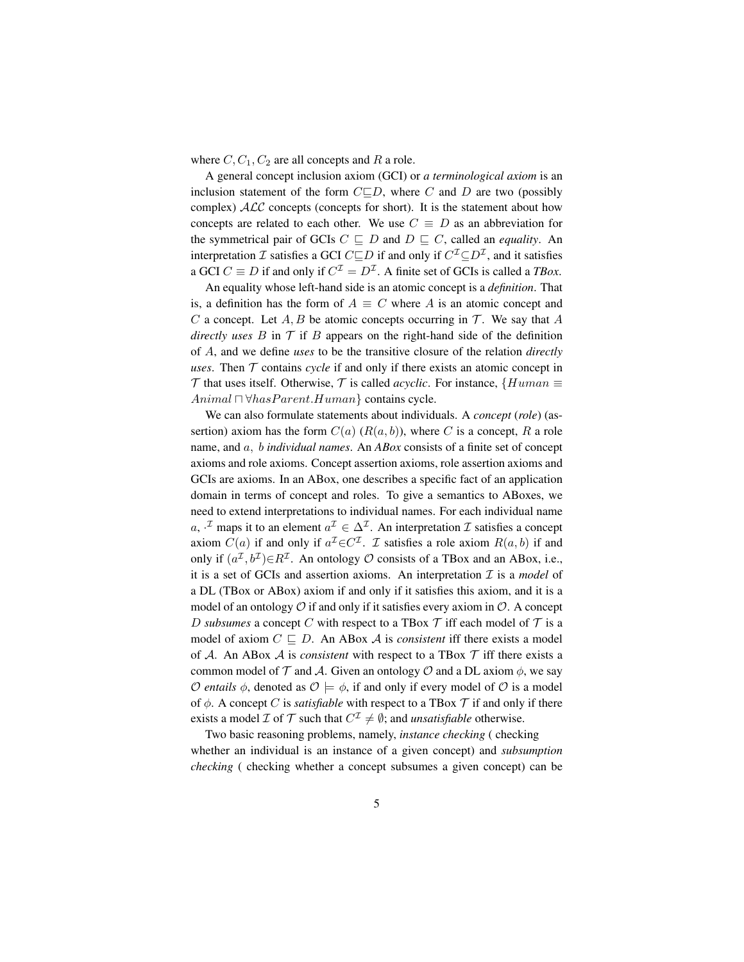where  $C, C_1, C_2$  are all concepts and R a role.

A general concept inclusion axiom (GCI) or *a terminological axiom* is an inclusion statement of the form  $C \square D$ , where C and D are two (possibly complex)  $ALC$  concepts (concepts for short). It is the statement about how concepts are related to each other. We use  $C \equiv D$  as an abbreviation for the symmetrical pair of GCIs  $C \sqsubseteq D$  and  $D \sqsubseteq C$ , called an *equality*. An interpretation  $\mathcal I$  satisfies a GCI  $C\square D$  if and only if  $C^{\mathcal I} \subseteq D^{\mathcal I}$ , and it satisfies a GCI  $C \equiv D$  if and only if  $C^{\mathcal{I}} = D^{\mathcal{I}}$ . A finite set of GCIs is called a *TBox*.

An equality whose left-hand side is an atomic concept is a *definition*. That is, a definition has the form of  $A \equiv C$  where A is an atomic concept and C a concept. Let  $A, B$  be atomic concepts occurring in  $T$ . We say that A *directly uses*  $B$  in  $\mathcal T$  if  $B$  appears on the right-hand side of the definition of A, and we define *uses* to be the transitive closure of the relation *directly uses*. Then  $T$  contains *cycle* if and only if there exists an atomic concept in  $\mathcal T$  that uses itself. Otherwise,  $\mathcal T$  is called *acyclic*. For instance, {Human  $\equiv$ Animal  $\Box \forall hasParent.Human\}$  contains cycle.

We can also formulate statements about individuals. A *concept* (*role*) (assertion) axiom has the form  $C(a)$   $(R(a, b))$ , where C is a concept, R a role name, and a, b *individual names*. An *ABox* consists of a finite set of concept axioms and role axioms. Concept assertion axioms, role assertion axioms and GCIs are axioms. In an ABox, one describes a specific fact of an application domain in terms of concept and roles. To give a semantics to ABoxes, we need to extend interpretations to individual names. For each individual name a,  $\cdot^{\mathcal{I}}$  maps it to an element  $a^{\mathcal{I}} \in \Delta^{\mathcal{I}}$ . An interpretation  $\mathcal{I}$  satisfies a concept axiom  $C(a)$  if and only if  $a^{\mathcal{I}} \in C^{\mathcal{I}}$ . *I* satisfies a role axiom  $R(a, b)$  if and only if  $(a^{\mathcal{I}}, b^{\mathcal{I}}) \in R^{\mathcal{I}}$ . An ontology  $\mathcal O$  consists of a TBox and an ABox, i.e., it is a set of GCIs and assertion axioms. An interpretation  $I$  is a *model* of a DL (TBox or ABox) axiom if and only if it satisfies this axiom, and it is a model of an ontology  $\mathcal O$  if and only if it satisfies every axiom in  $\mathcal O$ . A concept D *subsumes* a concept C with respect to a TBox  $\mathcal T$  iff each model of  $\mathcal T$  is a model of axiom  $C \sqsubseteq D$ . An ABox A is *consistent* iff there exists a model of A. An ABox A is *consistent* with respect to a TBox  $\mathcal T$  iff there exists a common model of  $T$  and A. Given an ontology  $\mathcal O$  and a DL axiom  $\phi$ , we say *O entails*  $\phi$ , denoted as  $\mathcal{O} \models \phi$ , if and only if every model of  $\mathcal O$  is a model of  $\phi$ . A concept C is *satisfiable* with respect to a TBox  $\mathcal T$  if and only if there exists a model *I* of *T* such that  $C^{\mathcal{I}} \neq \emptyset$ ; and *unsatisfiable* otherwise.

Two basic reasoning problems, namely, *instance checking* ( checking whether an individual is an instance of a given concept) and *subsumption checking* ( checking whether a concept subsumes a given concept) can be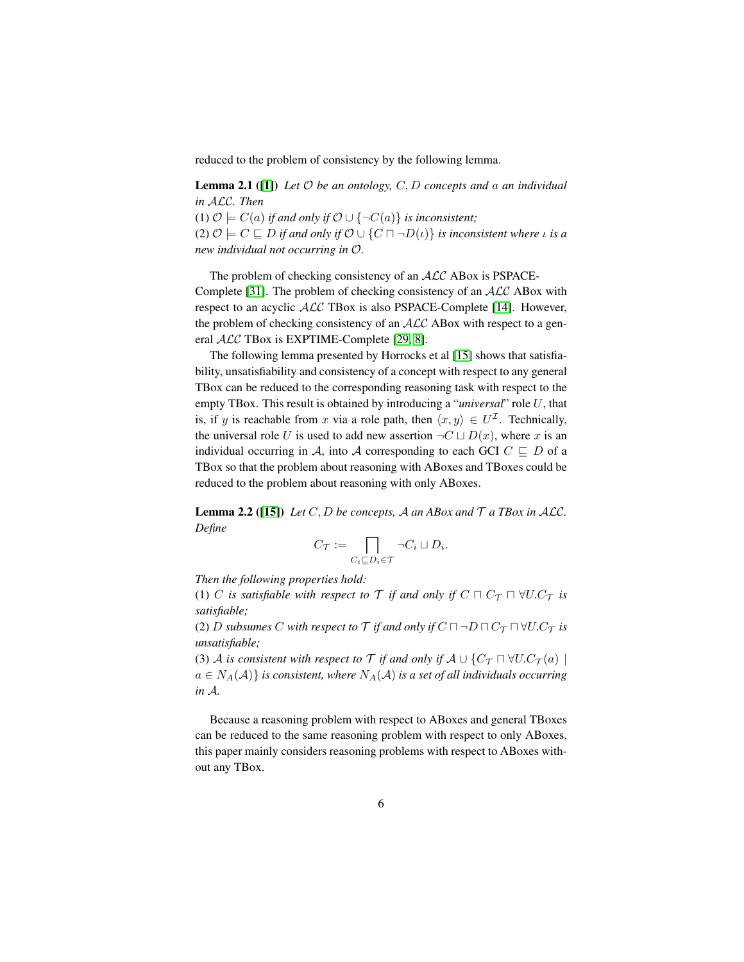<span id="page-5-0"></span>reduced to the problem of consistency by the following lemma.

Lemma 2.1 ([\[1\]](#page-24-4)) *Let* O *be an ontology,* C, D *concepts and* a *an individual in* ALC*. Then*

(1)  $\mathcal{O}$   $\models$   $C(a)$  *if and only if*  $\mathcal{O}$  ∪ {¬ $C(a)$ } *is inconsistent*;

(2)  $\mathcal{O} \models C \sqsubseteq D$  *if and only if*  $\mathcal{O} \cup \{C \sqcap \neg D(\iota)\}\$  *is inconsistent where*  $\iota$  *is a new individual not occurring in* O*.*

The problem of checking consistency of an  $ALC$  ABox is PSPACE-Complete [\[31\]](#page-26-7). The problem of checking consistency of an  $ALC$  ABox with respect to an acyclic ALC TBox is also PSPACE-Complete [\[14\]](#page-25-11). However, the problem of checking consistency of an  $ALC$  ABox with respect to a general ALC TBox is EXPTIME-Complete [\[29,](#page-26-8) [8\]](#page-24-6).

The following lemma presented by Horrocks et al [\[15\]](#page-25-12) shows that satisfiability, unsatisfiability and consistency of a concept with respect to any general TBox can be reduced to the corresponding reasoning task with respect to the empty TBox. This result is obtained by introducing a "*universal*" role U, that is, if y is reachable from x via a role path, then  $\langle x, y \rangle \in U^{\mathcal{I}}$ . Technically, the universal role U is used to add new assertion  $\neg C \sqcup D(x)$ , where x is an individual occurring in A, into A corresponding to each GCI  $C \subseteq D$  of a TBox so that the problem about reasoning with ABoxes and TBoxes could be reduced to the problem about reasoning with only ABoxes.

<span id="page-5-1"></span>**Lemma 2.2** ([\[15\]](#page-25-12)) *Let*  $C$ ,  $D$  *be concepts,*  $A$  *an ABox and*  $T$  *a TBox in ALC*. *Define*

$$
C_{\mathcal{T}} := \bigcap_{C_i \sqsubseteq D_i \in \mathcal{T}} \neg C_i \sqcup D_i.
$$

*Then the following properties hold:*

(1) C *is satisfiable with respect to*  $\mathcal T$  *if and only if*  $C \sqcap C_{\mathcal T} \sqcap \forall U.C_{\mathcal T}$  *is satisfiable;*

(2) D subsumes C with respect to  $\mathcal T$  *if and only if*  $C \sqcap \neg D \sqcap C_{\mathcal T} \sqcap \forall U.C_{\mathcal T}$  *is unsatisfiable;*

(3) A *is consistent with respect to*  $\mathcal T$  *if and only if*  $A \cup \{C_{\mathcal T} \cap \forall U.C_{\mathcal T}(a) \mid$  $a \in N_A(\mathcal{A})$  *is consistent, where*  $N_A(\mathcal{A})$  *is a set of all individuals occurring in* A*.*

Because a reasoning problem with respect to ABoxes and general TBoxes can be reduced to the same reasoning problem with respect to only ABoxes, this paper mainly considers reasoning problems with respect to ABoxes without any TBox.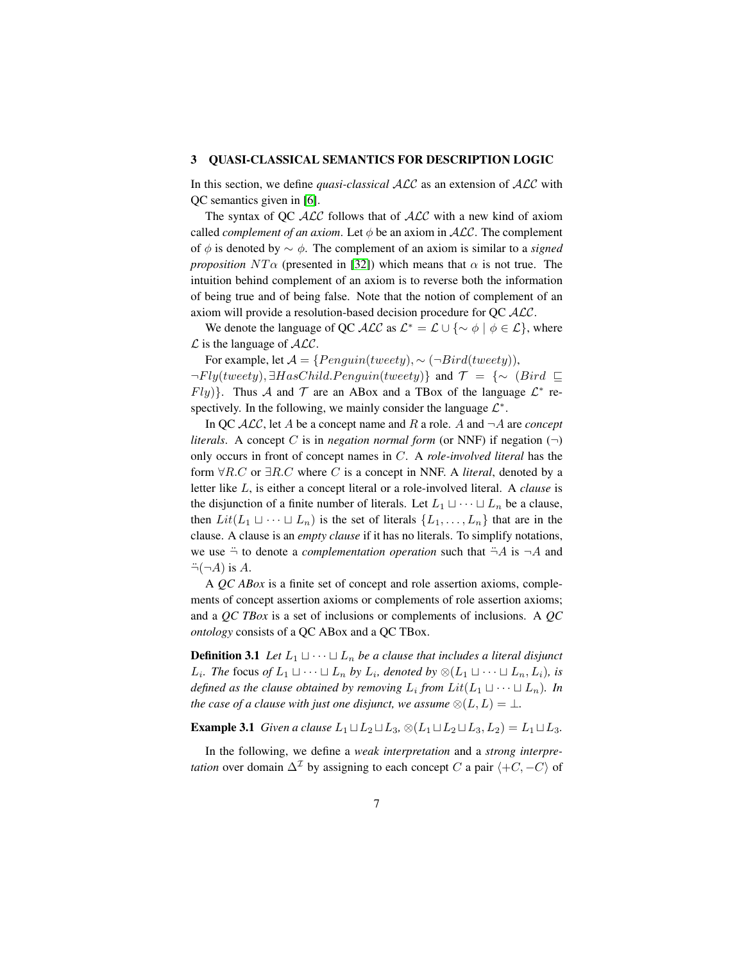### <span id="page-6-0"></span>3 QUASI-CLASSICAL SEMANTICS FOR DESCRIPTION LOGIC

In this section, we define *quasi-classical* ALC as an extension of ALC with QC semantics given in [\[6\]](#page-24-3).

The syntax of QC  $\mathcal{ALC}$  follows that of  $\mathcal{ALC}$  with a new kind of axiom called *complement of an axiom*. Let  $\phi$  be an axiom in  $ALC$ . The complement of  $\phi$  is denoted by  $\sim \phi$ . The complement of an axiom is similar to a *signed proposition*  $NT\alpha$  (presented in [\[32\]](#page-26-9)) which means that  $\alpha$  is not true. The intuition behind complement of an axiom is to reverse both the information of being true and of being false. Note that the notion of complement of an axiom will provide a resolution-based decision procedure for QC ALC.

We denote the language of QC  $\mathcal{ALC}$  as  $\mathcal{L}^* = \mathcal{L} \cup \{\sim \phi \mid \phi \in \mathcal{L}\}\,$ , where  $\mathcal L$  is the language of  $\mathcal{ALC}$ .

For example, let  $A = {Penguin(tweety), \sim (\neg Bird(tweety))},$  $\neg Fly(tweety), \exists HasChild.Penguin(tweety)\}\$ and  $\mathcal{T} = \{\sim (Bird \sqsubseteq \mathcal{I})\}$  $Fly$ }. Thus A and T are an ABox and a TBox of the language  $\mathcal{L}^*$  respectively. In the following, we mainly consider the language  $\mathcal{L}^*$ .

In QC  $ALC$ , let A be a concept name and R a role. A and  $\neg A$  are *concept literals.* A concept C is in *negation normal form* (or NNF) if negation  $(\neg)$ only occurs in front of concept names in C. A *role-involved literal* has the form ∀R.C or ∃R.C where C is a concept in NNF. A *literal*, denoted by a letter like L, is either a concept literal or a role-involved literal. A *clause* is the disjunction of a finite number of literals. Let  $L_1 \sqcup \cdots \sqcup L_n$  be a clause, then  $Lit(L_1 \sqcup \cdots \sqcup L_n)$  is the set of literals  $\{L_1, \ldots, L_n\}$  that are in the clause. A clause is an *empty clause* if it has no literals. To simplify notations, we use  $\ddot{\neg}$  to denote a *complementation operation* such that  $\ddot{\neg}A$  is  $\neg A$  and  $\ddot{\neg}(\neg A)$  is A.

A *QC ABox* is a finite set of concept and role assertion axioms, complements of concept assertion axioms or complements of role assertion axioms; and a *QC TBox* is a set of inclusions or complements of inclusions. A *QC ontology* consists of a QC ABox and a QC TBox.

**Definition 3.1** Let  $L_1 \sqcup \cdots \sqcup L_n$  be a clause that includes a literal disjunct *L*<sub>*i*</sub>. The focus of *L*<sub>1</sub>  $\sqcup \cdots \sqcup L_n$  *by L*<sub>*i*</sub>, *denoted by* ⊗(*L*<sub>1</sub>  $\sqcup \cdots \sqcup L_n$ , *L*<sub>*i*</sub>), *is defined as the clause obtained by removing*  $L_i$  *from*  $Lit(L_1 \sqcup \cdots \sqcup L_n)$ *. In the case of a clause with just one disjunct, we assume*  $\otimes$   $(L, L) = \bot$ *.* 

**Example 3.1** *Given a clause*  $L_1 \sqcup L_2 \sqcup L_3$ ,  $\otimes (L_1 \sqcup L_2 \sqcup L_3, L_2) = L_1 \sqcup L_3$ .

In the following, we define a *weak interpretation* and a *strong interpretation* over domain  $\Delta^{\mathcal{I}}$  by assigning to each concept C a pair  $\langle +C, -C \rangle$  of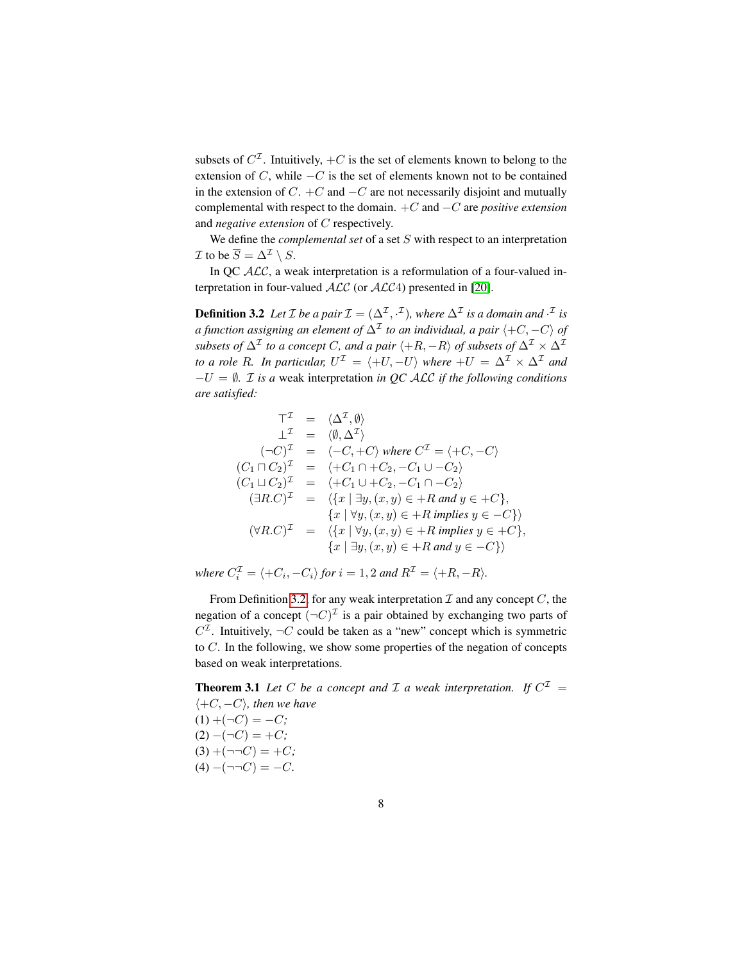subsets of  $C^{\mathcal{I}}$ . Intuitively,  $+C$  is the set of elements known to belong to the extension of C, while  $-C$  is the set of elements known not to be contained in the extension of  $C$ . + $C$  and  $-C$  are not necessarily disjoint and mutually complemental with respect to the domain. +C and −C are *positive extension* and *negative extension* of C respectively.

We define the *complemental set* of a set S with respect to an interpretation  $\mathcal I$  to be  $\overline{S} = \Delta^{\mathcal I} \setminus S$ .

In OC  $ALC$ , a weak interpretation is a reformulation of a four-valued interpretation in four-valued  $ALC$  (or  $ALC4$ ) presented in [\[20\]](#page-25-6).

<span id="page-7-0"></span>**Definition 3.2** Let  $\mathcal{I}$  be a pair  $\mathcal{I} = (\Delta^{\mathcal{I}}, \cdot^{\mathcal{I}})$ , where  $\Delta^{\mathcal{I}}$  is a domain and  $\cdot^{\mathcal{I}}$  is *a function assigning an element of*  $\Delta^{\mathcal{I}}$  *to an individual, a pair*  $\langle+C,-C\rangle$  *of subsets of*  $\Delta^{\mathcal{I}}$  *to a concept* C, and a pair  $\langle +R, -R \rangle$  *of subsets of*  $\Delta^{\mathcal{I}} \times \Delta^{\mathcal{I}}$ *to a role R. In particular,*  $U^{\mathcal{I}} = \langle +U, -U \rangle$  where  $+U = \Delta^{\mathcal{I}} \times \Delta^{\mathcal{I}}$  and −U = ∅*.* I *is a* weak interpretation *in QC* ALC *if the following conditions are satisfied:*

$$
\begin{aligned}\n\top^{\mathcal{I}} &= \langle \Delta^{\mathcal{I}}, \emptyset \rangle \\
\bot^{\mathcal{I}} &= \langle \emptyset, \Delta^{\mathcal{I}} \rangle \\
(\neg C)^{\mathcal{I}} &= \langle -C, +C \rangle \text{ where } C^{\mathcal{I}} = \langle +C, -C \rangle \\
(C_1 \sqcap C_2)^{\mathcal{I}} &= \langle +C_1 \cap +C_2, -C_1 \cup -C_2 \rangle \\
(C_1 \sqcup C_2)^{\mathcal{I}} &= \langle +C_1 \cup +C_2, -C_1 \cap -C_2 \rangle \\
(\exists R.C)^{\mathcal{I}} &= \langle \{x \mid \exists y, (x, y) \in +R \text{ and } y \in +C \}, \\
\{x \mid \forall y, (x, y) \in +R \text{ implies } y \in -C \} \rangle \\
(\forall R.C)^{\mathcal{I}} &= \langle \{x \mid \forall y, (x, y) \in +R \text{ implies } y \in +C \}, \\
\{x \mid \exists y, (x, y) \in +R \text{ and } y \in -C \} \rangle\n\end{aligned}
$$

where  $C_i^{\mathcal{I}} = \langle +C_i, -C_i \rangle$  for  $i = 1, 2$  and  $R^{\mathcal{I}} = \langle +R, -R \rangle$ .

From Definition [3.2,](#page-7-0) for any weak interpretation  $\mathcal I$  and any concept  $C$ , the negation of a concept  $(\neg C)^{\mathcal{I}}$  is a pair obtained by exchanging two parts of  $C^{\mathcal{I}}$ . Intuitively,  $\neg C$  could be taken as a "new" concept which is symmetric to C. In the following, we show some properties of the negation of concepts based on weak interpretations.

<span id="page-7-1"></span>**Theorem 3.1** Let C be a concept and  $\mathcal I$  a weak interpretation. If  $C^{\mathcal I}$  =  $\langle +C, -C \rangle$ *, then we have*  $(1) + (\neg C) = -C;$  $(2) - (\neg C) = +C;$  $(3) + (\neg\neg C) = +C$ ;  $(4) - (-\neg C) = -C.$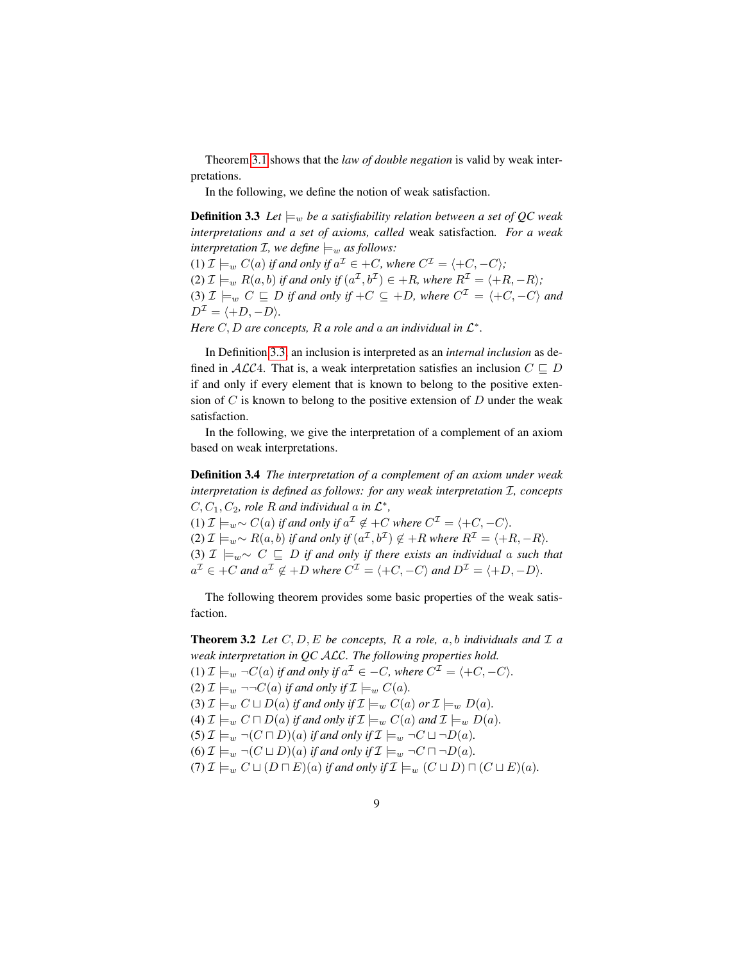Theorem [3.1](#page-7-1) shows that the *law of double negation* is valid by weak interpretations.

<span id="page-8-0"></span>In the following, we define the notion of weak satisfaction.

**Definition 3.3** *Let*  $\models_w$  *be a satisfiability relation between a set of QC weak interpretations and a set of axioms, called* weak satisfaction*. For a weak interpretation*  $I$ *, we define*  $\models_w$  *as follows:* (1)  $\mathcal{I} \models_w C(a)$  if and only if  $a^{\mathcal{I}} \in +C$ , where  $C^{\mathcal{I}} = \langle +C, -C \rangle$ ; (2)  $\mathcal{I} \models_w R(a, b)$  if and only if  $(a^{\mathcal{I}}, b^{\mathcal{I}}) \in +R$ , where  $R^{\mathcal{I}} = \langle +R, -R \rangle$ ; (3)  $\mathcal{I} \models_w C \sqsubseteq D$  if and only if  $+C \subseteq +D$ , where  $C^{\mathcal{I}} = \langle +C, -C \rangle$  and  $D^{\mathcal{I}} = \langle +D, -D \rangle.$ 

*Here*  $C, D$  *are concepts, R a role and a an individual in*  $\mathcal{L}^*$ *.* 

In Definition [3.3,](#page-8-0) an inclusion is interpreted as an *internal inclusion* as defined in ALC4. That is, a weak interpretation satisfies an inclusion  $C \subseteq D$ if and only if every element that is known to belong to the positive extension of  $C$  is known to belong to the positive extension of  $D$  under the weak satisfaction.

In the following, we give the interpretation of a complement of an axiom based on weak interpretations.

<span id="page-8-2"></span>Definition 3.4 *The interpretation of a complement of an axiom under weak interpretation is defined as follows: for any weak interpretation*  $I$ *, concepts*  $C, C_1, C_2$ , role R and individual a in  $\mathcal{L}^*$ ,

(1)  $\mathcal{I} \models_w \sim C(a)$  *if and only if*  $a^{\mathcal{I}} \notin C$  *where*  $C^{\mathcal{I}} = \langle C, -C \rangle$ *.* (2)  $\mathcal{I} \models_w \sim R(a, b)$  if and only if  $(a^{\mathcal{I}}, b^{\mathcal{I}}) \notin +R$  where  $R^{\mathcal{I}} = \langle +R, -R \rangle$ . (3)  $\mathcal{I} \models_w \sim C \sqsubseteq D$  *if and only if there exists an individual a such that*  $a^{\mathcal{I}} \in +C$  and  $a^{\mathcal{I}} \notin +D$  where  $C^{\mathcal{I}} = \langle +C, -C \rangle$  and  $D^{\mathcal{I}} = \langle +D, -D \rangle$ *.* 

The following theorem provides some basic properties of the weak satisfaction.

<span id="page-8-1"></span>**Theorem 3.2** Let  $C, D, E$  be concepts, R a role, a, b individuals and  $\mathcal{I}$  a *weak interpretation in QC* ALC*. The following properties hold.* (1)  $\mathcal{I} \models_w \neg C(a)$  *if and only if*  $a^{\mathcal{I}} \in -C$ *, where*  $C^{\mathcal{I}} = \langle +C, -C \rangle$ *.* (2)  $\mathcal{I} \models_w \neg \neg C(a)$  *if and only if*  $\mathcal{I} \models_w C(a)$ *.* (3)  $\mathcal{I} \models_w C \sqcup D(a)$  *if and only if*  $\mathcal{I} \models_w C(a)$  *or*  $\mathcal{I} \models_w D(a)$ *.* (4)  $\mathcal{I} \models_w C \sqcap D(a)$  *if and only if*  $\mathcal{I} \models_w C(a)$  *and*  $\mathcal{I} \models_w D(a)$ *.* (5)  $\mathcal{I} \models_w \neg(C \sqcap D)(a)$  *if and only if*  $\mathcal{I} \models_w \neg C \sqcup \neg D(a)$ *.* (6)  $\mathcal{I} \models_w \neg (C \sqcup D)(a)$  *if and only if*  $\mathcal{I} \models_w \neg C \sqcap \neg D(a)$ *.* (7)  $\mathcal{I} \models_w C \sqcup (D \sqcap E)(a)$  *if and only if*  $\mathcal{I} \models_w (C \sqcup D) \sqcap (C \sqcup E)(a)$ *.*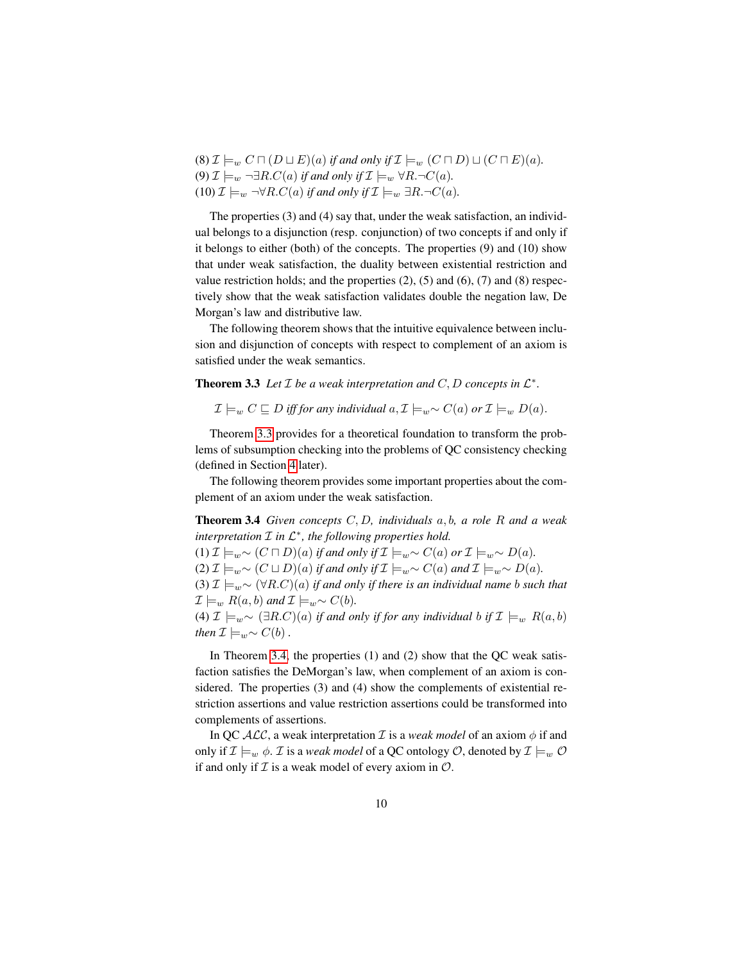(8)  $\mathcal{I} \models_w C \sqcap (D \sqcup E)(a)$  *if and only if*  $\mathcal{I} \models_w (C \sqcap D) \sqcup (C \sqcap E)(a)$ *.* (9)  $\mathcal{I} \models_w \neg \exists R.C(a)$  *if and only if*  $\mathcal{I} \models_w \forall R.\neg C(a)$ *.*  $(10)$   $\mathcal{I} \models_w \neg \forall R.C(a)$  *if and only if*  $\mathcal{I} \models_w \exists R.\neg C(a)$ *.* 

The properties (3) and (4) say that, under the weak satisfaction, an individual belongs to a disjunction (resp. conjunction) of two concepts if and only if it belongs to either (both) of the concepts. The properties (9) and (10) show that under weak satisfaction, the duality between existential restriction and value restriction holds; and the properties  $(2)$ ,  $(5)$  and  $(6)$ ,  $(7)$  and  $(8)$  respectively show that the weak satisfaction validates double the negation law, De Morgan's law and distributive law.

The following theorem shows that the intuitive equivalence between inclusion and disjunction of concepts with respect to complement of an axiom is satisfied under the weak semantics.

**Theorem 3.3** Let  $\mathcal I$  be a weak interpretation and  $C, D$  concepts in  $\mathcal L^*$ .

<span id="page-9-1"></span><span id="page-9-0"></span> $\mathcal{I} \models_w C \sqsubseteq D$  *iff for any individual*  $a, \mathcal{I} \models_w \sim C(a)$  *or*  $\mathcal{I} \models_w D(a)$ .

Theorem [3.3](#page-9-0) provides for a theoretical foundation to transform the problems of subsumption checking into the problems of QC consistency checking (defined in Section [4](#page-15-0) later).

The following theorem provides some important properties about the complement of an axiom under the weak satisfaction.

Theorem 3.4 *Given concepts* C, D*, individuals* a, b*, a role* R *and a weak*  $\mathcal{I}$  *in L*\*, the following properties hold.

(1)  $\mathcal{I} \models_{w} \sim (C \sqcap D)(a)$  *if and only if*  $\mathcal{I} \models_{w} \sim C(a)$  *or*  $\mathcal{I} \models_{w} \sim D(a)$ *.* 

(2)  $\mathcal{I} \models_{w} \sim (C \sqcup D)(a)$  *if and only if*  $\mathcal{I} \models_{w} \sim C(a)$  *and*  $\mathcal{I} \models_{w} \sim D(a)$ *.* 

(3)  $\mathcal{I} \models_{w} \sim (\forall R.C)(a)$  *if and only if there is an individual name b such that*  $\mathcal{I} \models_w R(a, b)$  *and*  $\mathcal{I} \models_w \sim C(b)$ *.* 

(4)  $\mathcal{I} \models_{w} \sim (\exists R.C)(a)$  *if and only if for any individual b if*  $\mathcal{I} \models_{w} R(a, b)$ *then*  $\mathcal{I} \models_w \sim C(b)$ .

In Theorem [3.4,](#page-9-1) the properties (1) and (2) show that the QC weak satisfaction satisfies the DeMorgan's law, when complement of an axiom is considered. The properties (3) and (4) show the complements of existential restriction assertions and value restriction assertions could be transformed into complements of assertions.

In QC  $ALC$ , a weak interpretation  $\mathcal I$  is a *weak model* of an axiom  $\phi$  if and only if  $\mathcal{I} \models_w \phi$ . *I* is a *weak model* of a QC ontology *O*, denoted by  $\mathcal{I} \models_w \mathcal{O}$ if and only if  $\mathcal I$  is a weak model of every axiom in  $\mathcal O$ .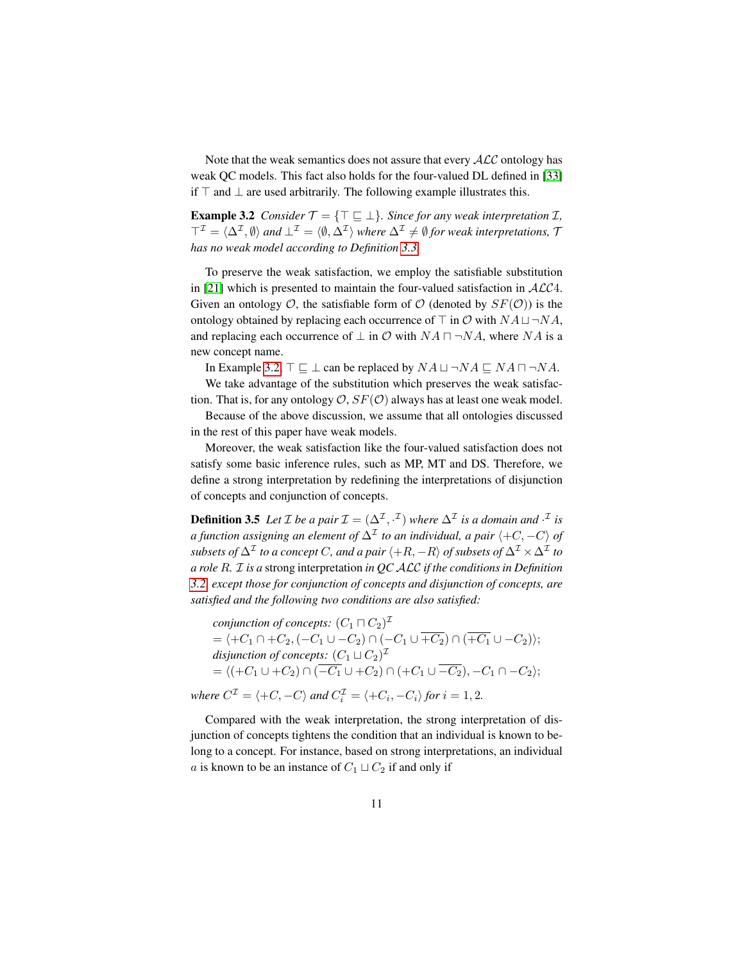Note that the weak semantics does not assure that every  $\cal{ALC}$  ontology has weak QC models. This fact also holds for the four-valued DL defined in [\[33\]](#page-26-3) if  $⊤$  and  $⊥$  are used arbitrarily. The following example illustrates this.

<span id="page-10-0"></span>**Example 3.2** *Consider*  $\mathcal{T} = {\mathcal{T} \sqsubseteq \bot}$ *. Since for any weak interpretation*  $\mathcal{I}$ *,*  $\top^{\mathcal{I}} = \langle \Delta^{\mathcal{I}}, \emptyset \rangle$  and  $\bot^{\mathcal{I}} = \langle \emptyset, \Delta^{\mathcal{I}} \rangle$  where  $\Delta^{\mathcal{I}} \neq \emptyset$  for weak interpretations,  $\mathcal{I}$ *has no weak model according to Definition [3.3.](#page-8-0)*

To preserve the weak satisfaction, we employ the satisfiable substitution in [\[21\]](#page-25-7) which is presented to maintain the four-valued satisfaction in  $ALC4$ . Given an ontology  $\mathcal{O}$ , the satisfiable form of  $\mathcal{O}$  (denoted by  $SF(\mathcal{O})$ ) is the ontology obtained by replacing each occurrence of  $\top$  in  $\mathcal{O}$  with  $NA \sqcup \neg NA$ , and replacing each occurrence of  $\perp$  in  $\mathcal O$  with  $NA \sqcap \neg NA$ , where  $NA$  is a new concept name.

In Example [3.2,](#page-10-0)  $\top \sqsubseteq \bot$  can be replaced by  $NA \sqcup \neg NA \sqsubseteq NA \sqcap \neg NA$ .

We take advantage of the substitution which preserves the weak satisfaction. That is, for any ontology  $\mathcal{O}, SF(\mathcal{O})$  always has at least one weak model.

Because of the above discussion, we assume that all ontologies discussed in the rest of this paper have weak models.

Moreover, the weak satisfaction like the four-valued satisfaction does not satisfy some basic inference rules, such as MP, MT and DS. Therefore, we define a strong interpretation by redefining the interpretations of disjunction of concepts and conjunction of concepts.

<span id="page-10-1"></span>**Definition 3.5** Let *I* be a pair  $\mathcal{I} = (\Delta^{\mathcal{I}}, \cdot^{\mathcal{I}})$  where  $\Delta^{\mathcal{I}}$  is a domain and  $\cdot^{\mathcal{I}}$  is *a function assigning an element of*  $\Delta^{\mathcal{I}}$  *to an individual, a pair*  $\langle+C,-C\rangle$  *of*  $subsets$  of  $\Delta^\mathcal{I}$  to a concept  $C$ , and a pair  $\langle +R,-R\rangle$  of subsets of  $\Delta^\mathcal{I}\times\Delta^\mathcal{I}$  to *a role* R*.* I *is a* strong interpretation *in QC* ALC *if the conditions in Definition [3.2,](#page-7-0) except those for conjunction of concepts and disjunction of concepts, are satisfied and the following two conditions are also satisfied:*

conjunction of concepts:  $(C_1 \sqcap C_2)^{\mathcal{I}}$  $=\langle +C_1 \cap +C_2,(-C_1 \cup -C_2) \cap (-C_1 \cup +C_2) \cap (+C_1 \cup -C_2) \rangle;$ disjunction of concepts:  $(C_1 \sqcup C_2)^{\mathcal{I}}$  $= \langle (+C_1 \cup +C_2) \cap (\overline{-C_1} \cup +C_2) \cap (+C_1 \cup \overline{-C_2}), -C_1 \cap -C_2 \rangle;$ *where*  $C^{\mathcal{I}} = \langle +C, -C \rangle$  and  $C_i^{\mathcal{I}} = \langle +C_i, -C_i \rangle$  for  $i = 1, 2$ .

Compared with the weak interpretation, the strong interpretation of disjunction of concepts tightens the condition that an individual is known to belong to a concept. For instance, based on strong interpretations, an individual a is known to be an instance of  $C_1 \sqcup C_2$  if and only if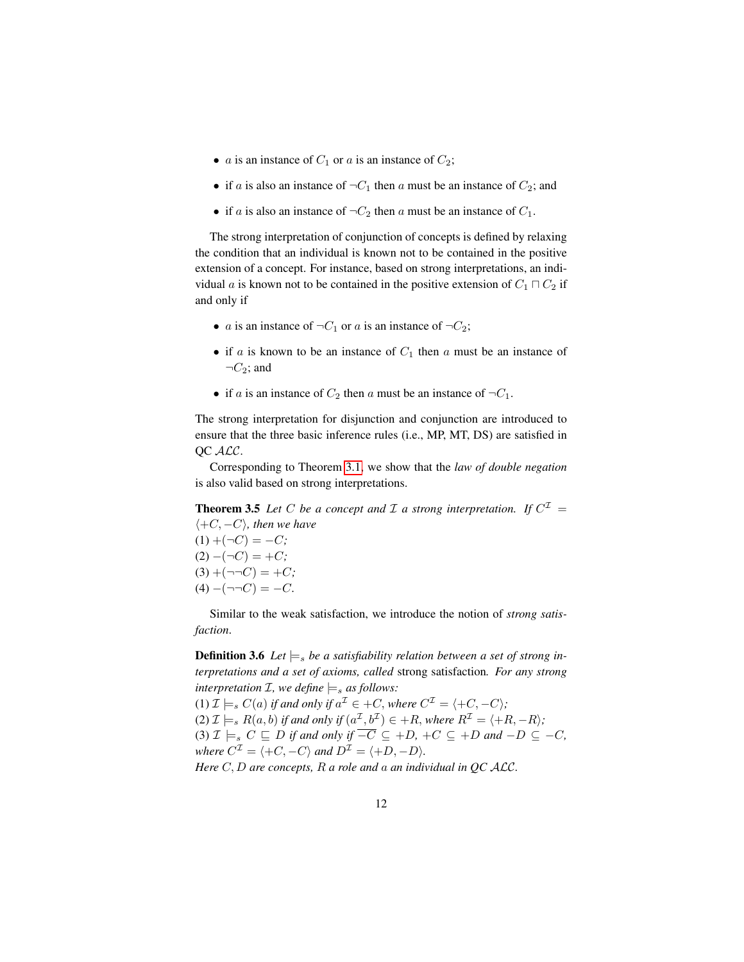- *a* is an instance of  $C_1$  or *a* is an instance of  $C_2$ ;
- if a is also an instance of  $\neg C_1$  then a must be an instance of  $C_2$ ; and
- if a is also an instance of  $\neg C_2$  then a must be an instance of  $C_1$ .

The strong interpretation of conjunction of concepts is defined by relaxing the condition that an individual is known not to be contained in the positive extension of a concept. For instance, based on strong interpretations, an individual a is known not to be contained in the positive extension of  $C_1 \sqcap C_2$  if and only if

- a is an instance of  $\neg C_1$  or a is an instance of  $\neg C_2$ ;
- if a is known to be an instance of  $C_1$  then a must be an instance of  $\neg C_2$ ; and
- <span id="page-11-1"></span>• if a is an instance of  $C_2$  then a must be an instance of  $\neg C_1$ .

The strong interpretation for disjunction and conjunction are introduced to ensure that the three basic inference rules (i.e., MP, MT, DS) are satisfied in OC ALC.

Corresponding to Theorem [3.1,](#page-7-1) we show that the *law of double negation* is also valid based on strong interpretations.

**Theorem 3.5** Let C be a concept and  $\mathcal I$  a strong interpretation. If  $C^{\mathcal I}$  =  $\langle +C, -C \rangle$ *, then we have* 

 $(1) + (\neg C) = -C;$  $(2) - (\neg C) = +C$ ;  $(3) + (\neg\neg C) = +C;$  $(4) - (\neg \neg C) = -C.$ 

<span id="page-11-0"></span>Similar to the weak satisfaction, we introduce the notion of *strong satisfaction*.

**Definition 3.6** Let  $\models_s$  be a satisfiability relation between a set of strong in*terpretations and a set of axioms, called* strong satisfaction*. For any strong interpretation*  $I$ *, we define*  $\models_s$  *as follows:* 

(1)  $\mathcal{I} \models_s C(a)$  if and only if  $a^{\mathcal{I}} \in +C$ , where  $C^{\mathcal{I}} = \langle +C, -C \rangle$ ; (2)  $\mathcal{I} \models_s R(a, b)$  if and only if  $(a^{\mathcal{I}}, b^{\mathcal{I}}) \in +R$ , where  $R^{\mathcal{I}} = \langle +R, -R \rangle$ ; (3)  $\mathcal{I} \models_s C \sqsubseteq D$  *if and only if*  $\overline{-C} \subseteq +D$ ,  $+C \subseteq +D$  *and*  $-D \subseteq -C$ *, where*  $C^{\mathcal{I}} = \langle +C, -C \rangle$  *and*  $D^{\mathcal{I}} = \langle +D, -D \rangle$ *.* 

*Here* C, D *are concepts,* R *a role and* a *an individual in QC* ALC*.*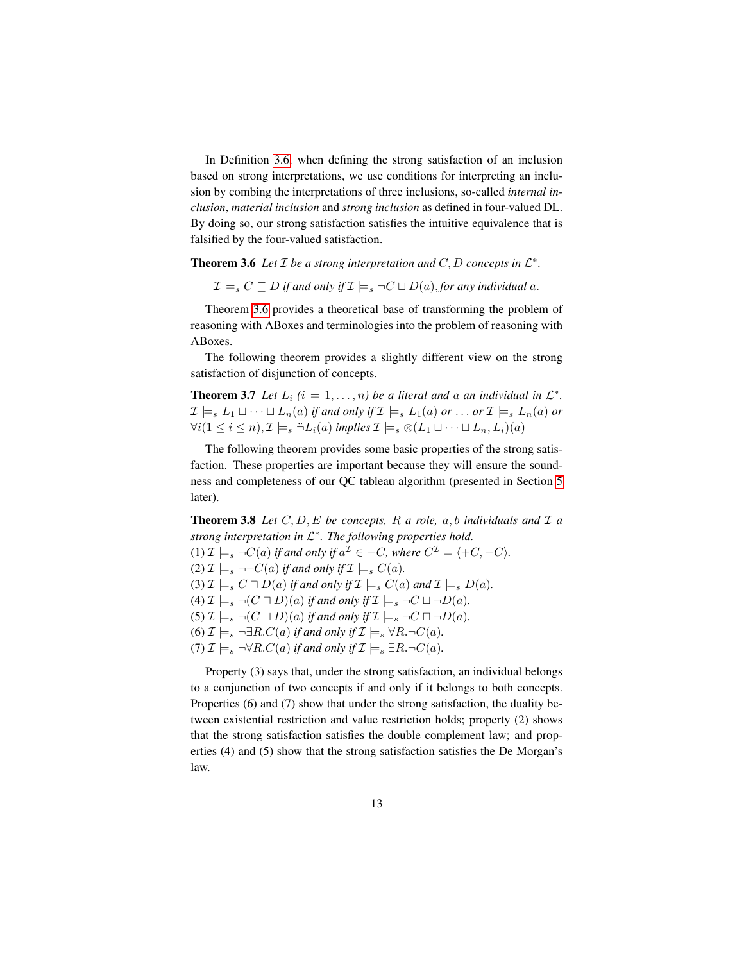In Definition [3.6,](#page-11-0) when defining the strong satisfaction of an inclusion based on strong interpretations, we use conditions for interpreting an inclusion by combing the interpretations of three inclusions, so-called *internal inclusion*, *material inclusion* and *strong inclusion* as defined in four-valued DL. By doing so, our strong satisfaction satisfies the intuitive equivalence that is falsified by the four-valued satisfaction.

<span id="page-12-0"></span>**Theorem 3.6** Let  $I$  be a strong interpretation and  $C, D$  concepts in  $L^*$ .

<span id="page-12-2"></span> $\mathcal{I} \models_s C \sqsubseteq D$  *if and only if*  $\mathcal{I} \models_s \neg C \sqcup D(a)$ , *for any individual a.* 

Theorem [3.6](#page-12-0) provides a theoretical base of transforming the problem of reasoning with ABoxes and terminologies into the problem of reasoning with ABoxes.

The following theorem provides a slightly different view on the strong satisfaction of disjunction of concepts.

**Theorem 3.7** Let  $L_i$   $(i = 1, ..., n)$  be a literal and a an individual in  $\mathcal{L}^*$ .  $\mathcal{I} \models_s L_1 \sqcup \cdots \sqcup L_n(a)$  *if and only if*  $\mathcal{I} \models_s L_1(a)$  *or* ... *or*  $\mathcal{I} \models_s L_n(a)$  *or*  $\forall i(1 \leq i \leq n), \mathcal{I} \models_s \exists L_i(a) \text{ implies } \mathcal{I} \models_s \otimes (L_1 \sqcup \cdots \sqcup L_n, L_i)(a)$ 

The following theorem provides some basic properties of the strong satisfaction. These properties are important because they will ensure the soundness and completeness of our QC tableau algorithm (presented in Section [5](#page-17-0) later).

<span id="page-12-1"></span>**Theorem 3.8** Let  $C, D, E$  be concepts, R a role, a, b individuals and  $\mathcal{I}$  a *strong interpretation in* L ∗ *. The following properties hold.* (1)  $\mathcal{I} \models_s \neg C(a)$  if and only if  $a^{\mathcal{I}} \in -C$ , where  $C^{\mathcal{I}} = \langle +C, -C \rangle$ . (2)  $\mathcal{I} \models_s \neg \neg C(a)$  *if and only if*  $\mathcal{I} \models_s C(a)$ *.* (3)  $\mathcal{I} \models_s C \sqcap D(a)$  *if and only if*  $\mathcal{I} \models_s C(a)$  *and*  $\mathcal{I} \models_s D(a)$ *.* (4)  $\mathcal{I} \models_s \neg (C \sqcap D)(a)$  *if and only if*  $\mathcal{I} \models_s \neg C \sqcup \neg D(a)$ *.* (5)  $\mathcal{I} \models_s \neg (C \sqcup D)(a)$  *if and only if*  $\mathcal{I} \models_s \neg C \sqcap \neg D(a)$ *.* (6)  $\mathcal{I} \models_s \neg \exists R.C(a)$  *if and only if*  $\mathcal{I} \models_s \forall R.\neg C(a)$ *.* (7)  $\mathcal{I} \models_s \neg \forall R.C(a)$  *if and only if*  $\mathcal{I} \models_s \exists R.\neg C(a)$ *.* 

<span id="page-12-3"></span>Property (3) says that, under the strong satisfaction, an individual belongs to a conjunction of two concepts if and only if it belongs to both concepts. Properties (6) and (7) show that under the strong satisfaction, the duality between existential restriction and value restriction holds; property (2) shows that the strong satisfaction satisfies the double complement law; and properties (4) and (5) show that the strong satisfaction satisfies the De Morgan's law.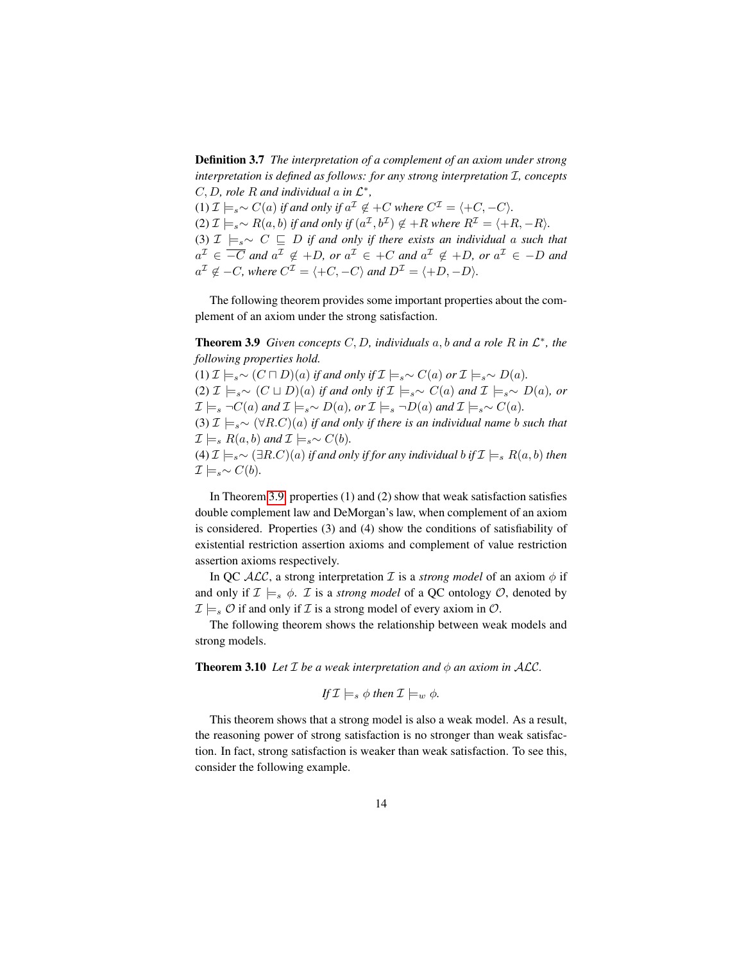Definition 3.7 *The interpretation of a complement of an axiom under strong interpretation is defined as follows: for any strong interpretation*  $I$ *, concepts* C, D, role R and individual  $\alpha$  in  $\mathcal{L}^*$ ,

(1)  $\mathcal{I} \models_{s} \sim C(a)$  *if and only if*  $a^{\mathcal{I}} \notin C$  *where*  $C^{\mathcal{I}} = \langle C, -C \rangle$ *.*  $(2)$   $\mathcal{I} \models_{s} \sim R(a, b)$  if and only if  $(a^{\mathcal{I}}, b^{\mathcal{I}}) \notin +R$  where  $R^{\mathcal{I}} = \langle +R, -R \rangle$ . (3)  $\mathcal{I} \models_{s \sim} C \sqsubseteq D$  *if and only if there exists an individual a such that*  $a^{\mathcal{I}} \in \overline{-C}$  and  $a^{\mathcal{I}} \notin +D$ , or  $a^{\mathcal{I}} \in +C$  and  $a^{\mathcal{I}} \notin +D$ , or  $a^{\mathcal{I}} \in -D$  and  $a^{\mathcal{I}} \notin -C$ , where  $C^{\mathcal{I}} = \langle +C, -C \rangle$  and  $D^{\mathcal{I}} = \langle +D, -D \rangle$ .

<span id="page-13-0"></span>The following theorem provides some important properties about the complement of an axiom under the strong satisfaction.

**Theorem 3.9** *Given concepts*  $C, D$ *, individuals*  $a, b$  *and*  $a$  *role*  $R$  *in*  $\mathcal{L}^*$ *, the following properties hold.*

(1)  $\mathcal{I} \models_{s} \sim (C \sqcap D)(a)$  *if and only if*  $\mathcal{I} \models_{s} \sim C(a)$  *or*  $\mathcal{I} \models_{s} \sim D(a)$ *.* (2)  $\mathcal{I} \models_{s \sim} (C \sqcup D)(a)$  *if and only if*  $\mathcal{I} \models_{s \sim} C(a)$  *and*  $\mathcal{I} \models_{s \sim} D(a)$ *, or*  $\mathcal{I} \models_s \neg C(a)$  *and*  $\mathcal{I} \models_s \sim D(a)$ *, or*  $\mathcal{I} \models_s \neg D(a)$  *and*  $\mathcal{I} \models_s \sim C(a)$ *.* 

(3)  $\mathcal{I} \models_{s} \sim (\forall R.C)(a)$  *if and only if there is an individual name b such that*  $\mathcal{I} \models_{s} R(a, b)$  *and*  $\mathcal{I} \models_{s} \sim C(b)$ *.* 

(4)  $\mathcal{I} \models_{s} \sim (\exists R.C)(a)$  *if and only if for any individual b if*  $\mathcal{I} \models_{s} R(a, b)$  *then*  $\mathcal{I} \models_{s \sim} C(b)$ .

In Theorem [3.9,](#page-13-0) properties (1) and (2) show that weak satisfaction satisfies double complement law and DeMorgan's law, when complement of an axiom is considered. Properties (3) and (4) show the conditions of satisfiability of existential restriction assertion axioms and complement of value restriction assertion axioms respectively.

In QC  $ALC$ , a strong interpretation  $\mathcal I$  is a *strong model* of an axiom  $\phi$  if and only if  $\mathcal{I} \models_s \phi$ . *I* is a *strong model* of a QC ontology *O*, denoted by  $\mathcal{I} \models_{s} \mathcal{O}$  if and only if  $\mathcal{I}$  is a strong model of every axiom in  $\mathcal{O}$ .

<span id="page-13-1"></span>The following theorem shows the relationship between weak models and strong models.

**Theorem 3.10** *Let*  $I$  *be a weak interpretation and*  $\phi$  *an axiom in ALC*.

If 
$$
\mathcal{I} \models_s \phi
$$
 then  $\mathcal{I} \models_w \phi$ .

This theorem shows that a strong model is also a weak model. As a result, the reasoning power of strong satisfaction is no stronger than weak satisfaction. In fact, strong satisfaction is weaker than weak satisfaction. To see this, consider the following example.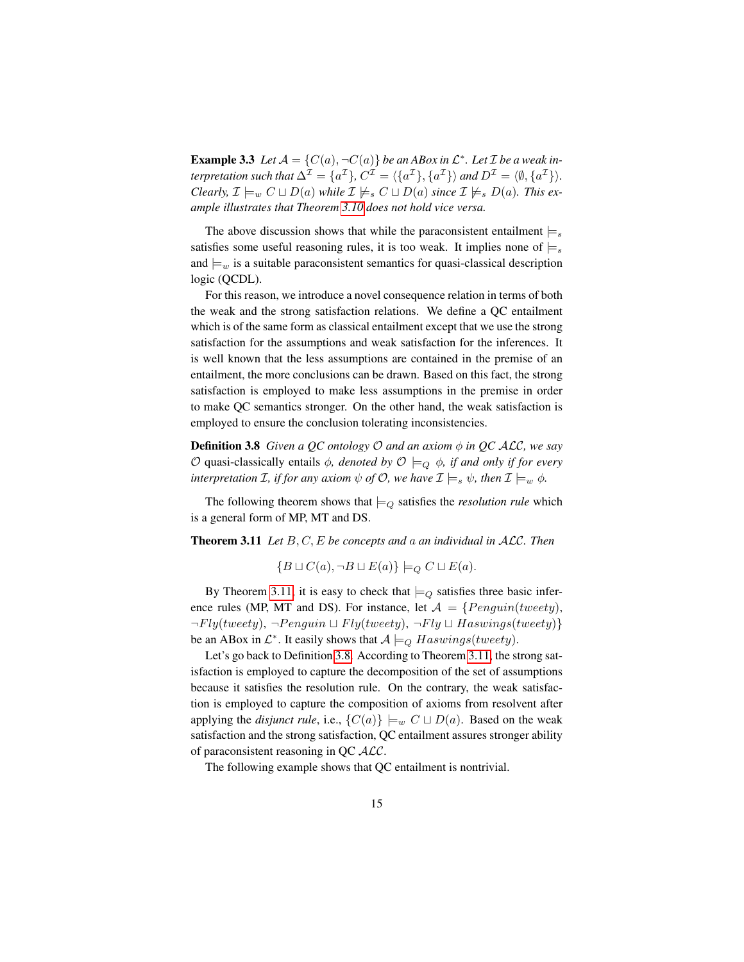**Example 3.3** Let  $A = \{C(a), \neg C(a)\}$  be an ABox in  $\mathcal{L}^*$ . Let  $\mathcal{I}$  be a weak in*terpretation such that*  $\Delta^{\mathcal{I}} = \{a^{\mathcal{I}}\}$ ,  $C^{\mathcal{I}} = \{\{a^{\mathcal{I}}\}, \{a^{\mathcal{I}}\}\}$  *and*  $D^{\mathcal{I}} = \langle \emptyset, \{a^{\mathcal{I}}\}\rangle$ . *Clearly,*  $\mathcal{I} \models_w C \sqcup D(a)$  *while*  $\mathcal{I} \not\models_s C \sqcup D(a)$  *since*  $\mathcal{I} \not\models_s D(a)$ *. This example illustrates that Theorem [3.10](#page-13-1) does not hold vice versa.*

The above discussion shows that while the paraconsistent entailment  $\models_s$ satisfies some useful reasoning rules, it is too weak. It implies none of  $\models_s$ and  $\models_w$  is a suitable paraconsistent semantics for quasi-classical description logic (QCDL).

For this reason, we introduce a novel consequence relation in terms of both the weak and the strong satisfaction relations. We define a QC entailment which is of the same form as classical entailment except that we use the strong satisfaction for the assumptions and weak satisfaction for the inferences. It is well known that the less assumptions are contained in the premise of an entailment, the more conclusions can be drawn. Based on this fact, the strong satisfaction is employed to make less assumptions in the premise in order to make QC semantics stronger. On the other hand, the weak satisfaction is employed to ensure the conclusion tolerating inconsistencies.

Definition 3.8 *Given a QC ontology* O *and an axiom* φ *in QC* ALC*, we say*  $O$  quasi-classically entails *ϕ*, *denoted by*  $O ⊨<sub>O</sub>$  *ϕ*, *if and only if for every interpretation I, if for any axiom*  $\psi$  *of*  $\mathcal{O}$ *, we have*  $\mathcal{I} \models_s \psi$ *, then*  $\mathcal{I} \models_w \phi$ *.* 

The following theorem shows that  $\models_{\mathcal{Q}}$  satisfies the *resolution rule* which is a general form of MP, MT and DS.

Theorem 3.11 *Let* B, C, E *be concepts and* a *an individual in* ALC*. Then*

<span id="page-14-1"></span><span id="page-14-0"></span>
$$
\{B \sqcup C(a), \neg B \sqcup E(a)\} \models_Q C \sqcup E(a).
$$

By Theorem [3.11,](#page-14-0) it is easy to check that  $\models_Q$  satisfies three basic inference rules (MP, MT and DS). For instance, let  $A = \{Penguin(tweety)\}$ ,  $\neg Fly(tweety), \neg Penguin \sqcup Fly(tweety), \neg Fly \sqcup Haswings(tweety)\}$ be an ABox in  $\mathcal{L}^*$ . It easily shows that  $\mathcal{A} \models_Q Haswings(tweety)$ .

Let's go back to Definition [3.8.](#page-14-1) According to Theorem [3.11,](#page-14-0) the strong satisfaction is employed to capture the decomposition of the set of assumptions because it satisfies the resolution rule. On the contrary, the weak satisfaction is employed to capture the composition of axioms from resolvent after applying the *disjunct rule*, i.e.,  $\{C(a)\}\models_w C \sqcup D(a)$ . Based on the weak satisfaction and the strong satisfaction, QC entailment assures stronger ability of paraconsistent reasoning in QC ALC.

The following example shows that QC entailment is nontrivial.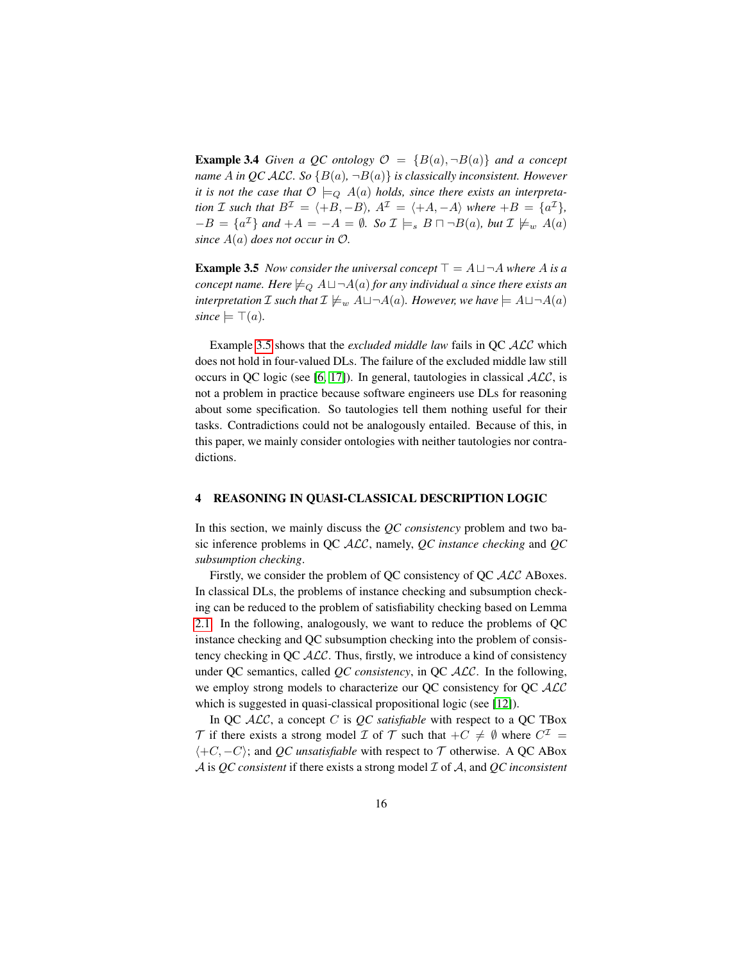**Example 3.4** *Given a QC ontology*  $\mathcal{O} = \{B(a), \neg B(a)\}\$  *and a concept name* A in *QC* ALC. So  ${B(a), \neg B(a)}$  is classically inconsistent. However *it is not the case that*  $\mathcal{O} \models_{Q} A(a)$  *holds, since there exists an interpretation I such that*  $B^{\mathcal{I}} = \langle +B, -B \rangle$ *,*  $A^{\mathcal{I}} = \langle +A, -A \rangle$  *where*  $+B = \{a^{\mathcal{I}}\}$ *,*  $-B = \{a^{\mathcal{I}}\}$  and  $+A = -A = \emptyset$ *. So*  $\mathcal{I} \models_s B \sqcap \neg B(a)$ *, but*  $\mathcal{I} \not\models_w A(a)$ *since* A(a) *does not occur in* O*.*

<span id="page-15-1"></span>**Example 3.5** *Now consider the universal concept*  $\top = A \sqcup \neg A$  *where* A *is a concept name. Here*  $\models_{Q} A \sqcup \neg A(a)$  *for any individual a since there exists an interpretation*  $\mathcal I$  *such that*  $\mathcal I \not\models_w A \sqcup \neg A(a)$ *. However, we have*  $\models A \sqcup \neg A(a)$  $since \models \top(a).$ 

Example [3.5](#page-15-1) shows that the *excluded middle law* fails in QC ALC which does not hold in four-valued DLs. The failure of the excluded middle law still occurs in QC logic (see [\[6,](#page-24-3) [17\]](#page-25-10)). In general, tautologies in classical  $\mathcal{ALC}$ , is not a problem in practice because software engineers use DLs for reasoning about some specification. So tautologies tell them nothing useful for their tasks. Contradictions could not be analogously entailed. Because of this, in this paper, we mainly consider ontologies with neither tautologies nor contradictions.

## <span id="page-15-0"></span>4 REASONING IN QUASI-CLASSICAL DESCRIPTION LOGIC

In this section, we mainly discuss the *QC consistency* problem and two basic inference problems in QC ALC, namely, *QC instance checking* and *QC subsumption checking*.

Firstly, we consider the problem of OC consistency of OC  $\mathcal{ALC}$  ABoxes. In classical DLs, the problems of instance checking and subsumption checking can be reduced to the problem of satisfiability checking based on Lemma [2.1.](#page-5-0) In the following, analogously, we want to reduce the problems of QC instance checking and QC subsumption checking into the problem of consistency checking in QC ALC. Thus, firstly, we introduce a kind of consistency under QC semantics, called *QC consistency*, in QC ALC. In the following, we employ strong models to characterize our QC consistency for QC  $\cal{ALC}$ which is suggested in quasi-classical propositional logic (see [\[12\]](#page-25-2)).

In QC ALC, a concept C is *QC satisfiable* with respect to a QC TBox  $\mathcal T$  if there exists a strong model  $\mathcal I$  of  $\mathcal T$  such that  $+C \neq \emptyset$  where  $C^{\mathcal I}$  =  $\langle +C, -C \rangle$ ; and *QC unsatisfiable* with respect to T otherwise. A QC ABox A is *QC consistent* if there exists a strong model I of A, and *QC inconsistent*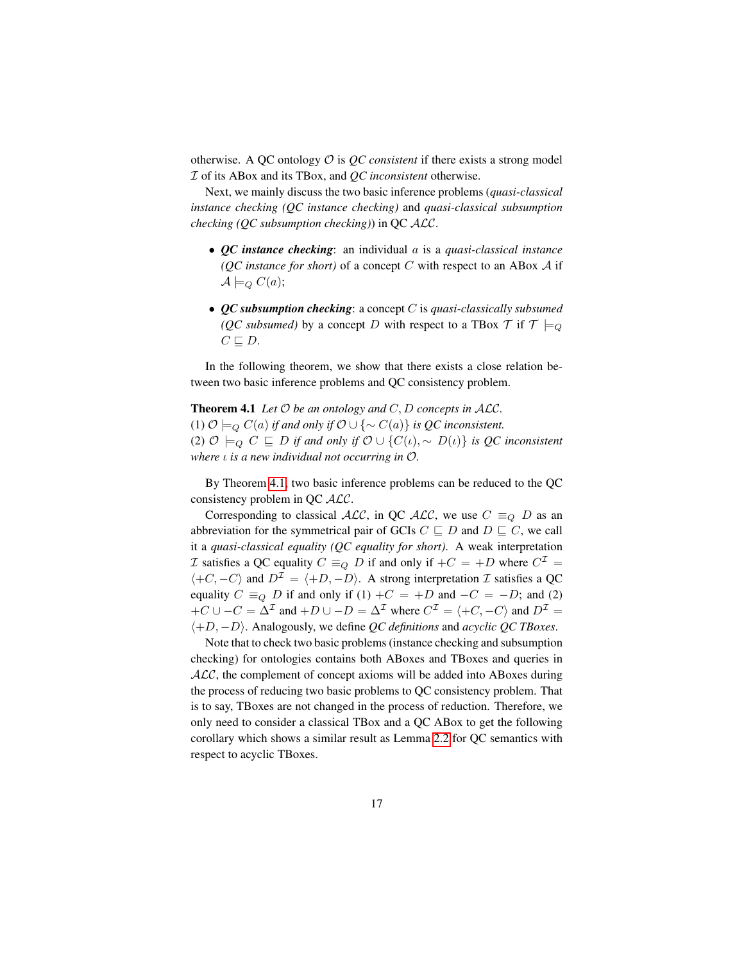otherwise. A QC ontology  $\mathcal O$  is  $\mathcal QC$  *consistent* if there exists a strong model I of its ABox and its TBox, and *QC inconsistent* otherwise.

Next, we mainly discuss the two basic inference problems (*quasi-classical instance checking (QC instance checking)* and *quasi-classical subsumption checking (QC subsumption checking)*) in QC ALC.

- *QC instance checking*: an individual a is a *quasi-classical instance (QC instance for short)* of a concept C with respect to an ABox  $\mathcal A$  if  $\mathcal{A} \models_{Q} C(a);$
- <span id="page-16-0"></span>• *QC subsumption checking*: a concept C is *quasi-classically subsumed (QC subsumed)* by a concept D with respect to a TBox  $\mathcal{T}$  if  $\mathcal{T} \models_{Q}$  $C \sqsubseteq D$ .

In the following theorem, we show that there exists a close relation between two basic inference problems and QC consistency problem.

**Theorem 4.1** Let  $\mathcal O$  be an ontology and  $C, D$  concepts in  $\mathcal{ALC}$ . (1)  $\mathcal{O} \models_{\mathcal{Q}} C(a)$  *if and only if*  $\mathcal{O} \cup \{\sim C(a)\}\$  *is*  $\mathcal{Q}$ *C inconsistent.* (2)  $\mathcal{O}$   $\models_Q C ⊆ D$  *if and only if*  $\mathcal{O} ∪ {C(ι), ∼ D(ι)}$  *is QC inconsistent where* ι *is a new individual not occurring in* O*.*

By Theorem [4.1,](#page-16-0) two basic inference problems can be reduced to the QC consistency problem in QC ALC.

Corresponding to classical  $\text{ALC}$ , in QC  $\text{ALC}$ , we use  $C \equiv_Q D$  as an abbreviation for the symmetrical pair of GCIs  $C \sqsubseteq D$  and  $D \sqsubseteq C$ , we call it a *quasi-classical equality (QC equality for short)*. A weak interpretation *I* satisfies a QC equality  $C \equiv_Q D$  if and only if  $+C = +D$  where  $C^{\mathcal{I}} =$  $\langle +C, -C \rangle$  and  $D^{\mathcal{I}} = \langle +D, -D \rangle$ . A strong interpretation  $\mathcal{I}$  satisfies a QC equality  $C \equiv_Q D$  if and only if (1) + $C = +D$  and  $-C = -D$ ; and (2)  $+C \cup -C = \Delta^{\mathcal{I}}$  and  $+D \cup -D = \Delta^{\mathcal{I}}$  where  $C^{\mathcal{I}} = \langle +C, -C \rangle$  and  $D^{\mathcal{I}} =$ h+D, −Di. Analogously, we define *QC definitions* and *acyclic QC TBoxes*.

<span id="page-16-1"></span>Note that to check two basic problems (instance checking and subsumption checking) for ontologies contains both ABoxes and TBoxes and queries in  $ALC$ , the complement of concept axioms will be added into ABoxes during the process of reducing two basic problems to QC consistency problem. That is to say, TBoxes are not changed in the process of reduction. Therefore, we only need to consider a classical TBox and a QC ABox to get the following corollary which shows a similar result as Lemma [2.2](#page-5-1) for QC semantics with respect to acyclic TBoxes.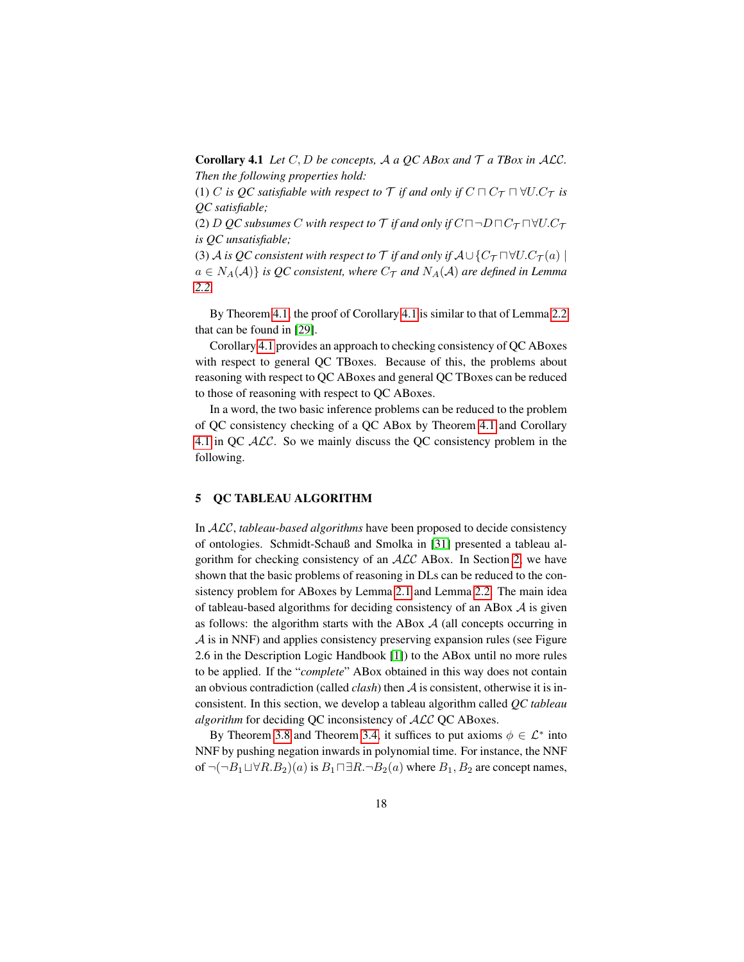**Corollary 4.1** *Let*  $C, D$  *be concepts,*  $A$  *a*  $QC$   $AB$ *ox and*  $T$  *a*  $TB$ *ox in*  $ALC$ *. Then the following properties hold:*

(1) C *is QC satisfiable with respect to*  $\mathcal T$  *if and only if*  $C \sqcap C_{\mathcal T} \sqcap \forall U.C_{\mathcal T}$  *is QC satisfiable;*

(2) D *QC* subsumes C with respect to  $\mathcal T$  if and only if  $C \sqcap \neg D \sqcap C_{\mathcal T} \sqcap \forall U.C_{\mathcal T}$ *is QC unsatisfiable;*

(3) A *is QC consistent with respect to*  $\mathcal T$  *if and only if*  $A \cup \{C_{\mathcal T} \cap \forall U.C_{\mathcal T}(a) \mid$  $a \in N_A(\mathcal{A})$  *is QC consistent, where*  $C_{\mathcal{T}}$  *and*  $N_A(\mathcal{A})$  *are defined in Lemma [2.2.](#page-5-1)*

By Theorem [4.1,](#page-16-0) the proof of Corollary [4.1](#page-16-1) is similar to that of Lemma [2.2](#page-5-1) that can be found in [\[29\]](#page-26-8).

Corollary [4.1](#page-16-1) provides an approach to checking consistency of QC ABoxes with respect to general QC TBoxes. Because of this, the problems about reasoning with respect to QC ABoxes and general QC TBoxes can be reduced to those of reasoning with respect to QC ABoxes.

In a word, the two basic inference problems can be reduced to the problem of QC consistency checking of a QC ABox by Theorem [4.1](#page-16-0) and Corollary [4.1](#page-16-1) in QC  $ALC$ . So we mainly discuss the QC consistency problem in the following.

## <span id="page-17-0"></span>5 QC TABLEAU ALGORITHM

In ALC, *tableau-based algorithms* have been proposed to decide consistency of ontologies. Schmidt-Schauß and Smolka in [\[31\]](#page-26-7) presented a tableau algorithm for checking consistency of an ALC ABox. In Section [2,](#page-2-0) we have shown that the basic problems of reasoning in DLs can be reduced to the consistency problem for ABoxes by Lemma [2.1](#page-5-0) and Lemma [2.2.](#page-5-1) The main idea of tableau-based algorithms for deciding consistency of an ABox  $A$  is given as follows: the algorithm starts with the ABox  $A$  (all concepts occurring in A is in NNF) and applies consistency preserving expansion rules (see Figure 2.6 in the Description Logic Handbook [\[1\]](#page-24-4)) to the ABox until no more rules to be applied. If the "*complete*" ABox obtained in this way does not contain an obvious contradiction (called *clash*) then A is consistent, otherwise it is inconsistent. In this section, we develop a tableau algorithm called *QC tableau algorithm* for deciding QC inconsistency of ALC QC ABoxes.

By Theorem [3.8](#page-12-1) and Theorem [3.4,](#page-9-1) it suffices to put axioms  $\phi \in \mathcal{L}^*$  into NNF by pushing negation inwards in polynomial time. For instance, the NNF of  $\neg(\neg B_1 \sqcup \forall R.B_2)(a)$  is  $B_1 \sqcap \exists R.\neg B_2(a)$  where  $B_1, B_2$  are concept names,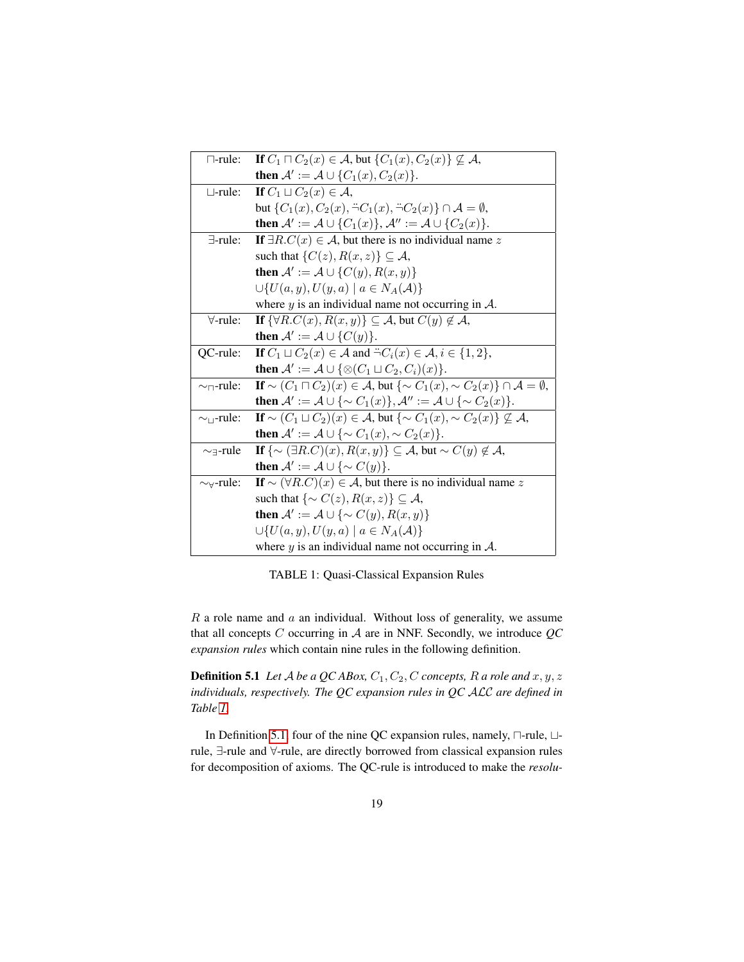<span id="page-18-0"></span>

| $\Box$ -rule:                                | If $C_1 \sqcap C_2(x) \in \mathcal{A}$ , but $\{C_1(x), C_2(x)\} \not\subseteq \mathcal{A}$ ,                     |
|----------------------------------------------|-------------------------------------------------------------------------------------------------------------------|
|                                              | then $\mathcal{A}' := \mathcal{A} \cup \{C_1(x), C_2(x)\}.$                                                       |
| $\sqcup$ -rule:                              | If $C_1 \sqcup C_2(x) \in \mathcal{A}$ ,                                                                          |
|                                              | but $\{C_1(x), C_2(x), \neg C_1(x), \neg C_2(x)\}\cap \mathcal{A}=\emptyset$ ,                                    |
|                                              | then $A' := A \cup \{C_1(x)\}, A'' := A \cup \{C_2(x)\}.$                                                         |
| $\exists$ -rule:                             | If $\exists R.C(x) \in \mathcal{A}$ , but there is no individual name z                                           |
|                                              | such that $\{C(z), R(x, z)\} \subseteq A$ ,                                                                       |
|                                              | then $\mathcal{A}' := \mathcal{A} \cup \{C(y), R(x, y)\}\$                                                        |
|                                              | $\bigcup \{U(a,y), U(y,a) \mid a \in N_A(\mathcal{A})\}$                                                          |
|                                              | where $y$ is an individual name not occurring in $A$ .                                                            |
| $\forall$ -rule:                             | If $\{\forall R.C(x), R(x,y)\}\subseteq \mathcal{A}$ , but $C(y)\notin \mathcal{A}$ ,                             |
|                                              | <b>then</b> $\mathcal{A}' := \mathcal{A} \cup \{C(y)\}.$                                                          |
| QC-rule:                                     | If $C_1 \sqcup C_2(x) \in \mathcal{A}$ and $\exists C_i(x) \in \mathcal{A}, i \in \{1,2\},\$                      |
|                                              | then $\mathcal{A}' := \mathcal{A} \cup \{ \otimes (C_1 \sqcup C_2, C_i)(x) \}.$                                   |
| $\sim$ <sub><math>\sqcap</math></sub> -rule: | If $\sim (C_1 \sqcap C_2)(x) \in \mathcal{A}$ , but $\{\sim C_1(x), \sim C_2(x)\} \cap \mathcal{A} = \emptyset$ , |
|                                              | then $\mathcal{A}':=\mathcal{A}\cup\{\sim C_1(x)\}, \mathcal{A}'':=\mathcal{A}\cup\{\sim C_2(x)\}.$               |
| $\sim_{\square}$ -rule:                      | If $\sim (C_1 \sqcup C_2)(x) \in \mathcal{A}$ , but $\{\sim C_1(x), \sim C_2(x)\} \nsubseteq \mathcal{A}$ ,       |
|                                              | then $\mathcal{A}' := \mathcal{A} \cup \{ \sim C_1(x), \sim C_2(x) \}.$                                           |
| $\sim$ -rule                                 | If $\{\sim (\exists R.C)(x), R(x,y)\}\subseteq \mathcal{A}$ , but $\sim C(y) \notin \mathcal{A}$ ,                |
|                                              | then $\mathcal{A}' := \mathcal{A} \cup \{ \sim C(y) \}.$                                                          |
| $\sim\forall$ -rule:                         | If $\sim (\forall R.C)(x) \in A$ , but there is no individual name z                                              |
|                                              | such that $\{\sim C(z), R(x, z)\} \subseteq A$ ,                                                                  |
|                                              | then $\mathcal{A}' := \mathcal{A} \cup \{ \sim C(y), R(x, y) \}$                                                  |
|                                              | $\bigcup \{U(a,y), U(y,a) \mid a \in N_A(\mathcal{A})\}$                                                          |
|                                              | where $y$ is an individual name not occurring in $A$ .                                                            |

<span id="page-18-1"></span>TABLE 1: Quasi-Classical Expansion Rules

 $R$  a role name and  $a$  an individual. Without loss of generality, we assume that all concepts C occurring in A are in NNF. Secondly, we introduce *QC expansion rules* which contain nine rules in the following definition.

**Definition 5.1** *Let*  $A$  *be a QC ABox,*  $C_1$ ,  $C_2$ ,  $C$  *concepts,*  $R$  *a role and*  $x$ ,  $y$ ,  $z$ *individuals, respectively. The QC expansion rules in QC* ALC *are defined in Table [1.](#page-18-0)*

In Definition [5.1,](#page-18-1) four of the nine QC expansion rules, namely,  $\Box$ -rule,  $\Box$ rule, ∃-rule and ∀-rule, are directly borrowed from classical expansion rules for decomposition of axioms. The QC-rule is introduced to make the *resolu-*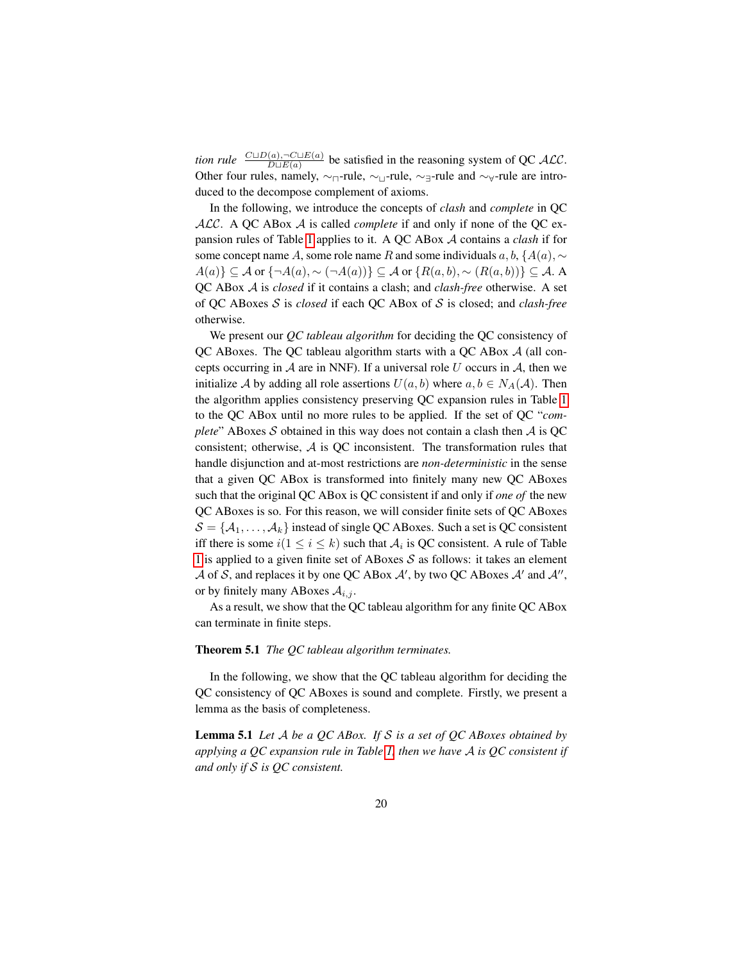*tion rule*  $\frac{C \sqcup D(a), \neg C \sqcup E(a)}{D \sqcup E(a)}$  be satisfied in the reasoning system of QC ALC. Other four rules, namely,  $\sim_{\square}$ -rule,  $\sim_{\square}$ -rule,  $\sim_{\square}$ -rule and  $\sim_{\forall}$ -rule are introduced to the decompose complement of axioms.

In the following, we introduce the concepts of *clash* and *complete* in QC ALC. A QC ABox A is called *complete* if and only if none of the QC expansion rules of Table [1](#page-18-0) applies to it. A QC ABox A contains a *clash* if for some concept name A, some role name R and some individuals  $a, b, \{A(a), \sim\}$  $A(a)\}\subseteq \mathcal{A}$  or  $\{\neg A(a), \sim (\neg A(a))\}\subseteq \mathcal{A}$  or  $\{R(a, b), \sim (R(a, b))\}\subseteq \mathcal{A}$ . A QC ABox A is *closed* if it contains a clash; and *clash-free* otherwise. A set of QC ABoxes S is *closed* if each QC ABox of S is closed; and *clash-free* otherwise.

We present our *QC tableau algorithm* for deciding the QC consistency of QC ABoxes. The QC tableau algorithm starts with a QC ABox A (all concepts occurring in  $A$  are in NNF). If a universal role U occurs in  $A$ , then we initialize A by adding all role assertions  $U(a, b)$  where  $a, b \in N_A(\mathcal{A})$ . Then the algorithm applies consistency preserving QC expansion rules in Table [1](#page-18-0) to the QC ABox until no more rules to be applied. If the set of QC "*complete*" ABoxes S obtained in this way does not contain a clash then  $\mathcal A$  is QC consistent; otherwise, A is QC inconsistent. The transformation rules that handle disjunction and at-most restrictions are *non-deterministic* in the sense that a given QC ABox is transformed into finitely many new QC ABoxes such that the original QC ABox is QC consistent if and only if *one of* the new QC ABoxes is so. For this reason, we will consider finite sets of QC ABoxes  $S = \{A_1, \ldots, A_k\}$  instead of single QC ABoxes. Such a set is QC consistent iff there is some  $i(1 \leq i \leq k)$  such that  $\mathcal{A}_i$  is QC consistent. A rule of Table [1](#page-18-0) is applied to a given finite set of ABoxes  $S$  as follows: it takes an element A of S, and replaces it by one QC ABox A', by two QC ABoxes A' and A'', or by finitely many ABoxes  $A_{i,j}$ .

<span id="page-19-1"></span>As a result, we show that the QC tableau algorithm for any finite QC ABox can terminate in finite steps.

#### Theorem 5.1 *The QC tableau algorithm terminates.*

<span id="page-19-0"></span>In the following, we show that the QC tableau algorithm for deciding the QC consistency of QC ABoxes is sound and complete. Firstly, we present a lemma as the basis of completeness.

Lemma 5.1 *Let* A *be a QC ABox. If* S *is a set of QC ABoxes obtained by applying a QC expansion rule in Table [1,](#page-18-0) then we have* A *is QC consistent if and only if* S *is QC consistent.*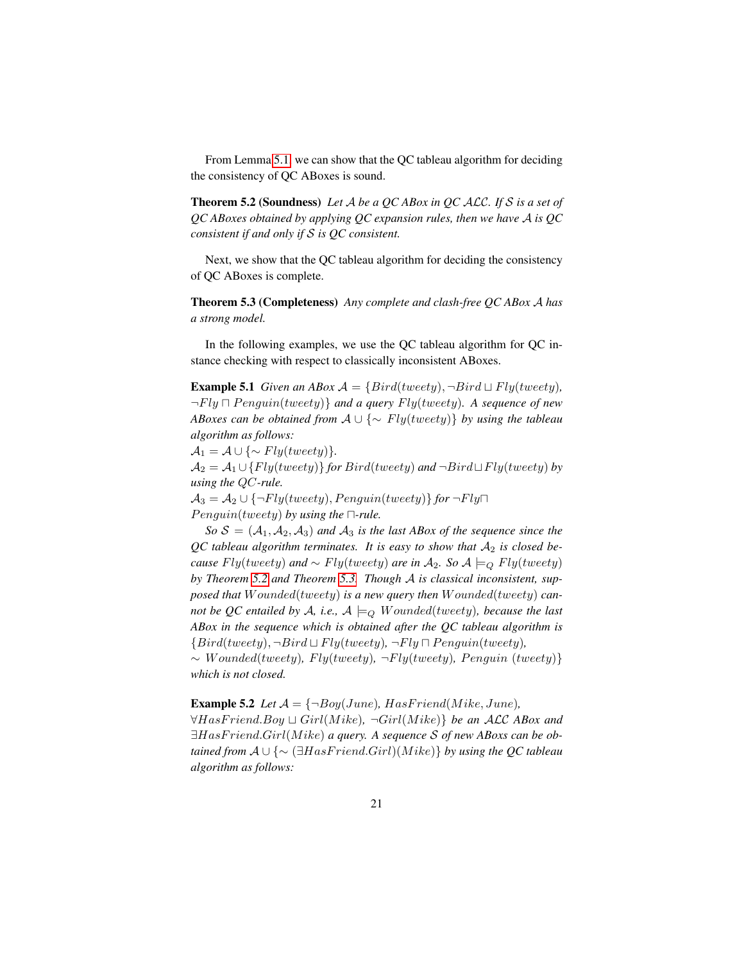<span id="page-20-0"></span>From Lemma [5.1,](#page-19-0) we can show that the QC tableau algorithm for deciding the consistency of QC ABoxes is sound.

Theorem 5.2 (Soundness) *Let* A *be a QC ABox in QC* ALC*. If* S *is a set of QC ABoxes obtained by applying QC expansion rules, then we have* A *is QC consistent if and only if* S *is QC consistent.*

<span id="page-20-1"></span>Next, we show that the QC tableau algorithm for deciding the consistency of QC ABoxes is complete.

Theorem 5.3 (Completeness) *Any complete and clash-free QC ABox* A *has a strong model.*

In the following examples, we use the QC tableau algorithm for QC instance checking with respect to classically inconsistent ABoxes.

**Example 5.1** *Given an ABox*  $A = \{Bird(tweety), \neg Bird \sqcup Fly(tweety),$  $\neg Fly \sqcap Penguin(tweety)$ } and a query  $Fly(tweety)$ . A sequence of new *ABoxes can be obtained from* A ∪ {∼ Fly(tweety)} *by using the tableau algorithm as follows:*

 $\mathcal{A}_1 = \mathcal{A} \cup \{ \sim Fly(tweety) \}.$ 

 $A_2 = A_1 \cup \{Fly(tweety)\}$  *for Bird(tweety)* and  $\neg Bird \sqcup Fly(tweety)$  *by using the* QC*-rule.*

 $A_3 = A_2 \cup \{\neg Fly(tweety), Penguin(tweety)\}\$  for  $\neg Fly\Box$  $Penguin(tweety)$  by using the  $\Box$ -rule.

 $So S = (A_1, A_2, A_3)$  *and*  $A_3$  *is the last ABox of the sequence since the*  $QC$  tableau algorithm terminates. It is easy to show that  $A_2$  is closed be*cause*  $Fly(tweety)$  *and* ∼  $Fly(tweety)$  *are in*  $A_2$ *. So*  $A \models_Q Fly(tweety)$ *by Theorem [5.2](#page-20-0) and Theorem [5.3.](#page-20-1) Though* A *is classical inconsistent, supposed that* W ounded(tweety) *is a new query then* W ounded(tweety) *cannot be QC entailed by A, i.e.,*  $A \models_{Q} Wounded(tweety)$ *, because the last ABox in the sequence which is obtained after the QC tableau algorithm is*  ${Bird(tweety), \neg Bird \sqcup Fly(tweety), \neg Fly \sqcap Penguin(tweety),$ ∼ W ounded(tweety)*,* Fly(tweety)*,* ¬Fly(tweety)*,* P enguin (tweety)} *which is not closed.*

**Example 5.2** *Let*  $A = \{\neg Boy(June), HasFriend(Mike, June),\}$  $\forall HasFriend. Boy ⊔ Girl(Mike), \neg Girl(Mike)\}$  *be an ALC ABox and* ∃HasF riend.Girl(M ike) *a query. A sequence* S *of new ABoxs can be obtained from*  $A \cup \{ \sim (\exists HasFriend.Girl)(Mike) \}$  *by using the QC tableau algorithm as follows:*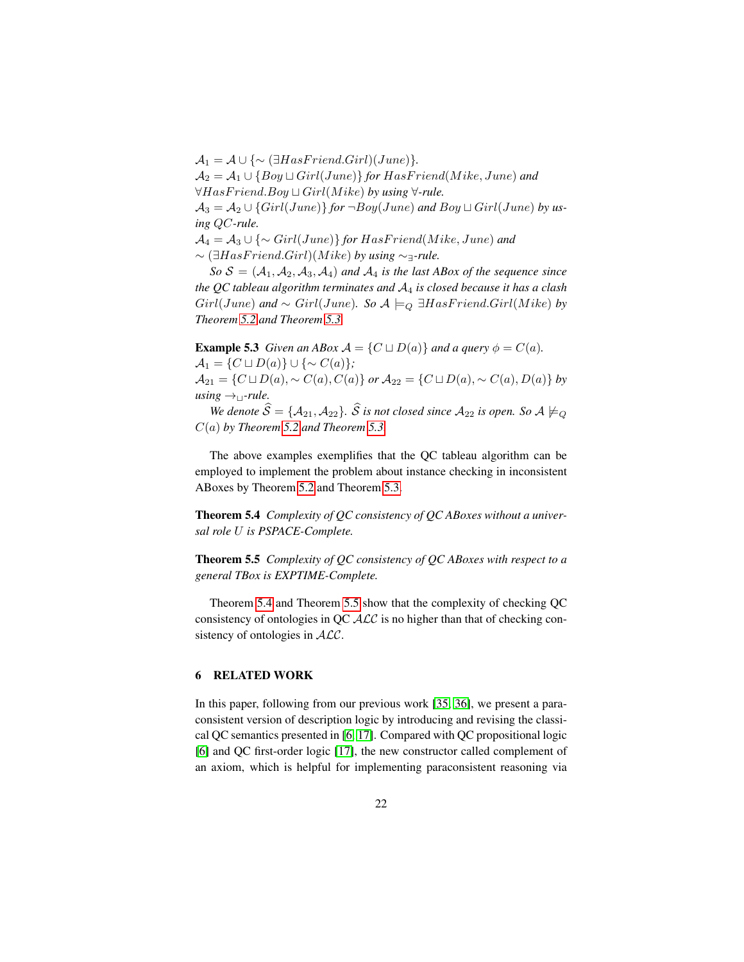$\mathcal{A}_1 = \mathcal{A} \cup \{ \sim (\exists HasFriend.Girl)(June)\}.$  $\mathcal{A}_2 = \mathcal{A}_1 \cup \{Boy \sqcup Girl(June)\}$  *for HasFriend*(*Mike*, *June*) *and*  $\forall HasFriend. Boy \sqcup Girl(Mike)$  *by using*  $\forall$ -rule.  $\mathcal{A}_3 = \mathcal{A}_2 \cup \{Girl(June)\}\$  *for*  $\neg Boy(June)$  *and*  $Boy \sqcup Girl(June)$  *by using* QC*-rule.*  $\mathcal{A}_4 = \mathcal{A}_3 \cup \{\sim \text{Girl}(\text{June})\}$  for  $\text{HasFriend}(\text{Mike}, \text{June})$  and ∼ (∃HasF riend.Girl)(M ike) *by using* ∼∃*-rule.*  $So S = (A_1, A_2, A_3, A_4)$  *and*  $A_4$  *is the last ABox of the sequence since* 

*the QC tableau algorithm terminates and* A<sup>4</sup> *is closed because it has a clash*  $Girl(June)$  and  $\sim$   $Girl(June)$ *.* So  $\mathcal{A}\models_{Q} \exists HasFriend.Girl(Mike)$  by *Theorem [5.2](#page-20-0) and Theorem [5.3.](#page-20-1)*

**Example 5.3** *Given an ABox*  $\mathcal{A} = \{C \sqcup D(a)\}$  *and a query*  $\phi = C(a)$ *.*  $\mathcal{A}_1 = \{ C \sqcup D(a) \} \cup \{ \sim C(a) \};$  $\mathcal{A}_{21} = \{C \sqcup D(a), \sim C(a), C(a)\}$  *or*  $\mathcal{A}_{22} = \{C \sqcup D(a), \sim C(a), D(a)\}$  *by*  $using \rightarrow_1$ -rule.

*We denote*  $\widehat{S} = \{A_{21}, A_{22}\}$ *.*  $\widehat{S}$  *is not closed since*  $A_{22}$  *is open. So*  $A \not\models Q$ C(a) *by Theorem [5.2](#page-20-0) and Theorem [5.3.](#page-20-1)*

The above examples exemplifies that the QC tableau algorithm can be employed to implement the problem about instance checking in inconsistent ABoxes by Theorem [5.2](#page-20-0) and Theorem [5.3.](#page-20-1)

<span id="page-21-0"></span>Theorem 5.4 *Complexity of QC consistency of QC ABoxes without a universal role* U *is PSPACE-Complete.*

<span id="page-21-1"></span>Theorem 5.5 *Complexity of QC consistency of QC ABoxes with respect to a general TBox is EXPTIME-Complete.*

Theorem [5.4](#page-21-0) and Theorem [5.5](#page-21-1) show that the complexity of checking QC consistency of ontologies in QC  $\mathcal{ALC}$  is no higher than that of checking consistency of ontologies in  $ALC$ .

## 6 RELATED WORK

In this paper, following from our previous work [\[35,](#page-26-10) [36\]](#page-26-11), we present a paraconsistent version of description logic by introducing and revising the classical QC semantics presented in [\[6,](#page-24-3) [17\]](#page-25-10). Compared with QC propositional logic [\[6\]](#page-24-3) and QC first-order logic [\[17\]](#page-25-10), the new constructor called complement of an axiom, which is helpful for implementing paraconsistent reasoning via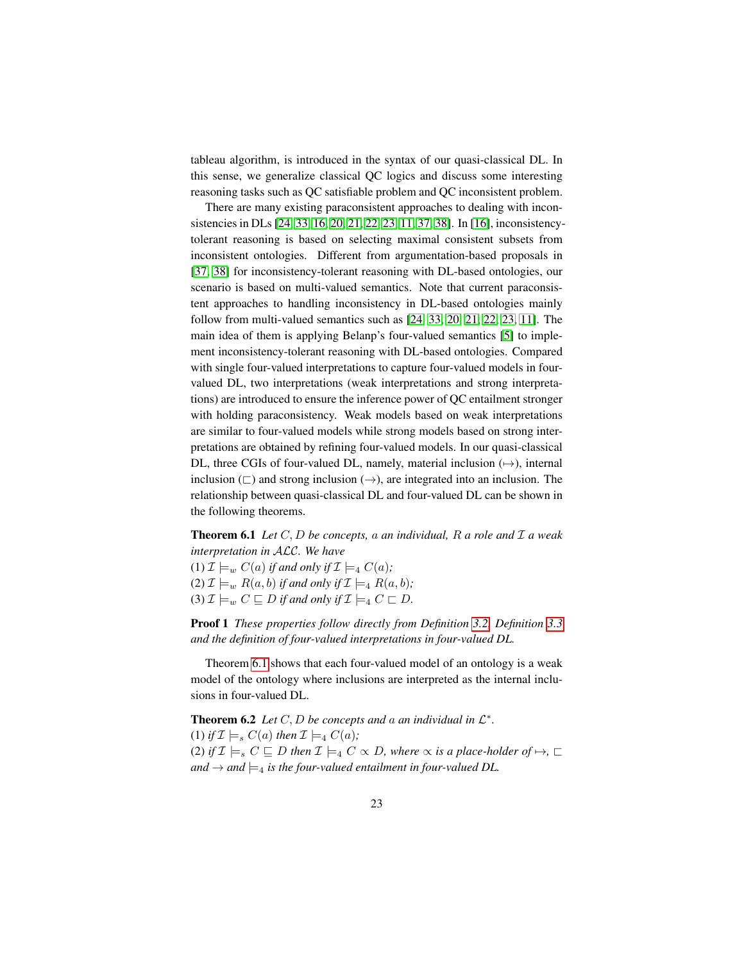tableau algorithm, is introduced in the syntax of our quasi-classical DL. In this sense, we generalize classical QC logics and discuss some interesting reasoning tasks such as QC satisfiable problem and QC inconsistent problem.

There are many existing paraconsistent approaches to dealing with inconsistencies in DLs [\[24,](#page-25-5) [33,](#page-26-3) [16,](#page-25-1) [20,](#page-25-6) [21,](#page-25-7) [22,](#page-25-8) [23,](#page-25-9) [11,](#page-24-1) [37,](#page-26-4) [38\]](#page-26-5). In [\[16\]](#page-25-1), inconsistencytolerant reasoning is based on selecting maximal consistent subsets from inconsistent ontologies. Different from argumentation-based proposals in [\[37,](#page-26-4) [38\]](#page-26-5) for inconsistency-tolerant reasoning with DL-based ontologies, our scenario is based on multi-valued semantics. Note that current paraconsistent approaches to handling inconsistency in DL-based ontologies mainly follow from multi-valued semantics such as [\[24,](#page-25-5) [33,](#page-26-3) [20,](#page-25-6) [21,](#page-25-7) [22,](#page-25-8) [23,](#page-25-9) [11\]](#page-24-1). The main idea of them is applying Belanp's four-valued semantics [\[5\]](#page-24-2) to implement inconsistency-tolerant reasoning with DL-based ontologies. Compared with single four-valued interpretations to capture four-valued models in fourvalued DL, two interpretations (weak interpretations and strong interpretations) are introduced to ensure the inference power of QC entailment stronger with holding paraconsistency. Weak models based on weak interpretations are similar to four-valued models while strong models based on strong interpretations are obtained by refining four-valued models. In our quasi-classical DL, three CGIs of four-valued DL, namely, material inclusion  $(\rightarrow)$ , internal inclusion  $(\square)$  and strong inclusion  $(\rightarrow)$ , are integrated into an inclusion. The relationship between quasi-classical DL and four-valued DL can be shown in the following theorems.

<span id="page-22-0"></span>Theorem 6.1 *Let* C, D *be concepts,* a *an individual,* R *a role and* I *a weak interpretation in* ALC*. We have*

(1)  $\mathcal{I} \models_w C(a)$  *if and only if*  $\mathcal{I} \models_4 C(a)$ *;* (2)  $\mathcal{I} \models_w R(a, b)$  *if and only if*  $\mathcal{I} \models_4 R(a, b)$ *;* (3)  $\mathcal{I} \models_w C \sqsubseteq D$  *if and only if*  $\mathcal{I} \models_4 C \sqsubset D$ *.* 

Proof 1 *These properties follow directly from Definition [3.2,](#page-7-0) Definition [3.3](#page-8-0) and the definition of four-valued interpretations in four-valued DL.*

Theorem [6.1](#page-22-0) shows that each four-valued model of an ontology is a weak model of the ontology where inclusions are interpreted as the internal inclusions in four-valued DL.

<span id="page-22-1"></span>**Theorem 6.2** Let  $C, D$  be concepts and a an individual in  $\mathcal{L}^*$ . (1) *if*  $\mathcal{I} \models_s C(a)$  *then*  $\mathcal{I} \models_4 C(a)$ *;* (2) *if*  $\mathcal{I} \models_s C \sqsubseteq D$  *then*  $\mathcal{I} \models_4 C \propto D$ *, where*  $\propto$  *is a place-holder of*  $\mapsto$ *,*  $\sqsubset$ *and*  $\rightarrow$  *and*  $\models_4$  *is the four-valued entailment in four-valued DL.*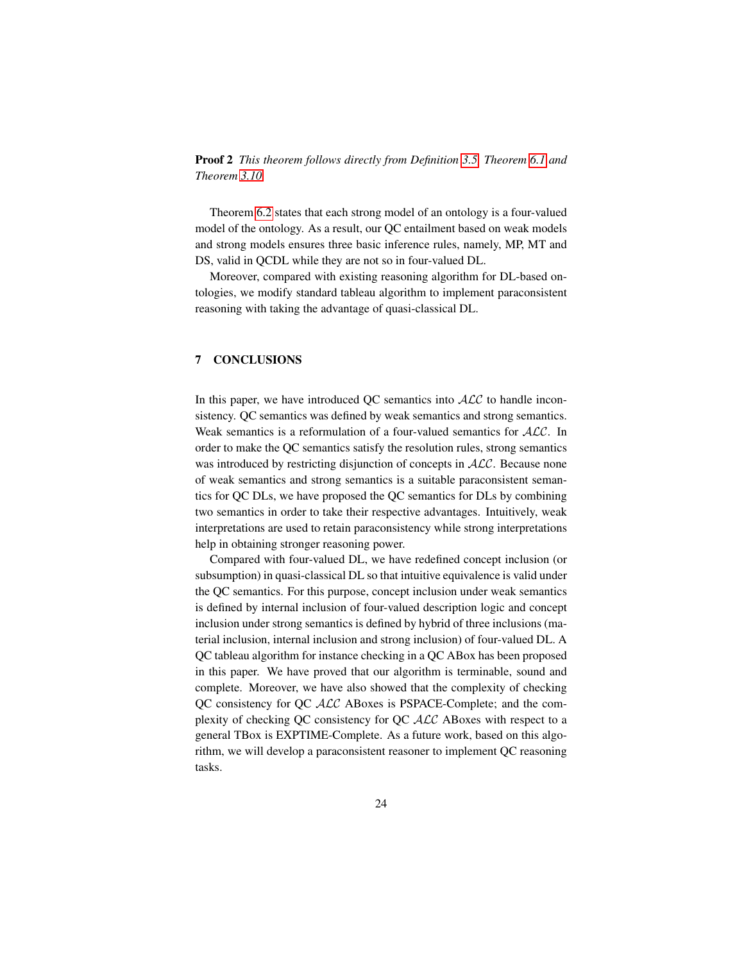Proof 2 *This theorem follows directly from Definition [3.5,](#page-10-1) Theorem [6.1](#page-22-0) and Theorem [3.10.](#page-13-1)*

Theorem [6.2](#page-22-1) states that each strong model of an ontology is a four-valued model of the ontology. As a result, our QC entailment based on weak models and strong models ensures three basic inference rules, namely, MP, MT and DS, valid in QCDL while they are not so in four-valued DL.

Moreover, compared with existing reasoning algorithm for DL-based ontologies, we modify standard tableau algorithm to implement paraconsistent reasoning with taking the advantage of quasi-classical DL.

# 7 CONCLUSIONS

In this paper, we have introduced QC semantics into  $ALC$  to handle inconsistency. QC semantics was defined by weak semantics and strong semantics. Weak semantics is a reformulation of a four-valued semantics for  $ALC$ . In order to make the QC semantics satisfy the resolution rules, strong semantics was introduced by restricting disjunction of concepts in  $ALC$ . Because none of weak semantics and strong semantics is a suitable paraconsistent semantics for QC DLs, we have proposed the QC semantics for DLs by combining two semantics in order to take their respective advantages. Intuitively, weak interpretations are used to retain paraconsistency while strong interpretations help in obtaining stronger reasoning power.

Compared with four-valued DL, we have redefined concept inclusion (or subsumption) in quasi-classical DL so that intuitive equivalence is valid under the QC semantics. For this purpose, concept inclusion under weak semantics is defined by internal inclusion of four-valued description logic and concept inclusion under strong semantics is defined by hybrid of three inclusions (material inclusion, internal inclusion and strong inclusion) of four-valued DL. A QC tableau algorithm for instance checking in a QC ABox has been proposed in this paper. We have proved that our algorithm is terminable, sound and complete. Moreover, we have also showed that the complexity of checking QC consistency for QC ALC ABoxes is PSPACE-Complete; and the complexity of checking QC consistency for QC ALC ABoxes with respect to a general TBox is EXPTIME-Complete. As a future work, based on this algorithm, we will develop a paraconsistent reasoner to implement QC reasoning tasks.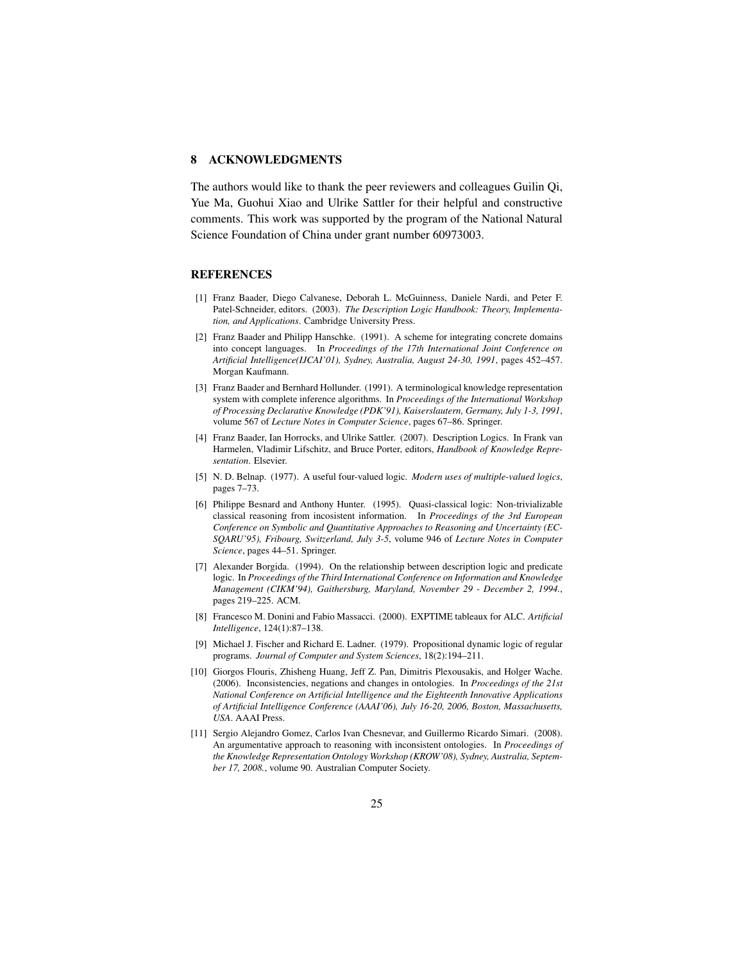# 8 ACKNOWLEDGMENTS

The authors would like to thank the peer reviewers and colleagues Guilin Qi, Yue Ma, Guohui Xiao and Ulrike Sattler for their helpful and constructive comments. This work was supported by the program of the National Natural Science Foundation of China under grant number 60973003.

## REFERENCES

- <span id="page-24-4"></span>[1] Franz Baader, Diego Calvanese, Deborah L. McGuinness, Daniele Nardi, and Peter F. Patel-Schneider, editors. (2003). *The Description Logic Handbook: Theory, Implementation, and Applications*. Cambridge University Press.
- <span id="page-24-7"></span>[2] Franz Baader and Philipp Hanschke. (1991). A scheme for integrating concrete domains into concept languages. In *Proceedings of the 17th International Joint Conference on Artificial Intelligence(IJCAI'01), Sydney, Australia, August 24-30, 1991*, pages 452–457. Morgan Kaufmann.
- [3] Franz Baader and Bernhard Hollunder. (1991). A terminological knowledge representation system with complete inference algorithms. In *Proceedings of the International Workshop of Processing Declarative Knowledge (PDK'91), Kaiserslautern, Germany, July 1-3, 1991*, volume 567 of *Lecture Notes in Computer Science*, pages 67–86. Springer.
- <span id="page-24-8"></span>[4] Franz Baader, Ian Horrocks, and Ulrike Sattler. (2007). Description Logics. In Frank van Harmelen, Vladimir Lifschitz, and Bruce Porter, editors, *Handbook of Knowledge Representation*. Elsevier.
- <span id="page-24-2"></span>[5] N. D. Belnap. (1977). A useful four-valued logic. *Modern uses of multiple-valued logics*, pages 7–73.
- <span id="page-24-3"></span>[6] Philippe Besnard and Anthony Hunter. (1995). Quasi-classical logic: Non-trivializable classical reasoning from incosistent information. In *Proceedings of the 3rd European Conference on Symbolic and Quantitative Approaches to Reasoning and Uncertainty (EC-SQARU'95), Fribourg, Switzerland, July 3-5*, volume 946 of *Lecture Notes in Computer Science*, pages 44–51. Springer.
- <span id="page-24-5"></span>[7] Alexander Borgida. (1994). On the relationship between description logic and predicate logic. In *Proceedings of the Third International Conference on Information and Knowledge Management (CIKM'94), Gaithersburg, Maryland, November 29 - December 2, 1994.*, pages 219–225. ACM.
- <span id="page-24-6"></span>[8] Francesco M. Donini and Fabio Massacci. (2000). EXPTIME tableaux for ALC. *Artificial Intelligence*, 124(1):87–138.
- <span id="page-24-9"></span>[9] Michael J. Fischer and Richard E. Ladner. (1979). Propositional dynamic logic of regular programs. *Journal of Computer and System Sciences*, 18(2):194–211.
- <span id="page-24-0"></span>[10] Giorgos Flouris, Zhisheng Huang, Jeff Z. Pan, Dimitris Plexousakis, and Holger Wache. (2006). Inconsistencies, negations and changes in ontologies. In *Proceedings of the 21st National Conference on Artificial Intelligence and the Eighteenth Innovative Applications of Artificial Intelligence Conference (AAAI'06), July 16-20, 2006, Boston, Massachusetts, USA*. AAAI Press.
- <span id="page-24-1"></span>[11] Sergio Alejandro Gomez, Carlos Ivan Chesnevar, and Guillermo Ricardo Simari. (2008). An argumentative approach to reasoning with inconsistent ontologies. In *Proceedings of the Knowledge Representation Ontology Workshop (KROW'08), Sydney, Australia, September 17, 2008.*, volume 90. Australian Computer Society.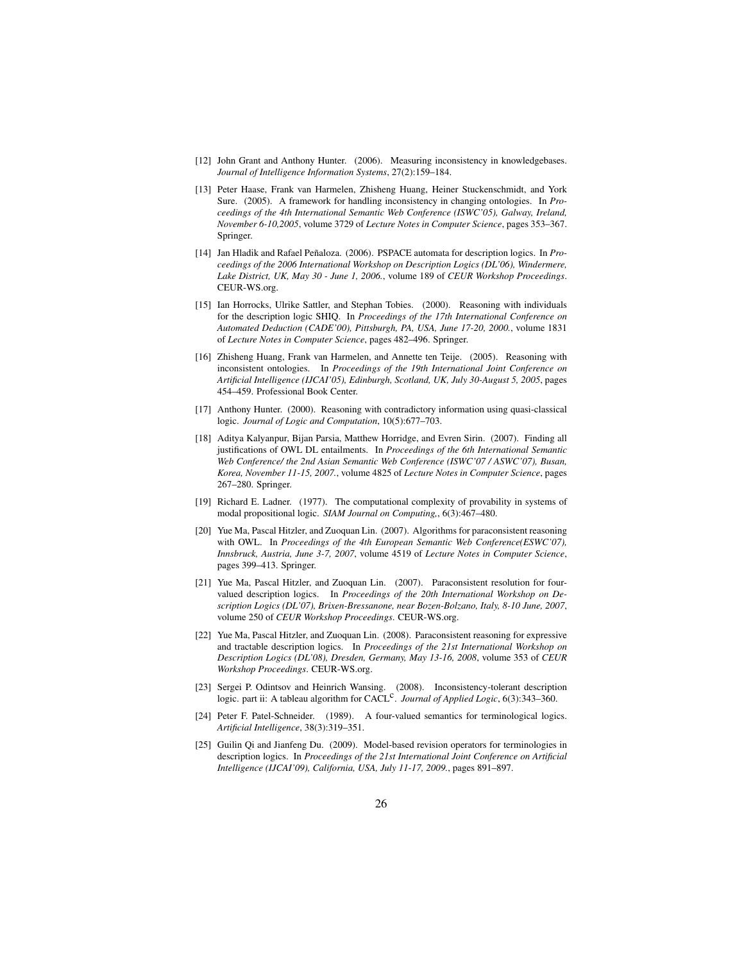- <span id="page-25-2"></span>[12] John Grant and Anthony Hunter. (2006). Measuring inconsistency in knowledgebases. *Journal of Intelligence Information Systems*, 27(2):159–184.
- <span id="page-25-0"></span>[13] Peter Haase, Frank van Harmelen, Zhisheng Huang, Heiner Stuckenschmidt, and York Sure. (2005). A framework for handling inconsistency in changing ontologies. In *Proceedings of the 4th International Semantic Web Conference (ISWC'05), Galway, Ireland, November 6-10,2005*, volume 3729 of *Lecture Notes in Computer Science*, pages 353–367. Springer.
- <span id="page-25-11"></span>[14] Jan Hladik and Rafael Peñaloza. (2006). PSPACE automata for description logics. In Pro*ceedings of the 2006 International Workshop on Description Logics (DL'06), Windermere, Lake District, UK, May 30 - June 1, 2006.*, volume 189 of *CEUR Workshop Proceedings*. CEUR-WS.org.
- <span id="page-25-12"></span>[15] Ian Horrocks, Ulrike Sattler, and Stephan Tobies. (2000). Reasoning with individuals for the description logic SHIQ. In *Proceedings of the 17th International Conference on Automated Deduction (CADE'00), Pittsburgh, PA, USA, June 17-20, 2000.*, volume 1831 of *Lecture Notes in Computer Science*, pages 482–496. Springer.
- <span id="page-25-1"></span>[16] Zhisheng Huang, Frank van Harmelen, and Annette ten Teije. (2005). Reasoning with inconsistent ontologies. In *Proceedings of the 19th International Joint Conference on Artificial Intelligence (IJCAI'05), Edinburgh, Scotland, UK, July 30-August 5, 2005*, pages 454–459. Professional Book Center.
- <span id="page-25-10"></span>[17] Anthony Hunter. (2000). Reasoning with contradictory information using quasi-classical logic. *Journal of Logic and Computation*, 10(5):677–703.
- <span id="page-25-3"></span>[18] Aditya Kalyanpur, Bijan Parsia, Matthew Horridge, and Evren Sirin. (2007). Finding all justifications of OWL DL entailments. In *Proceedings of the 6th International Semantic Web Conference/ the 2nd Asian Semantic Web Conference (ISWC'07 / ASWC'07), Busan, Korea, November 11-15, 2007.*, volume 4825 of *Lecture Notes in Computer Science*, pages 267–280. Springer.
- <span id="page-25-13"></span>[19] Richard E. Ladner. (1977). The computational complexity of provability in systems of modal propositional logic. *SIAM Journal on Computing,*, 6(3):467–480.
- <span id="page-25-6"></span>[20] Yue Ma, Pascal Hitzler, and Zuoquan Lin. (2007). Algorithms for paraconsistent reasoning with OWL. In *Proceedings of the 4th European Semantic Web Conference(ESWC'07), Innsbruck, Austria, June 3-7, 2007*, volume 4519 of *Lecture Notes in Computer Science*, pages 399–413. Springer.
- <span id="page-25-7"></span>[21] Yue Ma, Pascal Hitzler, and Zuoquan Lin. (2007). Paraconsistent resolution for fourvalued description logics. In *Proceedings of the 20th International Workshop on Description Logics (DL'07), Brixen-Bressanone, near Bozen-Bolzano, Italy, 8-10 June, 2007*, volume 250 of *CEUR Workshop Proceedings*. CEUR-WS.org.
- <span id="page-25-8"></span>[22] Yue Ma, Pascal Hitzler, and Zuoquan Lin. (2008). Paraconsistent reasoning for expressive and tractable description logics. In *Proceedings of the 21st International Workshop on Description Logics (DL'08), Dresden, Germany, May 13-16, 2008*, volume 353 of *CEUR Workshop Proceedings*. CEUR-WS.org.
- <span id="page-25-9"></span>[23] Sergei P. Odintsov and Heinrich Wansing. (2008). Inconsistency-tolerant description logic. part ii: A tableau algorithm for CACL<sup>C</sup>. *Journal of Applied Logic*, 6(3):343–360.
- <span id="page-25-5"></span>[24] Peter F. Patel-Schneider. (1989). A four-valued semantics for terminological logics. *Artificial Intelligence*, 38(3):319–351.
- <span id="page-25-4"></span>[25] Guilin Qi and Jianfeng Du. (2009). Model-based revision operators for terminologies in description logics. In *Proceedings of the 21st International Joint Conference on Artificial Intelligence (IJCAI'09), California, USA, July 11-17, 2009.*, pages 891–897.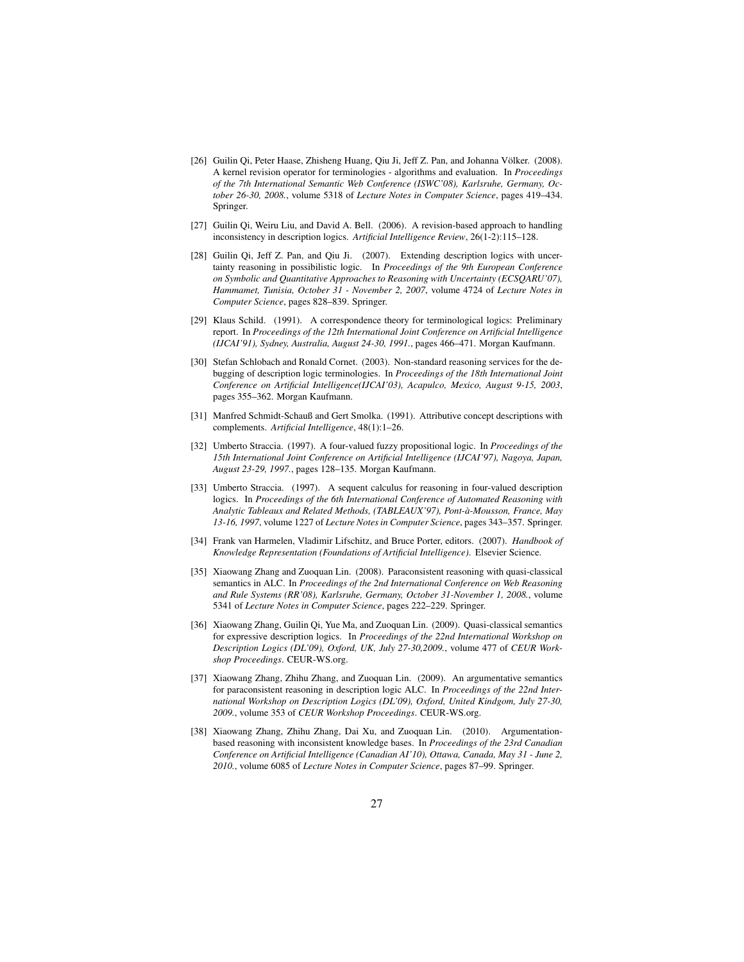- <span id="page-26-2"></span>[26] Guilin Qi, Peter Haase, Zhisheng Huang, Qiu Ji, Jeff Z. Pan, and Johanna Völker. (2008). A kernel revision operator for terminologies - algorithms and evaluation. In *Proceedings of the 7th International Semantic Web Conference (ISWC'08), Karlsruhe, Germany, October 26-30, 2008.*, volume 5318 of *Lecture Notes in Computer Science*, pages 419–434. Springer.
- <span id="page-26-1"></span>[27] Guilin Qi, Weiru Liu, and David A. Bell. (2006). A revision-based approach to handling inconsistency in description logics. *Artificial Intelligence Review*, 26(1-2):115–128.
- [28] Guilin Qi, Jeff Z. Pan, and Qiu Ji. (2007). Extending description logics with uncertainty reasoning in possibilistic logic. In *Proceedings of the 9th European Conference on Symbolic and Quantitative Approaches to Reasoning with Uncertainty (ECSQARU'07), Hammamet, Tunisia, October 31 - November 2, 2007*, volume 4724 of *Lecture Notes in Computer Science*, pages 828–839. Springer.
- <span id="page-26-8"></span>[29] Klaus Schild. (1991). A correspondence theory for terminological logics: Preliminary report. In *Proceedings of the 12th International Joint Conference on Artificial Intelligence (IJCAI'91), Sydney, Australia, August 24-30, 1991.*, pages 466–471. Morgan Kaufmann.
- <span id="page-26-0"></span>[30] Stefan Schlobach and Ronald Cornet. (2003). Non-standard reasoning services for the debugging of description logic terminologies. In *Proceedings of the 18th International Joint Conference on Artificial Intelligence(IJCAI'03), Acapulco, Mexico, August 9-15, 2003*, pages 355–362. Morgan Kaufmann.
- <span id="page-26-7"></span>[31] Manfred Schmidt-Schauß and Gert Smolka. (1991). Attributive concept descriptions with complements. *Artificial Intelligence*, 48(1):1–26.
- <span id="page-26-9"></span>[32] Umberto Straccia. (1997). A four-valued fuzzy propositional logic. In *Proceedings of the 15th International Joint Conference on Artificial Intelligence (IJCAI'97), Nagoya, Japan, August 23-29, 1997.*, pages 128–135. Morgan Kaufmann.
- <span id="page-26-3"></span>[33] Umberto Straccia. (1997). A sequent calculus for reasoning in four-valued description logics. In *Proceedings of the 6th International Conference of Automated Reasoning with Analytic Tableaux and Related Methods, (TABLEAUX'97), Pont-a-Mousson, France, May ` 13-16, 1997*, volume 1227 of *Lecture Notes in Computer Science*, pages 343–357. Springer.
- <span id="page-26-6"></span>[34] Frank van Harmelen, Vladimir Lifschitz, and Bruce Porter, editors. (2007). *Handbook of Knowledge Representation (Foundations of Artificial Intelligence)*. Elsevier Science.
- <span id="page-26-10"></span>[35] Xiaowang Zhang and Zuoquan Lin. (2008). Paraconsistent reasoning with quasi-classical semantics in ALC. In *Proceedings of the 2nd International Conference on Web Reasoning and Rule Systems (RR'08), Karlsruhe, Germany, October 31-November 1, 2008.*, volume 5341 of *Lecture Notes in Computer Science*, pages 222–229. Springer.
- <span id="page-26-11"></span>[36] Xiaowang Zhang, Guilin Qi, Yue Ma, and Zuoquan Lin. (2009). Quasi-classical semantics for expressive description logics. In *Proceedings of the 22nd International Workshop on Description Logics (DL'09), Oxford, UK, July 27-30,2009.*, volume 477 of *CEUR Workshop Proceedings*. CEUR-WS.org.
- <span id="page-26-4"></span>[37] Xiaowang Zhang, Zhihu Zhang, and Zuoquan Lin. (2009). An argumentative semantics for paraconsistent reasoning in description logic ALC. In *Proceedings of the 22nd International Workshop on Description Logics (DL'09), Oxford, United Kindgom, July 27-30, 2009.*, volume 353 of *CEUR Workshop Proceedings*. CEUR-WS.org.
- <span id="page-26-5"></span>[38] Xiaowang Zhang, Zhihu Zhang, Dai Xu, and Zuoquan Lin. (2010). Argumentationbased reasoning with inconsistent knowledge bases. In *Proceedings of the 23rd Canadian Conference on Artificial Intelligence (Canadian AI'10), Ottawa, Canada, May 31 - June 2, 2010.*, volume 6085 of *Lecture Notes in Computer Science*, pages 87–99. Springer.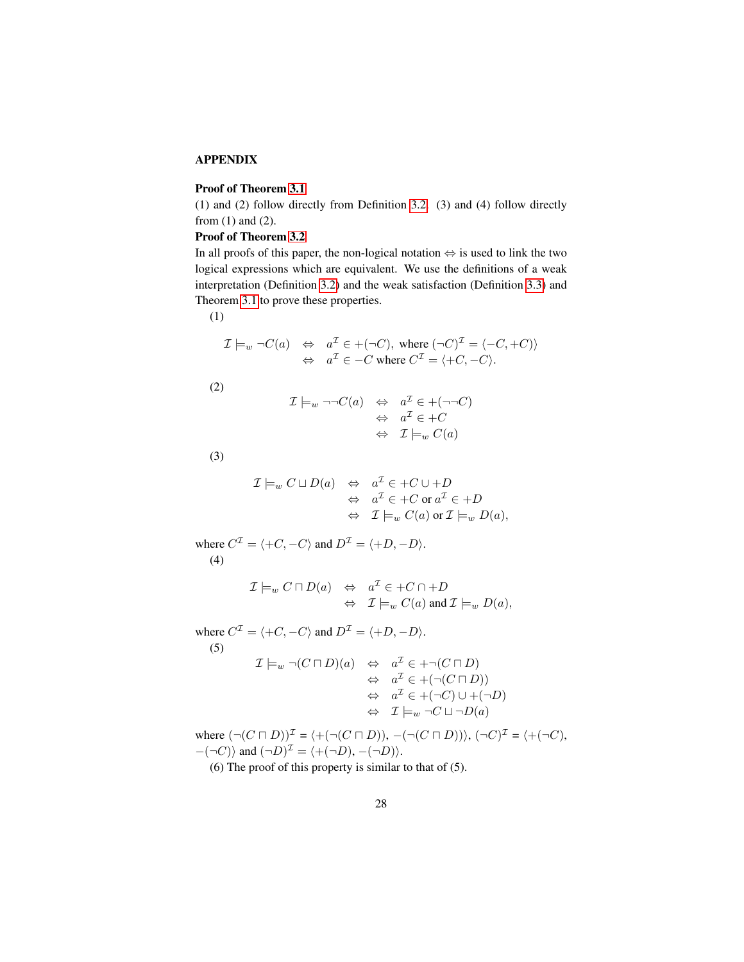# APPENDIX

# Proof of Theorem [3.1](#page-7-1)

(1) and (2) follow directly from Definition [3.2.](#page-7-0) (3) and (4) follow directly from (1) and (2).

# Proof of Theorem [3.2](#page-8-1)

In all proofs of this paper, the non-logical notation ⇔ is used to link the two logical expressions which are equivalent. We use the definitions of a weak interpretation (Definition [3.2\)](#page-7-0) and the weak satisfaction (Definition [3.3\)](#page-8-0) and Theorem [3.1](#page-7-1) to prove these properties.

(1)

$$
\mathcal{I} \models_{w} \neg C(a) \Leftrightarrow a^{\mathcal{I}} \in +(\neg C), \text{ where } (\neg C)^{\mathcal{I}} = \langle -C, +C \rangle
$$
  

$$
\Leftrightarrow a^{\mathcal{I}} \in -C \text{ where } C^{\mathcal{I}} = \langle +C, -C \rangle.
$$

(2)

$$
\mathcal{I} \models_{w} \neg \neg C(a) \Leftrightarrow a^{\mathcal{I}} \in +(\neg \neg C)
$$
  

$$
\Leftrightarrow a^{\mathcal{I}} \in +C
$$
  

$$
\Leftrightarrow \mathcal{I} \models_{w} C(a)
$$

(3)

$$
\mathcal{I} \models_{w} C \sqcup D(a) \Leftrightarrow a^{\mathcal{I}} \in +C \cup +D
$$
  

$$
\Leftrightarrow a^{\mathcal{I}} \in +C \text{ or } a^{\mathcal{I}} \in +D
$$
  

$$
\Leftrightarrow \mathcal{I} \models_{w} C(a) \text{ or } \mathcal{I} \models_{w} D(a),
$$

where  $C^{\mathcal{I}} = \langle +C, -C \rangle$  and  $D^{\mathcal{I}} = \langle +D, -D \rangle$ . (4)

$$
\mathcal{I}\models_w C\sqcap D(a) \Leftrightarrow a^{\mathcal{I}} \in +C\cap +D
$$
  

$$
\Leftrightarrow \mathcal{I}\models_w C(a) \text{ and } \mathcal{I}\models_w D(a),
$$

where  $C^{\mathcal{I}} = \langle +C, -C \rangle$  and  $D^{\mathcal{I}} = \langle +D, -D \rangle$ . (5)  $\mathcal{I} \models_w \neg (C \sqcap D)(a) \Leftrightarrow a^{\mathcal{I}} \in + \neg (C \sqcap D)$  $\Leftrightarrow a^{\mathcal{I}} \in \div(\neg(C \sqcap D))$  $\Leftrightarrow a^{\mathcal{I}} \in +(\neg C) \cup +(\neg D)$  $\Leftrightarrow$   $\mathcal{I}\models_w \neg C \sqcup \neg D(a)$ 

where  $(\neg(C \sqcap D))^{\mathcal{I}} = \langle +(\neg(C \sqcap D)), -(\neg(C \sqcap D)) \rangle, (\neg C)^{\mathcal{I}} = \langle +(\neg C),$  $-(-C)$  and  $(\neg D)^{\mathcal{I}} = \langle +(\neg D), -(\neg D) \rangle$ .

(6) The proof of this property is similar to that of (5).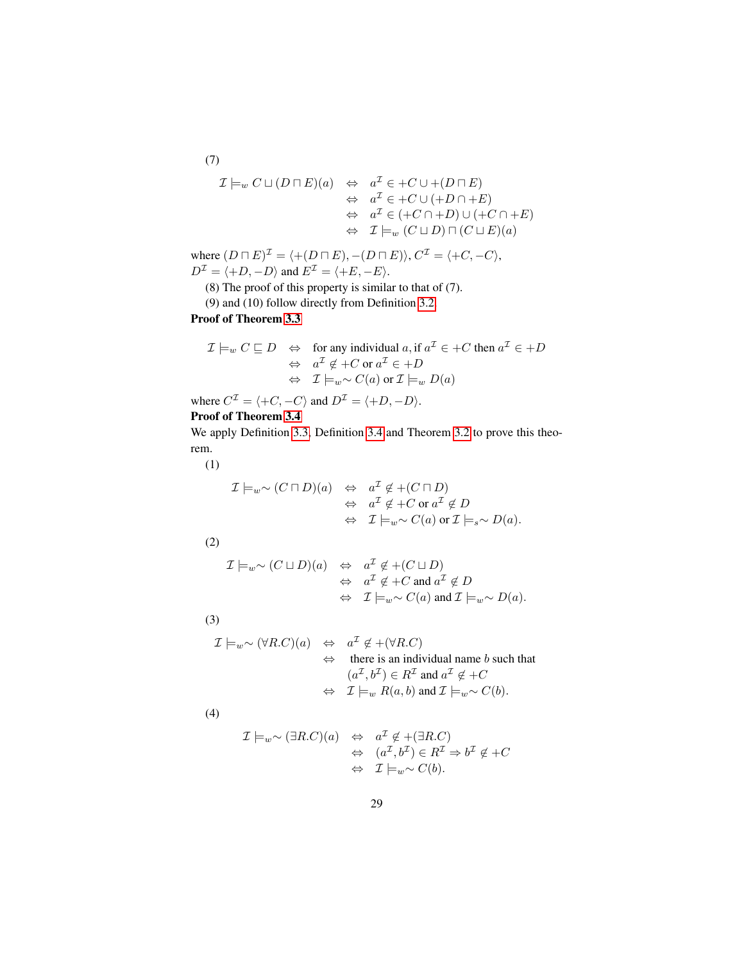(7)  
\n
$$
\mathcal{I} \models_{w} C \sqcup (D \sqcap E)(a) \Leftrightarrow a^{\mathcal{I}} \in +C \cup + (D \sqcap E)
$$
\n
$$
\Leftrightarrow a^{\mathcal{I}} \in +C \cup (+D \cap +E)
$$
\n
$$
\Leftrightarrow a^{\mathcal{I}} \in (+C \cap +D) \cup (+C \cap +E)
$$
\n
$$
\Leftrightarrow \mathcal{I} \models_{w} (C \sqcup D) \sqcap (C \sqcup E)(a)
$$

where  $(D \sqcap E)^{\mathcal{I}} = \langle +(D \sqcap E), -(D \sqcap E) \rangle, C^{\mathcal{I}} = \langle +C, -C \rangle,$  $D^{\mathcal{I}} = \langle +D, -D \rangle$  and  $E^{\mathcal{I}} = \langle +E, -E \rangle$ .

(8) The proof of this property is similar to that of (7).

(9) and (10) follow directly from Definition [3.2.](#page-7-0)

Proof of Theorem [3.3](#page-9-0)

$$
\mathcal{I} \models_{w} C \sqsubseteq D \Leftrightarrow \text{ for any individual } a, \text{ if } a^{\mathcal{I}} \in +C \text{ then } a^{\mathcal{I}} \in +D
$$
  

$$
\Leftrightarrow a^{\mathcal{I}} \notin +C \text{ or } a^{\mathcal{I}} \in +D
$$
  

$$
\Leftrightarrow \mathcal{I} \models_{w} \sim C(a) \text{ or } \mathcal{I} \models_{w} D(a)
$$

where  $C^{\mathcal{I}} = \langle +C, -C \rangle$  and  $D^{\mathcal{I}} = \langle +D, -D \rangle$ .

# Proof of Theorem [3.4](#page-9-1)

We apply Definition [3.3,](#page-8-0) Definition [3.4](#page-8-2) and Theorem [3.2](#page-8-1) to prove this theorem.

(1)

$$
\mathcal{I} \models_{w} \sim (C \sqcap D)(a) \Leftrightarrow a^{\mathcal{I}} \notin +(C \sqcap D)
$$
  
\n
$$
\Leftrightarrow a^{\mathcal{I}} \notin +C \text{ or } a^{\mathcal{I}} \notin D
$$
  
\n
$$
\Leftrightarrow \mathcal{I} \models_{w} \sim C(a) \text{ or } \mathcal{I} \models_{s} \sim D(a).
$$

(2)

$$
\mathcal{I}\models_{w} \sim (C\sqcup D)(a) \Leftrightarrow a^{\mathcal{I}} \notin +(C\sqcup D)
$$
  

$$
\Leftrightarrow a^{\mathcal{I}} \notin +C \text{ and } a^{\mathcal{I}} \notin D
$$
  

$$
\Leftrightarrow \mathcal{I}\models_{w} \sim C(a) \text{ and } \mathcal{I}\models_{w} \sim D(a).
$$

(3)

$$
\mathcal{I} \models_{w} \sim (\forall R.C)(a) \Leftrightarrow a^{\mathcal{I}} \notin + (\forall R.C)
$$
  
\n
$$
\Leftrightarrow \text{there is an individual name } b \text{ such that}
$$
  
\n
$$
(a^{\mathcal{I}}, b^{\mathcal{I}}) \in R^{\mathcal{I}} \text{ and } a^{\mathcal{I}} \notin +C
$$
  
\n
$$
\Leftrightarrow \mathcal{I} \models_{w} R(a, b) \text{ and } \mathcal{I} \models_{w} \sim C(b).
$$

(4)

$$
\mathcal{I} \models_{w} \sim (\exists R.C)(a) \Leftrightarrow a^{\mathcal{I}} \notin (\exists R.C)
$$
  

$$
\Leftrightarrow (a^{\mathcal{I}}, b^{\mathcal{I}}) \in R^{\mathcal{I}} \Rightarrow b^{\mathcal{I}} \notin +C
$$
  

$$
\Leftrightarrow \mathcal{I} \models_{w} \sim C(b).
$$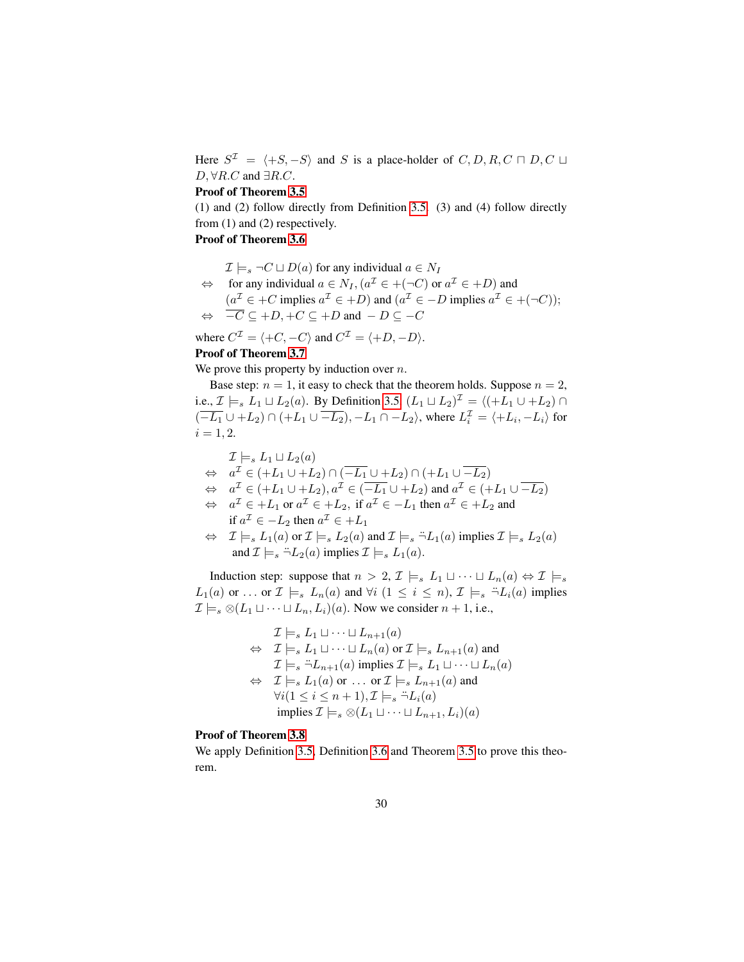Here  $S^{\mathcal{I}} = \langle +S, -S \rangle$  and S is a place-holder of  $C, D, R, C \sqcap D, C \sqcup$  $D, \forall R.C$  and  $\exists R.C$ .

#### Proof of Theorem [3.5](#page-11-1)

(1) and (2) follow directly from Definition [3.5.](#page-10-1) (3) and (4) follow directly from (1) and (2) respectively.

# Proof of Theorem [3.6](#page-12-0)

 $\mathcal{I} \models_s \neg C \sqcup D(a)$  for any individual  $a \in N_I$ 

 $\Leftrightarrow$  for any individual  $a \in N_I$ ,  $(a^{\mathcal{I}} \in +(\neg C)$  or  $a^{\mathcal{I}} \in +D)$  and  $(a^{\mathcal{I}} \in +C \text{ implies } a^{\mathcal{I}} \in +D)$  and  $(a^{\mathcal{I}} \in -D \text{ implies } a^{\mathcal{I}} \in +(\neg C));$  $\Leftrightarrow$   $-\overline{C} \subseteq +D, +C \subseteq +D$  and  $-\overline{D} \subseteq -C$ 

where  $C^{\mathcal{I}} = \langle +C, -C \rangle$  and  $C^{\mathcal{I}} = \langle +D, -D \rangle$ .

# Proof of Theorem [3.7](#page-12-2)

We prove this property by induction over  $n$ .

Base step:  $n = 1$ , it easy to check that the theorem holds. Suppose  $n = 2$ , i.e.,  $\mathcal{I} \models_s L_1 \sqcup L_2(a)$ . By Definition [3.5,](#page-10-1)  $(L_1 \sqcup L_2)^{\mathcal{I}} = \langle (+L_1 \cup +L_2) \cap$  $(\overline{-L_1} \cup +L_2) \cap (+L_1 \cup \overline{-L_2}), -L_1 \cap -L_2$ , where  $L_i^{\mathcal{I}} = \langle +L_i, -L_i \rangle$  for  $i = 1, 2.$ 

$$
\mathcal{I} \models_s L_1 \sqcup L_2(a)
$$
\n
$$
\Leftrightarrow a^{\mathcal{I}} \in (+L_1 \cup +L_2) \cap (-\overline{L_1} \cup +L_2) \cap (+L_1 \cup \overline{-L_2})
$$
\n
$$
\Leftrightarrow a^{\mathcal{I}} \in (+L_1 \cup +L_2), a^{\mathcal{I}} \in (-\overline{L_1} \cup +L_2) \text{ and } a^{\mathcal{I}} \in (+L_1 \cup \overline{-L_2})
$$
\n
$$
\Leftrightarrow a^{\mathcal{I}} \in +L_1 \text{ or } a^{\mathcal{I}} \in +L_2, \text{ if } a^{\mathcal{I}} \in -L_1 \text{ then } a^{\mathcal{I}} \in +L_2 \text{ and }
$$
\n
$$
\text{if } a^{\mathcal{I}} \in -L_2 \text{ then } a^{\mathcal{I}} \in +L_1
$$
\n
$$
\Leftrightarrow \mathcal{I} \models_s L_1(a) \text{ or } \mathcal{I} \models_s L_2(a) \text{ and } \mathcal{I} \models_s \neg L_1(a) \text{ implies } \mathcal{I} \models_s L_2(a)
$$
\n
$$
\text{and } \mathcal{I} \models_s \neg L_2(a) \text{ implies } \mathcal{I} \models_s L_1(a).
$$

Induction step: suppose that  $n > 2$ ,  $\mathcal{I} \models_s L_1 \sqcup \cdots \sqcup L_n(a) \Leftrightarrow \mathcal{I} \models_s$  $L_1(a)$  or ... or  $\mathcal{I} \models_s L_n(a)$  and  $\forall i \ (1 \leq i \leq n)$ ,  $\mathcal{I} \models_s \exists L_i(a)$  implies  $\mathcal{I} \models_s \otimes (L_1 \sqcup \cdots \sqcup L_n, L_i)(a)$ . Now we consider  $n + 1$ , i.e.,

$$
\mathcal{I} \models_s L_1 \sqcup \cdots \sqcup L_{n+1}(a)
$$
\n
$$
\Leftrightarrow \mathcal{I} \models_s L_1 \sqcup \cdots \sqcup L_n(a) \text{ or } \mathcal{I} \models_s L_{n+1}(a) \text{ and}
$$
\n
$$
\mathcal{I} \models_s \ddot{\neg} L_{n+1}(a) \text{ implies } \mathcal{I} \models_s L_1 \sqcup \cdots \sqcup L_n(a)
$$
\n
$$
\Leftrightarrow \mathcal{I} \models_s L_1(a) \text{ or } \ldots \text{ or } \mathcal{I} \models_s L_{n+1}(a) \text{ and}
$$
\n
$$
\forall i (1 \leq i \leq n+1), \mathcal{I} \models_s \ddot{\neg} L_i(a)
$$
\n
$$
\text{implies } \mathcal{I} \models_s \otimes (L_1 \sqcup \cdots \sqcup L_{n+1}, L_i)(a)
$$

## Proof of Theorem [3.8](#page-12-1)

We apply Definition [3.5,](#page-10-1) Definition [3.6](#page-11-0) and Theorem [3.5](#page-11-1) to prove this theorem.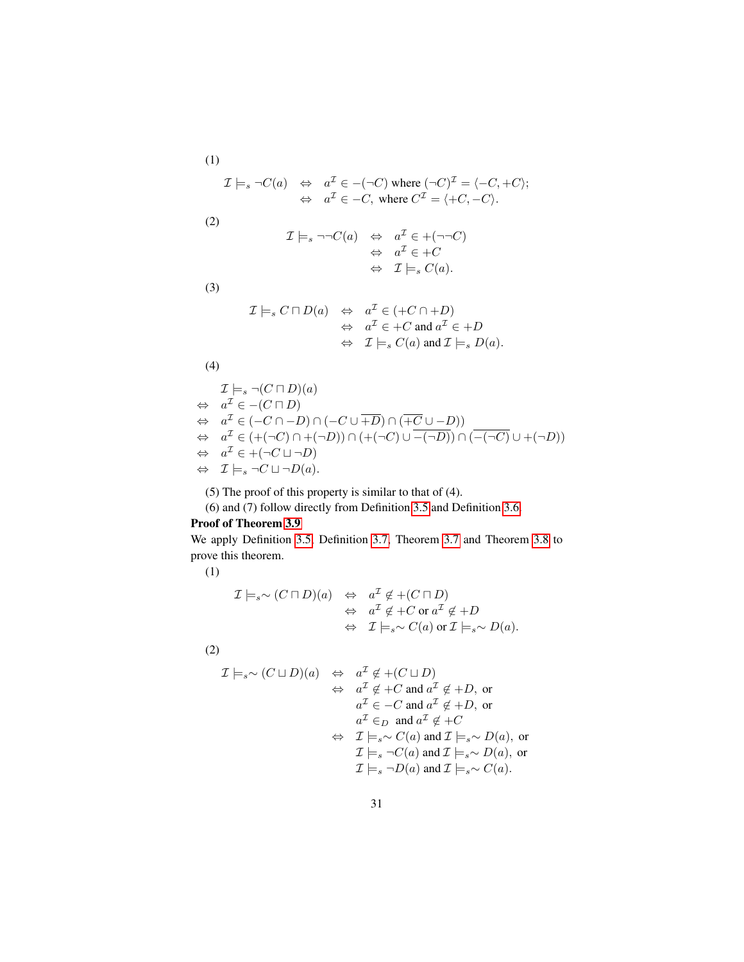(1)  
\n
$$
\mathcal{I} \models_s \neg C(a) \Leftrightarrow a^{\mathcal{I}} \in -(\neg C) \text{ where } (\neg C)^{\mathcal{I}} = \langle -C, +C \rangle;
$$
\n
$$
\Leftrightarrow a^{\mathcal{I}} \in -C, \text{ where } C^{\mathcal{I}} = \langle +C, -C \rangle.
$$

(2)

$$
\mathcal{I}\models_s \neg\neg C(a) \Leftrightarrow a^{\mathcal{I}} \in +(\neg\neg C)
$$
  

$$
\Leftrightarrow a^{\mathcal{I}} \in +C
$$
  

$$
\Leftrightarrow \mathcal{I}\models_s C(a).
$$

(3)

$$
\mathcal{I}\models_s C\sqcap D(a) \Leftrightarrow a^{\mathcal{I}} \in (+C\cap +D)
$$
  
\n
$$
\Leftrightarrow a^{\mathcal{I}} \in +C \text{ and } a^{\mathcal{I}} \in +D
$$
  
\n
$$
\Leftrightarrow \mathcal{I}\models_s C(a) \text{ and } \mathcal{I}\models_s D(a).
$$

(4)

$$
\mathcal{I} \models_s \neg (C \sqcap D)(a)
$$
\n
$$
\Leftrightarrow a^{\mathcal{I}} \in -(C \sqcap D)
$$
\n
$$
\Leftrightarrow a^{\mathcal{I}} \in (-C \sqcap -D) \cap (-C \cup \overline{+D}) \cap (\overline{+C} \cup -D))
$$
\n
$$
\Leftrightarrow a^{\mathcal{I}} \in (+(-C) \cap +(-D)) \cap (+(-C) \cup \overline{-(\neg D)}) \cap (-(-C) \cup +(\neg D))
$$
\n
$$
\Leftrightarrow a^{\mathcal{I}} \in +( \neg C \sqcup \neg D)
$$
\n
$$
\Leftrightarrow \mathcal{I} \models_s \neg C \sqcup \neg D(a).
$$

(5) The proof of this property is similar to that of (4).

(6) and (7) follow directly from Definition [3.5](#page-10-1) and Definition [3.6.](#page-11-0)

# Proof of Theorem [3.9](#page-13-0)

We apply Definition [3.5,](#page-10-1) Definition [3.7,](#page-12-3) Theorem [3.7](#page-12-2) and Theorem [3.8](#page-12-1) to prove this theorem.

(1)

$$
\mathcal{I}\models_{s} \sim (C\sqcap D)(a) \Leftrightarrow a^{\mathcal{I}} \notin +(C\sqcap D)
$$
  
\n
$$
\Leftrightarrow a^{\mathcal{I}} \notin +C \text{ or } a^{\mathcal{I}} \notin +D
$$
  
\n
$$
\Leftrightarrow \mathcal{I}\models_{s} \sim C(a) \text{ or } \mathcal{I}\models_{s} \sim D(a).
$$

(2)

$$
\mathcal{I}\models_{s} \sim (C\sqcup D)(a) \Leftrightarrow a^{\mathcal{I}} \notin +(C\sqcup D)
$$
  
\n
$$
\Leftrightarrow a^{\mathcal{I}} \notin +C \text{ and } a^{\mathcal{I}} \notin +D, \text{ or}
$$
  
\n
$$
a^{\mathcal{I}} \in -C \text{ and } a^{\mathcal{I}} \notin +D, \text{ or}
$$
  
\n
$$
a^{\mathcal{I}} \in_D \text{ and } a^{\mathcal{I}} \notin +C
$$
  
\n
$$
\Leftrightarrow \mathcal{I}\models_{s} \sim C(a) \text{ and } \mathcal{I}\models_{s} \sim D(a), \text{ or}
$$
  
\n
$$
\mathcal{I}\models_{s} \neg C(a) \text{ and } \mathcal{I}\models_{s} \sim D(a), \text{ or}
$$
  
\n
$$
\mathcal{I}\models_{s} \neg D(a) \text{ and } \mathcal{I}\models_{s} \sim C(a).
$$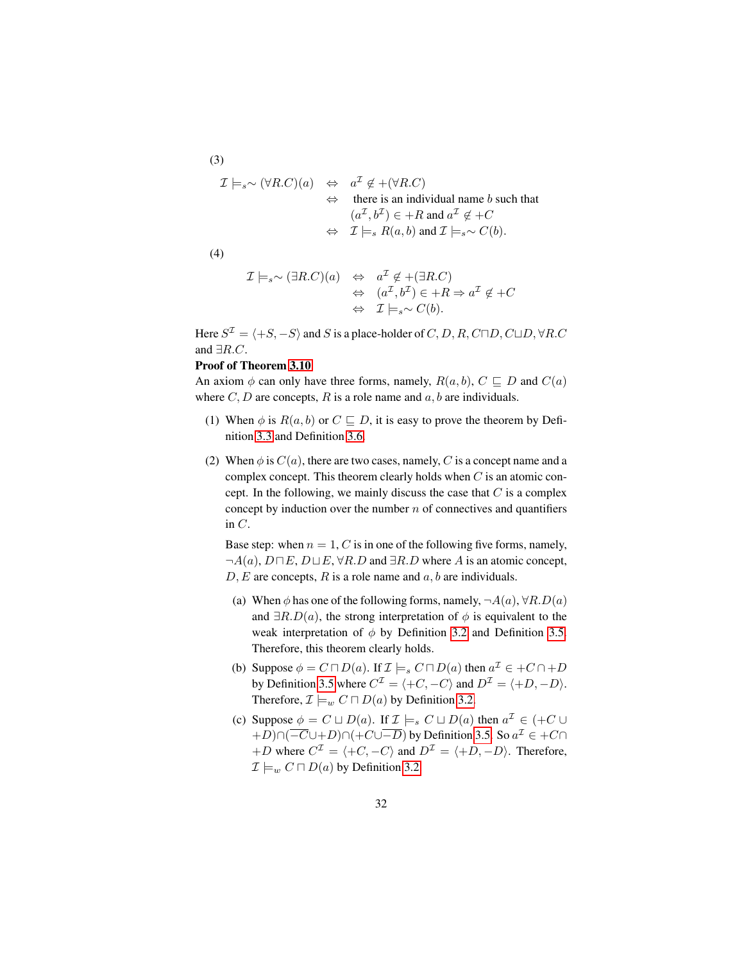$$
\mathcal{I} \models_{s} \sim (\forall R.C)(a) \Leftrightarrow a^{\mathcal{I}} \notin + (\forall R.C)
$$
  
\n
$$
\Leftrightarrow \text{ there is an individual name } b \text{ such that}
$$
  
\n
$$
(a^{\mathcal{I}}, b^{\mathcal{I}}) \in +R \text{ and } a^{\mathcal{I}} \notin +C
$$
  
\n
$$
\Leftrightarrow \mathcal{I} \models_{s} R(a, b) \text{ and } \mathcal{I} \models_{s} \sim C(b).
$$

(4)

(3)

$$
\mathcal{I} \models_s \sim (\exists R.C)(a) \Leftrightarrow a^{\mathcal{I}} \notin (\exists R.C)
$$
  

$$
\Leftrightarrow (a^{\mathcal{I}}, b^{\mathcal{I}}) \in +R \Rightarrow a^{\mathcal{I}} \notin +C
$$
  

$$
\Leftrightarrow \mathcal{I} \models_s \sim C(b).
$$

Here  $S^{\mathcal{I}} = \langle +S, -S \rangle$  and  $S$  is a place-holder of  $C, D, R, C \Box D, C \Box D, \forall R.C$ and  $\exists R.C.$ 

#### Proof of Theorem [3.10](#page-13-1)

An axiom  $\phi$  can only have three forms, namely,  $R(a, b)$ ,  $C \subseteq D$  and  $C(a)$ where  $C, D$  are concepts, R is a role name and  $a, b$  are individuals.

- (1) When  $\phi$  is  $R(a, b)$  or  $C \sqsubseteq D$ , it is easy to prove the theorem by Definition [3.3](#page-8-0) and Definition [3.6.](#page-11-0)
- (2) When  $\phi$  is  $C(a)$ , there are two cases, namely, C is a concept name and a complex concept. This theorem clearly holds when  $C$  is an atomic concept. In the following, we mainly discuss the case that  $C$  is a complex concept by induction over the number  $n$  of connectives and quantifiers in C.

Base step: when  $n = 1, C$  is in one of the following five forms, namely,  $\neg A(a), D \sqcap E, D \sqcup E, \forall R.D$  and  $\exists R.D$  where A is an atomic concept,  $D, E$  are concepts, R is a role name and  $a, b$  are individuals.

- (a) When  $\phi$  has one of the following forms, namely,  $\neg A(a), \forall R.D(a)$ and  $\exists R.D(a)$ , the strong interpretation of  $\phi$  is equivalent to the weak interpretation of  $\phi$  by Definition [3.2](#page-7-0) and Definition [3.5.](#page-10-1) Therefore, this theorem clearly holds.
- (b) Suppose  $\phi = C \sqcap D(a)$ . If  $\mathcal{I} \models_s C \sqcap D(a)$  then  $a^{\mathcal{I}} \in +C \cap +D$ by Definition [3.5](#page-10-1) where  $C^{\mathcal{I}} = \langle +C, -C \rangle$  and  $D^{\mathcal{I}} = \langle +D, -D \rangle$ . Therefore,  $\mathcal{I} \models_w C \sqcap D(a)$  by Definition [3.2.](#page-7-0)
- (c) Suppose  $\phi = C \sqcup D(a)$ . If  $\mathcal{I} \models_s C \sqcup D(a)$  then  $a^{\mathcal{I}} \in (+C \cup$  $+D) \cap (\overline{-C} \cup +D) \cap (+C \cup \overline{-D})$  by Definition [3.5.](#page-10-1) So  $a^{\mathcal{I}} \in +C \cap$ +D where  $C^{\mathcal{I}} = \langle +C, -C \rangle$  and  $D^{\mathcal{I}} = \langle +D, -D \rangle$ . Therefore,  $\mathcal{I} \models_w C \sqcap D(a)$  by Definition [3.2.](#page-7-0)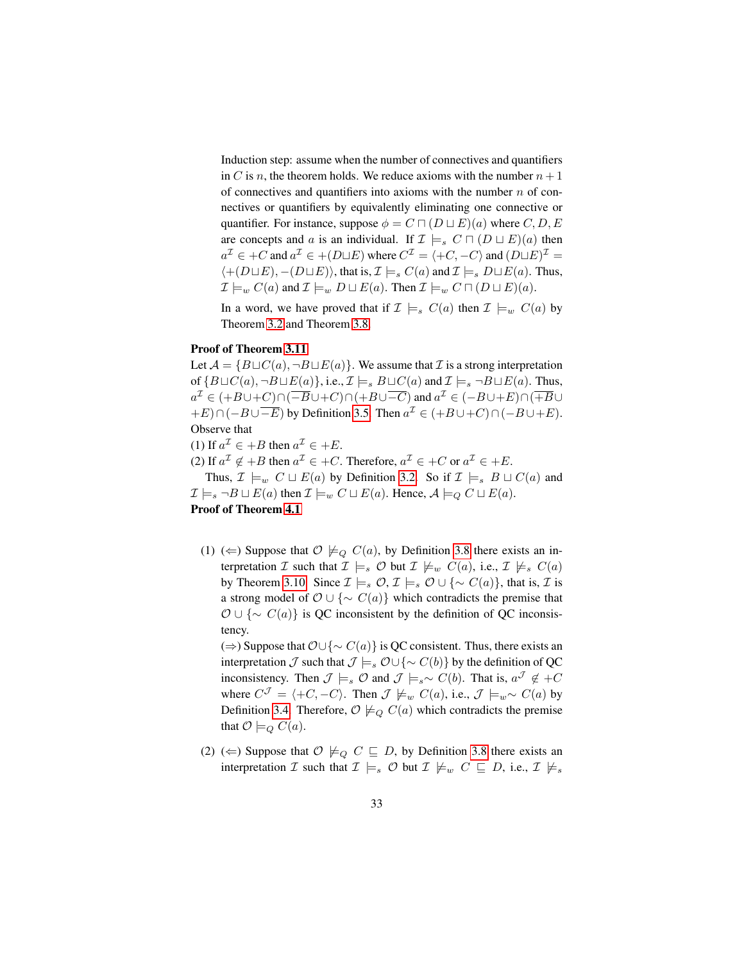Induction step: assume when the number of connectives and quantifiers in C is n, the theorem holds. We reduce axioms with the number  $n + 1$ of connectives and quantifiers into axioms with the number  $n$  of connectives or quantifiers by equivalently eliminating one connective or quantifier. For instance, suppose  $\phi = C \sqcap (D \sqcup E)(a)$  where  $C, D, E$ are concepts and a is an individual. If  $\mathcal{I} \models_{s} C \sqcap (D \sqcup E)(a)$  then  $a^{\mathcal{I}} \in +C$  and  $a^{\mathcal{I}} \in +(D \sqcup E)$  where  $C^{\mathcal{I}} = \langle +C, -C \rangle$  and  $(D \sqcup E)^{\mathcal{I}} =$  $\langle+(D \sqcup E), -(D \sqcup E)\rangle$ , that is,  $\mathcal{I} \models_{s} C(a)$  and  $\mathcal{I} \models_{s} D \sqcup E(a)$ . Thus,  $\mathcal{I} \models_w C(a)$  and  $\mathcal{I} \models_w D \sqcup E(a)$ . Then  $\mathcal{I} \models_w C \sqcap (D \sqcup E)(a)$ .

In a word, we have proved that if  $\mathcal{I} \models_{s} C(a)$  then  $\mathcal{I} \models_{w} C(a)$  by Theorem [3.2](#page-8-1) and Theorem [3.8.](#page-12-1)

### Proof of Theorem [3.11](#page-14-0)

Let  $A = {B \sqcup C(a), \neg B \sqcup E(a)}$ . We assume that  $\mathcal I$  is a strong interpretation of  $\{B\sqcup C(a), \neg B\sqcup E(a)\}, i.e., \mathcal{I}\models_{s} B\sqcup C(a)$  and  $\mathcal{I}\models_{s} \neg B\sqcup E(a)$ . Thus,  $a^{\mathcal{I}} \in (+B \cup +C) \cap (\overline{-B} \cup +C) \cap (+B \cup \overline{-C})$  and  $a^{\mathcal{I}} \in (-B \cup +E) \cap (\overline{+B} \cup$  $+E\cap(-B\cup\overline{-E})$  by Definition [3.5.](#page-10-1) Then  $a^{\mathcal{I}} \in (+B\cup+C)\cap(-B\cup+E)$ . Observe that

(1) If  $a^{\mathcal{I}} \in +B$  then  $a^{\mathcal{I}} \in +E$ .

(2) If  $a^{\mathcal{I}} \notin B$  then  $a^{\mathcal{I}} \in +C$ . Therefore,  $a^{\mathcal{I}} \in +C$  or  $a^{\mathcal{I}} \in +E$ .

Thus,  $\mathcal{I} \models_w C \sqcup E(a)$  by Definition [3.2.](#page-7-0) So if  $\mathcal{I} \models_s B \sqcup C(a)$  and  $\mathcal{I} \models_s \neg B \sqcup E(a)$  then  $\mathcal{I} \models_w C \sqcup E(a)$ . Hence,  $\mathcal{A} \models_Q C \sqcup E(a)$ .

# Proof of Theorem [4.1](#page-16-0)

(1) ( $\Leftarrow$ ) Suppose that  $\mathcal{O} \not\models_{\mathcal{O}} C(a)$ , by Definition [3.8](#page-14-1) there exists an interpretation I such that  $\mathcal{I} \models_s \mathcal{O}$  but  $\mathcal{I} \not\models_w C(a)$ , i.e.,  $\mathcal{I} \not\models_s C(a)$ by Theorem [3.10.](#page-13-1) Since  $\mathcal{I} \models_s \mathcal{O}, \mathcal{I} \models_s \mathcal{O} \cup {\sim C(a)}$ , that is,  $\mathcal{I}$  is a strong model of  $\mathcal{O} \cup \{\sim C(a)\}\$  which contradicts the premise that  $\mathcal{O} \cup \{\sim C(a)\}\$ is QC inconsistent by the definition of QC inconsistency.

(⇒) Suppose that  $\mathcal{O} \cup \{ \sim C(a) \}$  is QC consistent. Thus, there exists an interpretation  $\mathcal J$  such that  $\mathcal J \models_s \mathcal O \cup \{ \sim C(b) \}$  by the definition of QC inconsistency. Then  $\mathcal{J} \models_s \mathcal{O}$  and  $\mathcal{J} \models_s \sim C(b)$ . That is,  $a^{\mathcal{J}} \notin C$ where  $C^{\mathcal{J}} = \langle +C, -C \rangle$ . Then  $\mathcal{J} \not\models_w C(a)$ , i.e.,  $\mathcal{J} \models_w \sim C(a)$  by Definition [3.4.](#page-8-2) Therefore,  $\mathcal{O} \not\models_{Q} C(a)$  which contradicts the premise that  $\mathcal{O} \models_{Q} C(a)$ .

(2) ( $\Leftarrow$ ) Suppose that  $\mathcal{O} \not\models_{Q} C \sqsubseteq D$ , by Definition [3.8](#page-14-1) there exists an interpretation  $\mathcal I$  such that  $\mathcal I \models_s \mathcal O$  but  $\mathcal I \not\models_w C \sqsubseteq D$ , i.e.,  $\mathcal I \not\models_s$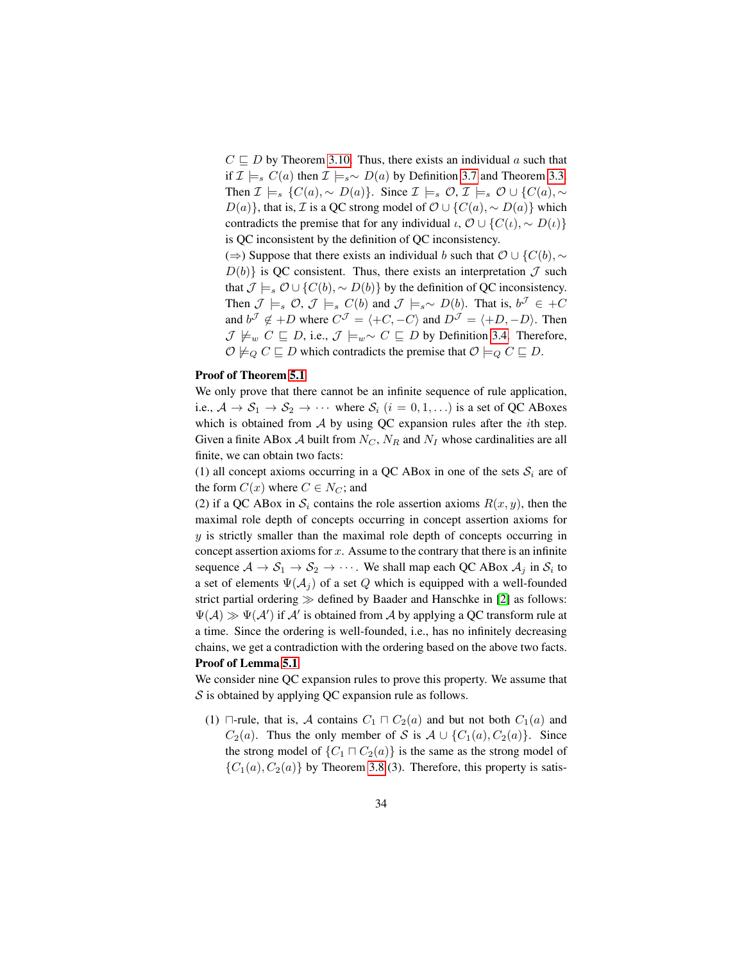$C \sqsubseteq D$  by Theorem [3.10.](#page-13-1) Thus, there exists an individual a such that if  $\mathcal{I} \models_s C(a)$  then  $\mathcal{I} \models_s \sim D(a)$  by Definition [3.7](#page-12-3) and Theorem [3.3.](#page-9-0) Then  $\mathcal{I} \models_s \{C(a), \sim D(a)\}\text{. Since } \mathcal{I} \models_s \mathcal{O}, \mathcal{I} \models_s \mathcal{O} \cup \{C(a), \sim_s \}$  $D(a)$ , that is, *I* is a QC strong model of  $\mathcal{O} \cup \{C(a), \sim D(a)\}\$  which contradicts the premise that for any individual  $\iota$ ,  $\mathcal{O} \cup \{C(\iota), \sim D(\iota)\}\$ is QC inconsistent by the definition of QC inconsistency.

(⇒) Suppose that there exists an individual b such that  $\mathcal{O} \cup \{C(b), \sim\}$  $D(b)$  is QC consistent. Thus, there exists an interpretation  $\mathcal J$  such that  $\mathcal{J} \models_s \mathcal{O} \cup \{C(b), \sim D(b)\}\$  by the definition of QC inconsistency. Then  $\mathcal{J} \models_s \mathcal{O}, \mathcal{J} \models_s C(b)$  and  $\mathcal{J} \models_s \sim D(b)$ . That is,  $b^{\mathcal{J}} \in +C$ and  $b^{\mathcal{J}} \notin D$  where  $C^{\mathcal{J}} = \langle +C, -C \rangle$  and  $D^{\mathcal{J}} = \langle +D, -D \rangle$ . Then  $\mathcal{J} \not\models_w C \sqsubseteq D$ , i.e.,  $\mathcal{J} \models_w \sim C \sqsubseteq D$  by Definition [3.4.](#page-8-2) Therefore,  $\mathcal{O} \not\models_Q C \sqsubseteq D$  which contradicts the premise that  $\mathcal{O} \models_Q C \sqsubseteq D$ .

## Proof of Theorem [5.1](#page-19-1)

We only prove that there cannot be an infinite sequence of rule application, i.e.,  $A \rightarrow S_1 \rightarrow S_2 \rightarrow \cdots$  where  $S_i$   $(i = 0, 1, \ldots)$  is a set of QC ABoxes which is obtained from  $A$  by using QC expansion rules after the *i*th step. Given a finite ABox  $A$  built from  $N_C$ ,  $N_R$  and  $N_I$  whose cardinalities are all finite, we can obtain two facts:

(1) all concept axioms occurring in a QC ABox in one of the sets  $S_i$  are of the form  $C(x)$  where  $C \in N_C$ ; and

(2) if a QC ABox in  $S_i$  contains the role assertion axioms  $R(x, y)$ , then the maximal role depth of concepts occurring in concept assertion axioms for  $y$  is strictly smaller than the maximal role depth of concepts occurring in concept assertion axioms for  $x$ . Assume to the contrary that there is an infinite sequence  $\mathcal{A} \to \mathcal{S}_1 \to \mathcal{S}_2 \to \cdots$  . We shall map each QC ABox  $\mathcal{A}_j$  in  $\mathcal{S}_i$  to a set of elements  $\Psi(\mathcal{A}_i)$  of a set Q which is equipped with a well-founded strict partial ordering  $\gg$  defined by Baader and Hanschke in [\[2\]](#page-24-7) as follows:  $\Psi(\mathcal{A}) \gg \Psi(\mathcal{A}')$  if  $\mathcal{A}'$  is obtained from  $\mathcal{A}$  by applying a QC transform rule at a time. Since the ordering is well-founded, i.e., has no infinitely decreasing chains, we get a contradiction with the ordering based on the above two facts. Proof of Lemma [5.1](#page-19-0)

We consider nine QC expansion rules to prove this property. We assume that  $S$  is obtained by applying QC expansion rule as follows.

(1)  $\Box$ -rule, that is, A contains  $C_1 \Box C_2(a)$  and but not both  $C_1(a)$  and  $C_2(a)$ . Thus the only member of S is  $A \cup \{C_1(a), C_2(a)\}$ . Since the strong model of  $\{C_1 \sqcap C_2(a)\}$  is the same as the strong model of  ${C_1(a), C_2(a)}$  by Theorem [3.8](#page-12-1) (3). Therefore, this property is satis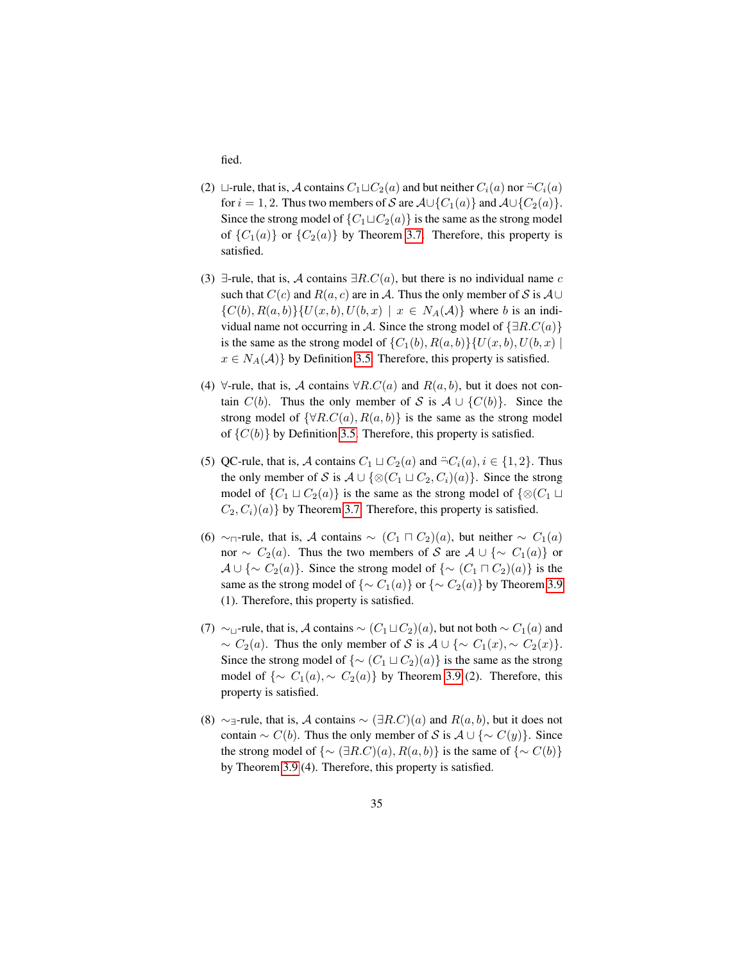fied.

- (2)  $\Box$ -rule, that is, A contains  $C_1 \Box C_2(a)$  and but neither  $C_i(a)$  nor  $\Box C_i(a)$ for  $i = 1, 2$ . Thus two members of S are  $\mathcal{A} \cup \{C_1(a)\}\$  and  $\mathcal{A} \cup \{C_2(a)\}\$ . Since the strong model of  $\{C_1 \sqcup C_2(a)\}$  is the same as the strong model of  ${C_1(a)}$  or  ${C_2(a)}$  by Theorem [3.7.](#page-12-2) Therefore, this property is satisfied.
- (3)  $\exists$ -rule, that is, A contains  $\exists R.C(a)$ , but there is no individual name c such that  $C(c)$  and  $R(a, c)$  are in A. Thus the only member of S is  $A \cup$  $\{C(b), R(a, b)\}\{U(x, b), U(b, x) \mid x \in N_A(\mathcal{A})\}$  where b is an individual name not occurring in A. Since the strong model of  $\{\exists R.C(a)\}\$ is the same as the strong model of  $\{C_1(b), R(a, b)\}\{U(x, b), U(b, x)\}\$  $x \in N_A(\mathcal{A})$  by Definition [3.5.](#page-10-1) Therefore, this property is satisfied.
- (4)  $\forall$ -rule, that is, A contains  $\forall R.C(a)$  and  $R(a, b)$ , but it does not contain  $C(b)$ . Thus the only member of S is  $A \cup \{C(b)\}$ . Since the strong model of  $\{\forall R.C(a), R(a, b)\}\$ is the same as the strong model of  $\{C(b)\}\$  by Definition [3.5.](#page-10-1) Therefore, this property is satisfied.
- (5) QC-rule, that is, A contains  $C_1 \sqcup C_2(a)$  and  $\neg C_i(a), i \in \{1, 2\}$ . Thus the only member of S is  $A \cup {\mathcal{Q}}(C_1 \sqcup C_2, C_i)(a)$ . Since the strong model of  $\{C_1 \sqcup C_2(a)\}\$ is the same as the strong model of  $\{\otimes (C_1 \sqcup C_2(a))\}$  $C_2, C_i(a)$  by Theorem [3.7.](#page-12-2) Therefore, this property is satisfied.
- (6) ∼<sub> $\sqcap$ </sub>-rule, that is, A contains  $\sim$   $(C_1 \sqcap C_2)(a)$ , but neither  $\sim C_1(a)$ nor  $\sim C_2(a)$ . Thus the two members of S are  $A \cup \{ \sim C_1(a) \}$  or  $\mathcal{A} \cup \{\sim C_2(a)\}\.$  Since the strong model of  $\{\sim (C_1 \sqcap C_2)(a)\}\.$ same as the strong model of  $\{\sim C_1(a)\}$  or  $\{\sim C_2(a)\}$  by Theorem [3.9](#page-13-0) (1). Therefore, this property is satisfied.
- (7) ∼<sub> $\sqcup$ </sub>-rule, that is, A contains  $\sim$  ( $C_1 \sqcup C_2$ )(a), but not both  $\sim$   $C_1(a)$  and  $\sim C_2(a)$ . Thus the only member of S is  $A \cup \{ \sim C_1(x), \sim C_2(x) \}.$ Since the strong model of  $\{\sim (C_1 \sqcup C_2)(a)\}\$ is the same as the strong model of  $\{\sim C_1(a), \sim C_2(a)\}\$ by Theorem [3.9](#page-13-0) (2). Therefore, this property is satisfied.
- (8) ∼<sub>∃</sub>-rule, that is, A contains  $\sim (\exists R.C)(a)$  and  $R(a, b)$ , but it does not contain  $\sim C(b)$ . Thus the only member of S is  $A \cup {\sim C(y)}$ . Since the strong model of  $\{\sim (\exists R.C)(a), R(a, b)\}\$ is the same of  $\{\sim C(b)\}\$ by Theorem [3.9](#page-13-0) (4). Therefore, this property is satisfied.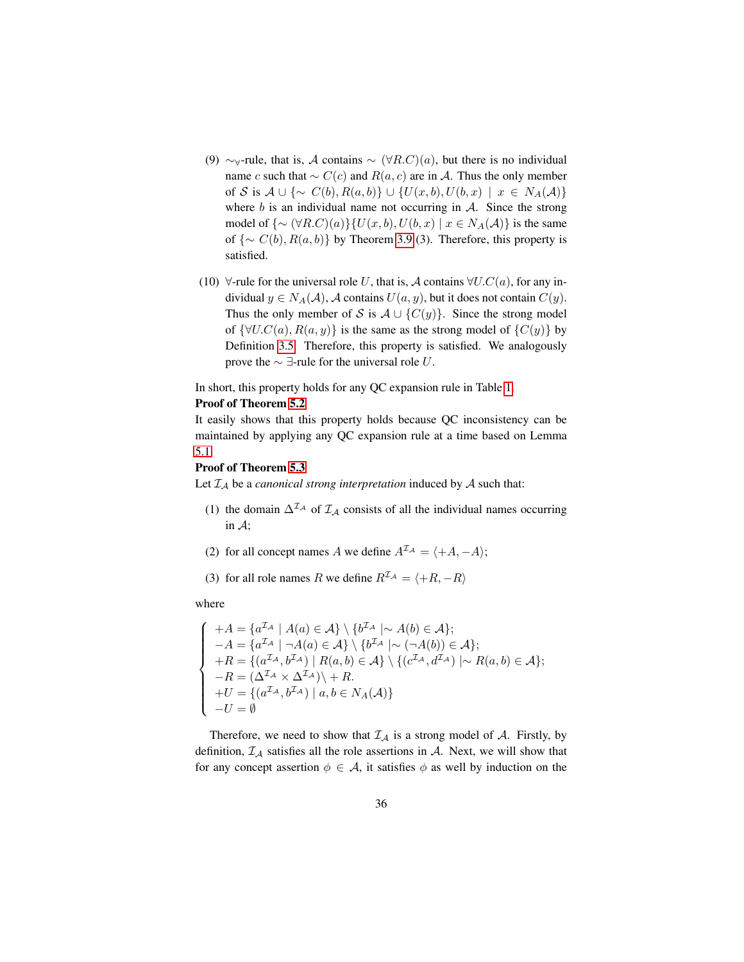- (9)  $\sim$ <sub>∀</sub>-rule, that is, A contains  $\sim (\forall R.C)(a)$ , but there is no individual name c such that  $\sim C(c)$  and  $R(a, c)$  are in A. Thus the only member of S is  $A \cup \{\sim C(b), R(a, b)\} \cup \{U(x, b), U(b, x) \mid x \in N_A(\mathcal{A})\}$ where  $b$  is an individual name not occurring in  $A$ . Since the strong model of  $\{\sim (\forall R.C)(a)\}\{U(x,b), U(b,x) \mid x \in N_A(\mathcal{A})\}$  is the same of  $\{\sim C(b), R(a, b)\}\$  by Theorem [3.9](#page-13-0) (3). Therefore, this property is satisfied.
- (10)  $\forall$ -rule for the universal role U, that is, A contains  $\forall U.C(a)$ , for any individual  $y \in N_A(\mathcal{A})$ , A contains  $U(a, y)$ , but it does not contain  $C(y)$ . Thus the only member of S is  $A \cup \{C(y)\}\$ . Since the strong model of  $\{\forall U.C(a), R(a, y)\}\$  is the same as the strong model of  $\{C(y)\}\$ by Definition [3.5.](#page-10-1) Therefore, this property is satisfied. We analogously prove the  $\sim$  ∃-rule for the universal role U.

In short, this property holds for any QC expansion rule in Table [1.](#page-18-0)

#### Proof of Theorem [5.2](#page-20-0)

It easily shows that this property holds because QC inconsistency can be maintained by applying any QC expansion rule at a time based on Lemma [5.1.](#page-19-0)

## Proof of Theorem [5.3](#page-20-1)

Let  $\mathcal{I}_\mathcal{A}$  be a *canonical strong interpretation* induced by  $\mathcal A$  such that:

- (1) the domain  $\Delta^{I_A}$  of  $I_A$  consists of all the individual names occurring in A;
- (2) for all concept names A we define  $A^{\mathcal{I}_{\mathcal{A}}} = \langle +A, -A \rangle;$
- (3) for all role names R we define  $R^{\mathcal{I}_{\mathcal{A}}} = \langle +R, -R \rangle$

where

$$
\begin{cases}\n+A = \{a^{\mathcal{I}_{\mathcal{A}}} \mid A(a) \in \mathcal{A}\} \setminus \{b^{\mathcal{I}_{\mathcal{A}}} \mid \sim A(b) \in \mathcal{A}\}; \\
-A = \{a^{\mathcal{I}_{\mathcal{A}}} \mid \neg A(a) \in \mathcal{A}\} \setminus \{b^{\mathcal{I}_{\mathcal{A}}} \mid \sim (\neg A(b)) \in \mathcal{A}\}; \\
+ R = \{ (a^{\mathcal{I}_{\mathcal{A}}}, b^{\mathcal{I}_{\mathcal{A}}}) \mid R(a, b) \in \mathcal{A}\} \setminus \{ (c^{\mathcal{I}_{\mathcal{A}}}, d^{\mathcal{I}_{\mathcal{A}}}) \mid \sim R(a, b) \in \mathcal{A}\}; \\
-R = (\Delta^{\mathcal{I}_{\mathcal{A}}} \times \Delta^{\mathcal{I}_{\mathcal{A}}}) \setminus + R. \\
+ U = \{ (a^{\mathcal{I}_{\mathcal{A}}}, b^{\mathcal{I}_{\mathcal{A}}}) \mid a, b \in N_A(\mathcal{A}) \} \\
-U = \emptyset\n\end{cases}
$$

Therefore, we need to show that  $\mathcal{I}_{\mathcal{A}}$  is a strong model of  $\mathcal{A}$ . Firstly, by definition,  $\mathcal{I}_A$  satisfies all the role assertions in  $\mathcal{A}$ . Next, we will show that for any concept assertion  $\phi \in A$ , it satisfies  $\phi$  as well by induction on the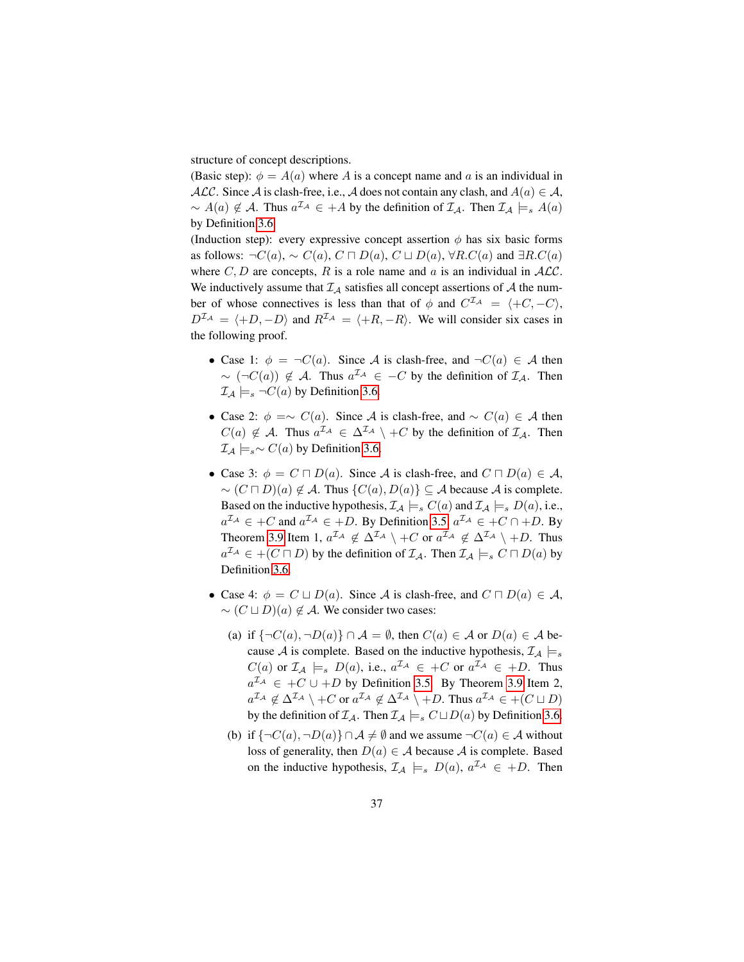structure of concept descriptions.

(Basic step):  $\phi = A(a)$  where A is a concept name and a is an individual in ALC. Since A is clash-free, i.e., A does not contain any clash, and  $A(a) \in \mathcal{A}$ ,  $\sim A(a) \notin \mathcal{A}$ . Thus  $a^{\mathcal{I}_{\mathcal{A}}} \in +A$  by the definition of  $\mathcal{I}_{\mathcal{A}}$ . Then  $\mathcal{I}_{\mathcal{A}} \models_{s} A(a)$ by Definition [3.6.](#page-11-0)

(Induction step): every expressive concept assertion  $\phi$  has six basic forms as follows:  $\neg C(a)$ ,  $\sim C(a)$ ,  $C \sqcap D(a)$ ,  $C \sqcup D(a)$ ,  $\forall R.C(a)$  and  $\exists R.C(a)$ where  $C, D$  are concepts, R is a role name and a is an individual in  $ALC$ . We inductively assume that  $\mathcal{I}_{\mathcal{A}}$  satisfies all concept assertions of  $\mathcal{A}$  the number of whose connectives is less than that of  $\phi$  and  $C^{L_A} = \langle +C, -C \rangle$ ,  $D^{\mathcal{I}_{\mathcal{A}}} = \langle +D, -D \rangle$  and  $R^{\mathcal{I}_{\mathcal{A}}} = \langle +R, -R \rangle$ . We will consider six cases in the following proof.

- Case 1:  $\phi = \neg C(a)$ . Since A is clash-free, and  $\neg C(a) \in A$  then  $\sim (\neg C(a)) \notin \mathcal{A}$ . Thus  $a^{\mathcal{I}_{\mathcal{A}}} \in -C$  by the definition of  $\mathcal{I}_{\mathcal{A}}$ . Then  $\mathcal{I}_\mathcal{A} \models_s \neg C(a)$  by Definition [3.6.](#page-11-0)
- Case 2:  $\phi = \sim C(a)$ . Since A is clash-free, and  $\sim C(a) \in A$  then  $C(a) \notin \mathcal{A}$ . Thus  $a^{\mathcal{I}_{\mathcal{A}}} \in \Delta^{\mathcal{I}_{\mathcal{A}}} \setminus C$  by the definition of  $\mathcal{I}_{\mathcal{A}}$ . Then  $\mathcal{I}_A \models_s \sim C(a)$  by Definition [3.6.](#page-11-0)
- Case 3:  $\phi = C \sqcap D(a)$ . Since A is clash-free, and  $C \sqcap D(a) \in \mathcal{A}$ ,  $\sim (C \sqcap D)(a) \notin \mathcal{A}$ . Thus  $\{C(a), D(a)\} \subset \mathcal{A}$  because  $\mathcal{A}$  is complete. Based on the inductive hypothesis,  $\mathcal{I}_A \models_{s} C(a)$  and  $\mathcal{I}_A \models_{s} D(a)$ , i.e.,  $a^{\mathcal{I}_{\mathcal{A}}} \in C$  and  $a^{\mathcal{I}_{\mathcal{A}}} \in D$ . By Definition [3.5,](#page-10-1)  $a^{\mathcal{I}_{\mathcal{A}}} \in C \cap D$ . By Theorem [3.9](#page-13-0) Item 1,  $a^{\mathcal{I}_A} \notin \Delta^{\mathcal{I}_A} \setminus +C$  or  $a^{\mathcal{I}_A} \notin \Delta^{\mathcal{I}_A} \setminus +D$ . Thus  $a^{\mathcal{I}_{\mathcal{A}}} \in \mathcal{H}(C \sqcap D)$  by the definition of  $\mathcal{I}_{\mathcal{A}}$ . Then  $\mathcal{I}_{\mathcal{A}} \models_{s} C \sqcap D(a)$  by Definition [3.6.](#page-11-0)
- Case 4:  $\phi = C \sqcup D(a)$ . Since A is clash-free, and  $C \sqcap D(a) \in \mathcal{A}$ ,  $\sim$   $(C \sqcup D)(a) \notin \mathcal{A}$ . We consider two cases:
	- (a) if  $\{\neg C(a), \neg D(a)\}\cap \mathcal{A} = \emptyset$ , then  $C(a) \in \mathcal{A}$  or  $D(a) \in \mathcal{A}$  because A is complete. Based on the inductive hypothesis,  $\mathcal{I}_A \models_s$  $C(a)$  or  $\mathcal{I}_{\mathcal{A}} \models_{s} D(a)$ , i.e.,  $a^{\mathcal{I}_{\mathcal{A}}} \in C$  or  $a^{\mathcal{I}_{\mathcal{A}}} \in D$ . Thus  $a^{\mathcal{I}_{\mathcal{A}}} \in +C \cup +D$  by Definition [3.5.](#page-10-1) By Theorem [3.9](#page-13-0) Item 2,  $a^{\mathcal{I}_{\mathcal{A}}} \notin \Delta^{\mathcal{I}_{\mathcal{A}}} \setminus +C$  or  $a^{\mathcal{I}_{\mathcal{A}}} \notin \Delta^{\mathcal{I}_{\mathcal{A}}} \setminus +D$ . Thus  $a^{\mathcal{I}_{\mathcal{A}}} \in +(C \sqcup D)$ by the definition of  $\mathcal{I}_{\mathcal{A}}$ . Then  $\mathcal{I}_{\mathcal{A}} \models_{s} C \sqcup D(a)$  by Definition [3.6.](#page-11-0)
	- (b) if  $\{\neg C(a), \neg D(a)\}\cap \mathcal{A} \neq \emptyset$  and we assume  $\neg C(a) \in \mathcal{A}$  without loss of generality, then  $D(a) \in \mathcal{A}$  because  $\mathcal{A}$  is complete. Based on the inductive hypothesis,  $\mathcal{I}_A \models_s D(a)$ ,  $a^{\mathcal{I}_A} \in +D$ . Then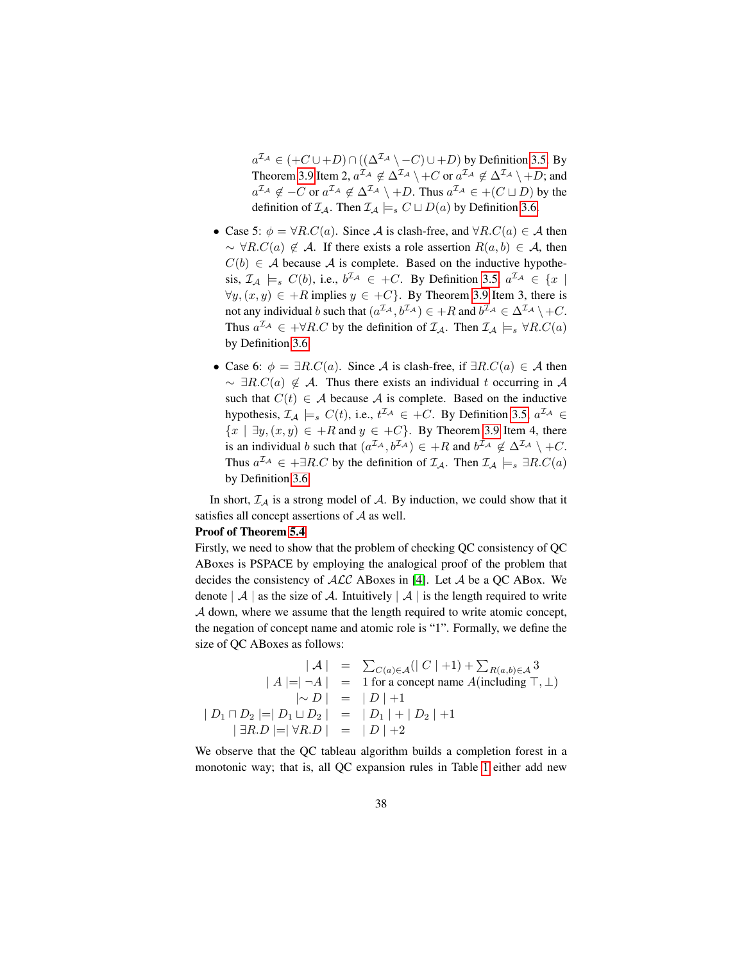$a^{\mathcal{I}_{\mathcal{A}}} \in (+C \cup +D) \cap ((\Delta^{\mathcal{I}_{\mathcal{A}}} \setminus -C) \cup +D)$  by Definition [3.5.](#page-10-1) By Theorem [3.9](#page-13-0) Item 2,  $a^{\mathcal{I}_\mathcal{A}} \notin \Delta^{\mathcal{I}_\mathcal{A}} \setminus +C$  or  $a^{\mathcal{I}_\mathcal{A}} \notin \Delta^{\mathcal{I}_\mathcal{A}} \setminus +D$ ; and  $a^{\mathcal{I}_{\mathcal{A}}} \notin -C$  or  $a^{\mathcal{I}_{\mathcal{A}}} \notin \Delta^{\mathcal{I}_{\mathcal{A}}} \setminus +D$ . Thus  $a^{\mathcal{I}_{\mathcal{A}}} \in +(C \sqcup D)$  by the definition of  $\mathcal{I}_A$ . Then  $\mathcal{I}_A \models_s C \sqcup D(a)$  by Definition [3.6.](#page-11-0)

- Case 5:  $\phi = \forall R.C(a)$ . Since A is clash-free, and  $\forall R.C(a) \in A$  then  $\sim \forall R.C(a) \notin \mathcal{A}$ . If there exists a role assertion  $R(a, b) \in \mathcal{A}$ , then  $C(b) \in A$  because A is complete. Based on the inductive hypothesis,  $\mathcal{I}_{A} \models_{s} C(b)$ , i.e.,  $b^{\mathcal{I}_{A}} \in +C$ . By Definition [3.5,](#page-10-1)  $a^{\mathcal{I}_{A}} \in \{x \mid b\}$  $\forall y, (x, y) \in +R$  implies  $y \in +C$ . By Theorem [3.9](#page-13-0) Item 3, there is not any individual b such that  $(a^{\mathcal{I}_{\mathcal{A}}},b^{\mathcal{I}_{\mathcal{A}}}) \in R$  and  $b^{\mathcal{I}_{\mathcal{A}}} \in \Delta^{\mathcal{I}_{\mathcal{A}}} \setminus +C$ . Thus  $a^{\mathcal{I}_{\mathcal{A}}} \in + \forall R.C$  by the definition of  $\mathcal{I}_{\mathcal{A}}$ . Then  $\mathcal{I}_{\mathcal{A}} \models_{s} \forall R.C(a)$ by Definition [3.6.](#page-11-0)
- Case 6:  $\phi = \exists R.C(a)$ . Since A is clash-free, if  $\exists R.C(a) \in A$  then  $\sim \exists R.C(a) \notin \mathcal{A}$ . Thus there exists an individual t occurring in A such that  $C(t) \in A$  because A is complete. Based on the inductive hypothesis,  $\mathcal{I}_{A} \models_{s} C(t)$ , i.e.,  $t^{\mathcal{I}_{A}} \in +C$ . By Definition [3.5,](#page-10-1)  $a^{\mathcal{I}_{A}} \in$  ${x \mid \exists y, (x, y) \in +R \text{ and } y \in +C}$ . By Theorem [3.9](#page-13-0) Item 4, there is an individual b such that  $(a^{\mathcal{I}_{\mathcal{A}}}, b^{\mathcal{I}_{\mathcal{A}}}) \in +R$  and  $b^{\mathcal{I}_{\mathcal{A}}} \notin \Delta^{\mathcal{I}_{\mathcal{A}}} \setminus +C$ . Thus  $a^{\mathcal{I}_{\mathcal{A}}} \in \pm \exists R.C$  by the definition of  $\mathcal{I}_{\mathcal{A}}$ . Then  $\mathcal{I}_{\mathcal{A}} \models_{s} \exists R.C(a)$ by Definition [3.6.](#page-11-0)

In short,  $\mathcal{I}_A$  is a strong model of A. By induction, we could show that it satisfies all concept assertions of  $A$  as well.

#### Proof of Theorem [5.4](#page-21-0)

Firstly, we need to show that the problem of checking QC consistency of QC ABoxes is PSPACE by employing the analogical proof of the problem that decides the consistency of ALC ABoxes in [\[4\]](#page-24-8). Let A be a QC ABox. We denote  $|A|$  as the size of A. Intuitively  $|A|$  is the length required to write A down, where we assume that the length required to write atomic concept, the negation of concept name and atomic role is "1". Formally, we define the size of QC ABoxes as follows:

$$
|A| = \sum_{C(a) \in A} (|C|+1) + \sum_{R(a,b) \in A} 3
$$
  
\n
$$
|A| = |\neg A| = 1 \text{ for a concept name } A(\text{including } \top, \bot)
$$
  
\n
$$
|\sim D| = |D|+1
$$
  
\n
$$
|D_1 \sqcap D_2| = |D_1 \sqcup D_2| = |D_1| + |D_2| + 1
$$
  
\n
$$
|\exists R.D| = |\forall R.D| = |D|+2
$$

We observe that the QC tableau algorithm builds a completion forest in a monotonic way; that is, all QC expansion rules in Table [1](#page-18-0) either add new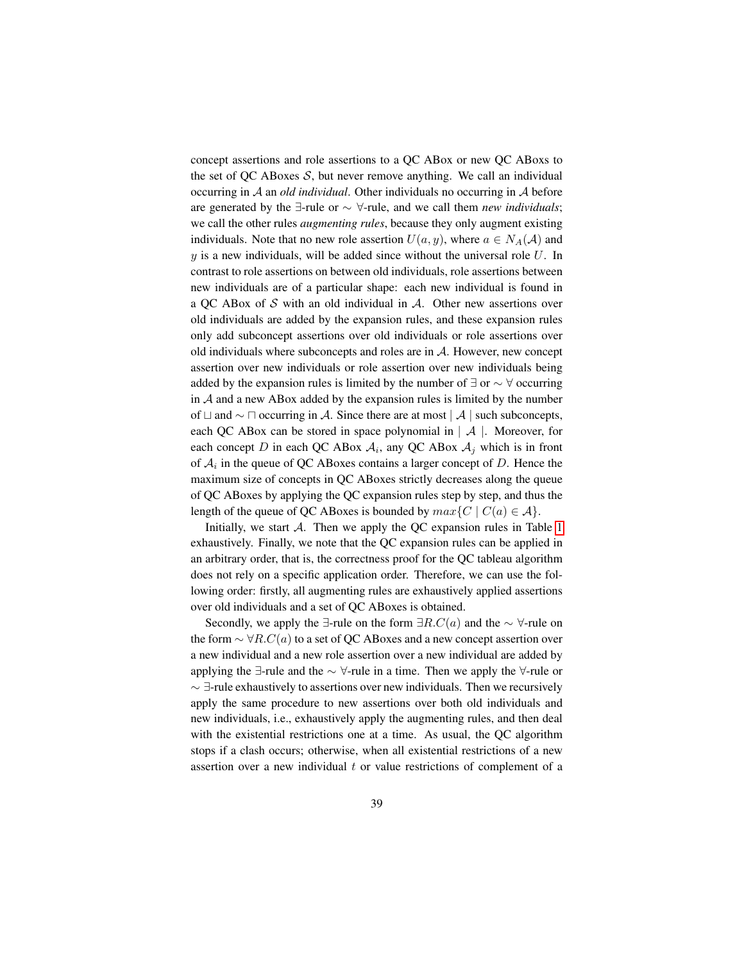concept assertions and role assertions to a QC ABox or new QC ABoxs to the set of QC ABoxes  $S$ , but never remove anything. We call an individual occurring in A an *old individual*. Other individuals no occurring in A before are generated by the ∃-rule or ∼ ∀-rule, and we call them *new individuals*; we call the other rules *augmenting rules*, because they only augment existing individuals. Note that no new role assertion  $U(a, y)$ , where  $a \in N<sub>A</sub>(A)$  and  $y$  is a new individuals, will be added since without the universal role  $U$ . In contrast to role assertions on between old individuals, role assertions between new individuals are of a particular shape: each new individual is found in a OC ABox of S with an old individual in  $A$ . Other new assertions over old individuals are added by the expansion rules, and these expansion rules only add subconcept assertions over old individuals or role assertions over old individuals where subconcepts and roles are in A. However, new concept assertion over new individuals or role assertion over new individuals being added by the expansion rules is limited by the number of  $\exists$  or  $\sim \forall$  occurring in  $A$  and a new ABox added by the expansion rules is limited by the number of  $\Box$  and ∼  $\Box$  occurring in A. Since there are at most  $\Box A$  | such subconcepts, each QC ABox can be stored in space polynomial in  $|A|$ . Moreover, for each concept D in each QC ABox  $A_i$ , any QC ABox  $A_j$  which is in front of  $A_i$  in the queue of QC ABoxes contains a larger concept of D. Hence the maximum size of concepts in QC ABoxes strictly decreases along the queue of QC ABoxes by applying the QC expansion rules step by step, and thus the length of the queue of QC ABoxes is bounded by  $max{C | C(a) \in A}$ .

Initially, we start  $A$ . Then we apply the QC expansion rules in Table [1](#page-18-0) exhaustively. Finally, we note that the QC expansion rules can be applied in an arbitrary order, that is, the correctness proof for the QC tableau algorithm does not rely on a specific application order. Therefore, we can use the following order: firstly, all augmenting rules are exhaustively applied assertions over old individuals and a set of QC ABoxes is obtained.

Secondly, we apply the  $\exists$ -rule on the form  $\exists R.C(a)$  and the  $\sim \forall$ -rule on the form  $\sim \forall R.C(a)$  to a set of QC ABoxes and a new concept assertion over a new individual and a new role assertion over a new individual are added by applying the ∃-rule and the  $\sim \forall$ -rule in a time. Then we apply the  $\forall$ -rule or  $\sim$  ∃-rule exhaustively to assertions over new individuals. Then we recursively apply the same procedure to new assertions over both old individuals and new individuals, i.e., exhaustively apply the augmenting rules, and then deal with the existential restrictions one at a time. As usual, the QC algorithm stops if a clash occurs; otherwise, when all existential restrictions of a new assertion over a new individual  $t$  or value restrictions of complement of a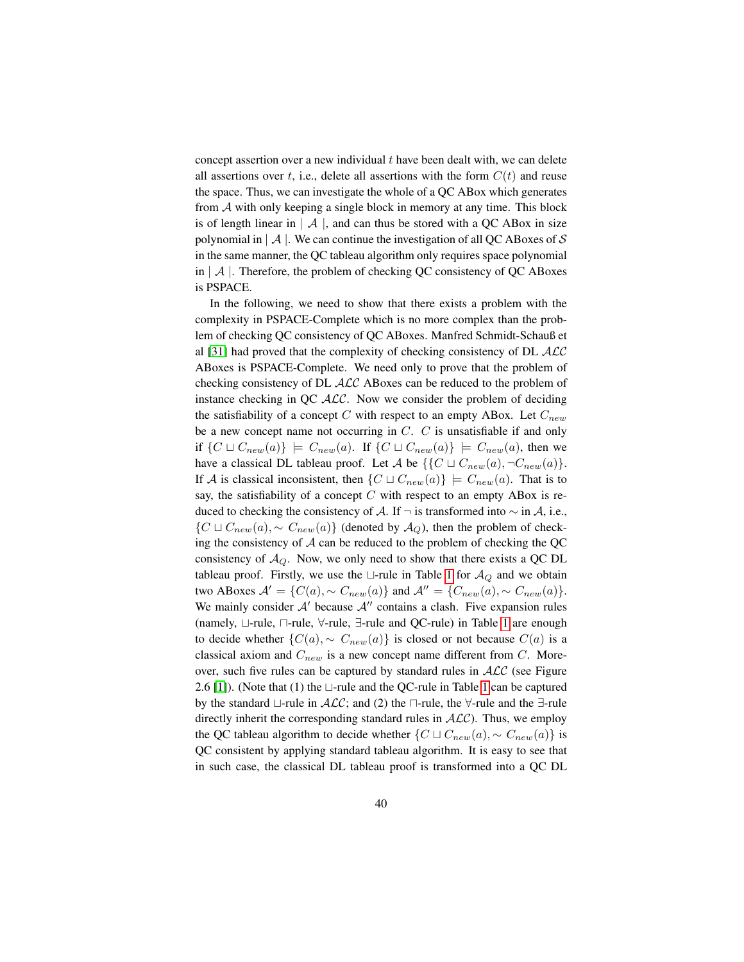concept assertion over a new individual  $t$  have been dealt with, we can delete all assertions over t, i.e., delete all assertions with the form  $C(t)$  and reuse the space. Thus, we can investigate the whole of a QC ABox which generates from  $A$  with only keeping a single block in memory at any time. This block is of length linear in  $| \mathcal{A} |$ , and can thus be stored with a QC ABox in size polynomial in  $|A|$ . We can continue the investigation of all QC ABoxes of S in the same manner, the QC tableau algorithm only requires space polynomial in  $\mathcal A$  . Therefore, the problem of checking QC consistency of QC ABoxes is PSPACE.

In the following, we need to show that there exists a problem with the complexity in PSPACE-Complete which is no more complex than the problem of checking QC consistency of QC ABoxes. Manfred Schmidt-Schauß et al [\[31\]](#page-26-7) had proved that the complexity of checking consistency of DL  $\mathcal{ALC}$ ABoxes is PSPACE-Complete. We need only to prove that the problem of checking consistency of DL ALC ABoxes can be reduced to the problem of instance checking in QC  $ALC$ . Now we consider the problem of deciding the satisfiability of a concept C with respect to an empty ABox. Let  $C_{new}$ be a new concept name not occurring in C. C is unsatisfiable if and only if  $\{C \sqcup C_{new}(a)\}\models C_{new}(a)$ . If  $\{C \sqcup C_{new}(a)\}\models C_{new}(a)$ , then we have a classical DL tableau proof. Let A be  $\{C \sqcup C_{new}(a), \neg C_{new}(a)\}.$ If A is classical inconsistent, then  $\{C \sqcup C_{new}(a)\}\models C_{new}(a)$ . That is to say, the satisfiability of a concept  $C$  with respect to an empty ABox is reduced to checking the consistency of A. If  $\neg$  is transformed into  $\sim$  in A, i.e.,  $\{C \sqcup C_{new}(a), \sim C_{new}(a)\}\$  (denoted by  $\mathcal{A}_Q$ ), then the problem of checking the consistency of  $A$  can be reduced to the problem of checking the QC consistency of  $A_Q$ . Now, we only need to show that there exists a QC DL tableau proof. Firstly, we use the  $\sqcup$ -rule in Table [1](#page-18-0) for  $\mathcal{A}_{Q}$  and we obtain two ABoxes  $A' = \{C(a), \sim C_{new}(a)\}\$ and  $A'' = \{C_{new}(a), \sim C_{new}(a)\}.$ We mainly consider  $A'$  because  $A''$  contains a clash. Five expansion rules (namely,  $\sqcup$ -rule,  $\sqcap$ -rule,  $\forall$ -rule,  $\exists$ -rule and QC-rule) in Table [1](#page-18-0) are enough to decide whether  $\{C(a), \sim C_{new}(a)\}\$ is closed or not because  $C(a)$  is a classical axiom and  $C_{new}$  is a new concept name different from  $C$ . Moreover, such five rules can be captured by standard rules in  $ALC$  (see Figure 2.6 [\[1\]](#page-24-4)). (Note that (1) the  $\sqcup$ -rule and the QC-rule in Table [1](#page-18-0) can be captured by the standard  $\Box$ -rule in  $\mathcal{ALC}$ ; and (2) the  $\Box$ -rule, the  $\forall$ -rule and the  $\exists$ -rule directly inherit the corresponding standard rules in  $ALC$ ). Thus, we employ the QC tableau algorithm to decide whether  $\{C \sqcup C_{new}(a), \sim C_{new}(a)\}$  is QC consistent by applying standard tableau algorithm. It is easy to see that in such case, the classical DL tableau proof is transformed into a QC DL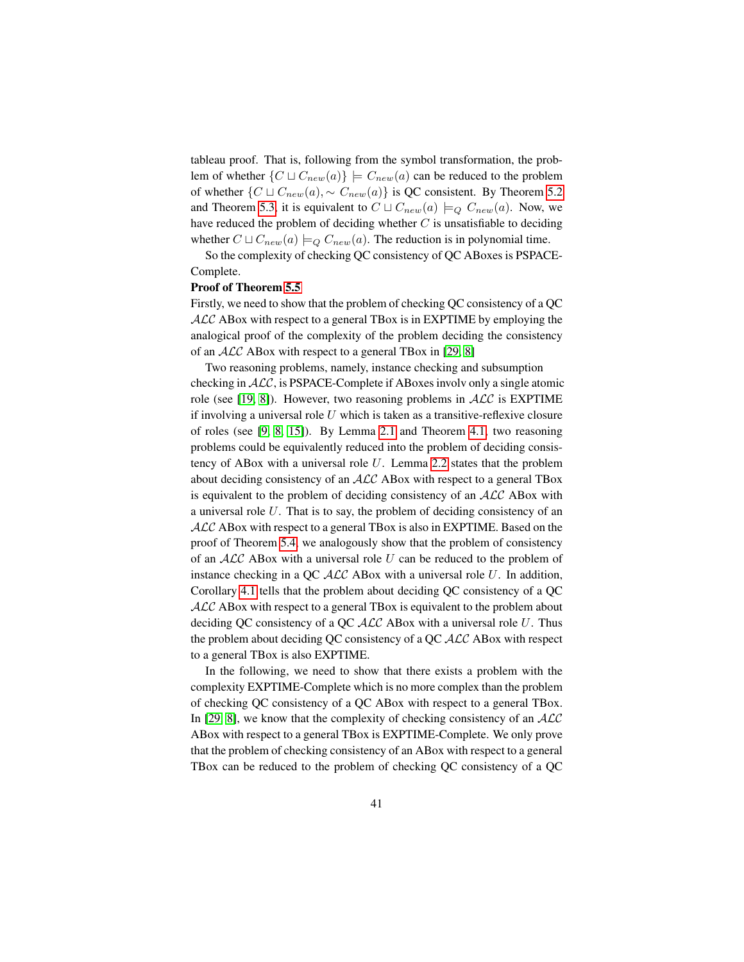tableau proof. That is, following from the symbol transformation, the problem of whether  $\{C \sqcup C_{new}(a)\}\models C_{new}(a)$  can be reduced to the problem of whether  $\{C \sqcup C_{new}(a), \sim C_{new}(a)\}\$ is QC consistent. By Theorem [5.2](#page-20-0) and Theorem [5.3,](#page-20-1) it is equivalent to  $C \sqcup C_{new}(a) \models_{Q} C_{new}(a)$ . Now, we have reduced the problem of deciding whether  $C$  is unsatisfiable to deciding whether  $C \sqcup C_{new}(a) \models_{Q} C_{new}(a)$ . The reduction is in polynomial time.

So the complexity of checking QC consistency of QC ABoxes is PSPACE-Complete.

#### Proof of Theorem [5.5](#page-21-1)

Firstly, we need to show that the problem of checking QC consistency of a QC  $ALC$  ABox with respect to a general TBox is in EXPTIME by employing the analogical proof of the complexity of the problem deciding the consistency of an ALC ABox with respect to a general TBox in [\[29,](#page-26-8) [8\]](#page-24-6)

Two reasoning problems, namely, instance checking and subsumption checking in ALC, is PSPACE-Complete if ABoxes involv only a single atomic role (see [\[19,](#page-25-13) [8\]](#page-24-6)). However, two reasoning problems in  $ALC$  is EXPTIME if involving a universal role  $U$  which is taken as a transitive-reflexive closure of roles (see [\[9,](#page-24-9) [8,](#page-24-6) [15\]](#page-25-12)). By Lemma [2.1](#page-5-0) and Theorem [4.1,](#page-16-0) two reasoning problems could be equivalently reduced into the problem of deciding consistency of ABox with a universal role  $U$ . Lemma [2.2](#page-5-1) states that the problem about deciding consistency of an ALC ABox with respect to a general TBox is equivalent to the problem of deciding consistency of an  $ALC$  ABox with a universal role U. That is to say, the problem of deciding consistency of an ALC ABox with respect to a general TBox is also in EXPTIME. Based on the proof of Theorem [5.4,](#page-21-0) we analogously show that the problem of consistency of an  $ALC$  ABox with a universal role U can be reduced to the problem of instance checking in a QC  $ALC$  ABox with a universal role  $U$ . In addition, Corollary [4.1](#page-16-1) tells that the problem about deciding QC consistency of a QC  $ALC$  ABox with respect to a general TBox is equivalent to the problem about deciding QC consistency of a QC  $\mathcal{ALC}$  ABox with a universal role U. Thus the problem about deciding QC consistency of a QC  $\mathcal{ALC}$  ABox with respect to a general TBox is also EXPTIME.

In the following, we need to show that there exists a problem with the complexity EXPTIME-Complete which is no more complex than the problem of checking QC consistency of a QC ABox with respect to a general TBox. In [\[29,](#page-26-8) [8\]](#page-24-6), we know that the complexity of checking consistency of an  $ALC$ ABox with respect to a general TBox is EXPTIME-Complete. We only prove that the problem of checking consistency of an ABox with respect to a general TBox can be reduced to the problem of checking QC consistency of a QC